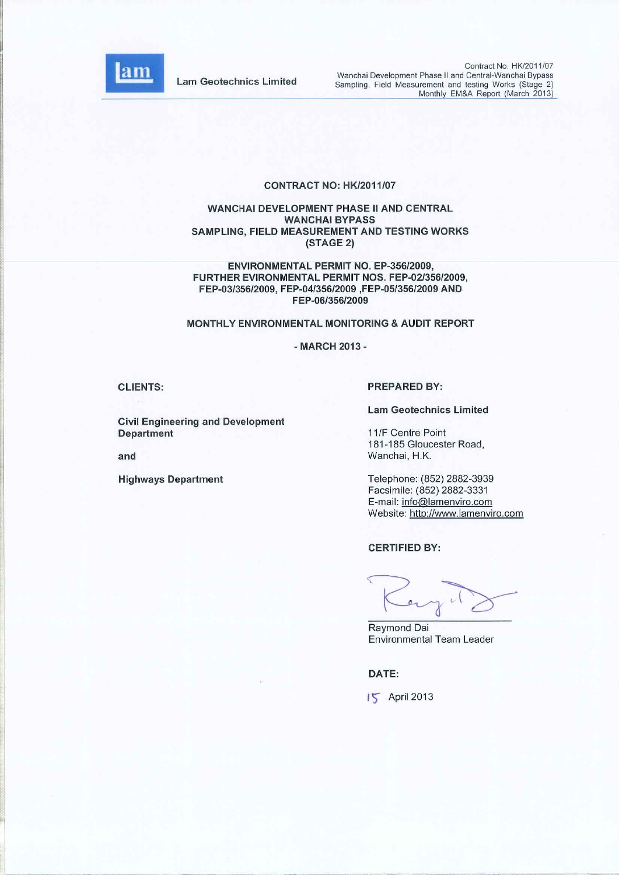

**Lam Geotechnics Limited** 

Contract No. HK/2011/07 Wanchai Development Phase II and Central-Wanchai Bypass Sampling, Field Measurement and testing Works (Stage 2) Monthly EM&A Report (March 2013)

#### CONTRACT NO: HK/2011/07

#### WANCHAI DEVELOPMENT PHASE II AND CENTRAL **WANCHAI BYPASS** SAMPLING, FIELD MEASUREMENT AND TESTING WORKS (STAGE 2)

ENVIRONMENTAL PERMIT NO. EP-356/2009, FURTHER EVIRONMENTAL PERMIT NOS. FEP-02/356/2009, FEP-03/356/2009, FEP-04/356/2009, FEP-05/356/2009 AND FEP-06/356/2009

#### MONTHLY ENVIRONMENTAL MONITORING & AUDIT REPORT

- MARCH 2013 -

**CLIENTS:** 

**Civil Engineering and Development** Department

and

**Highways Department** 

#### **PREPARED BY:**

**Lam Geotechnics Limited** 

11/F Centre Point 181-185 Gloucester Road, Wanchai, H.K.

Telephone: (852) 2882-3939 Facsimile: (852) 2882-3331 E-mail: info@lamenviro.com Website: http://www.lamenviro.com

#### **CERTIFIED BY:**

Raymond Dai **Environmental Team Leader** 

DATE:

15 April 2013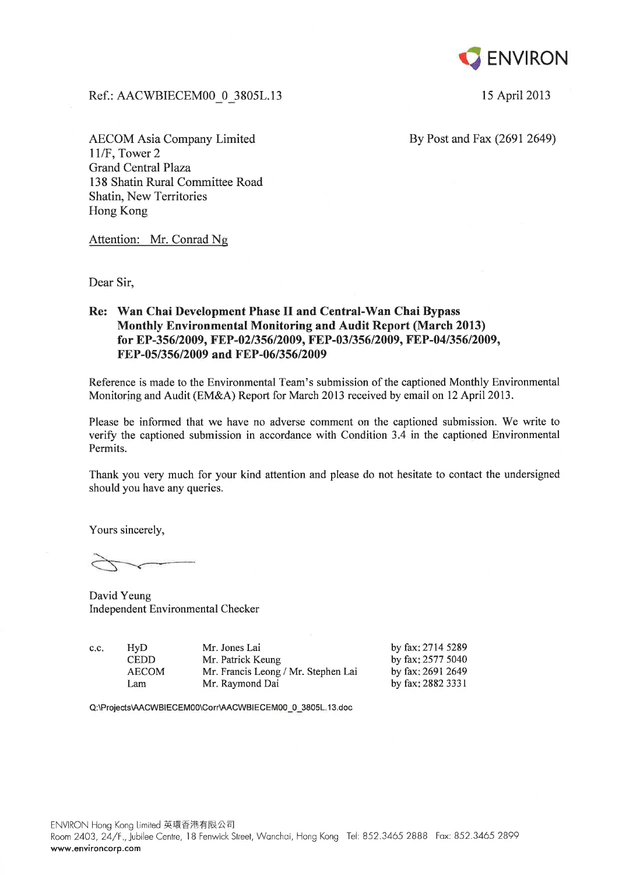

15 April 2013

Ref.: AACWBIECEM00 0 3805L.13

**AECOM Asia Company Limited** 11/F, Tower 2 **Grand Central Plaza** 138 Shatin Rural Committee Road **Shatin, New Territories** Hong Kong

By Post and Fax (2691 2649)

Attention: Mr. Conrad Ng

Dear Sir,

### Re: Wan Chai Development Phase II and Central-Wan Chai Bypass **Monthly Environmental Monitoring and Audit Report (March 2013)** for EP-356/2009, FEP-02/356/2009, FEP-03/356/2009, FEP-04/356/2009, FEP-05/356/2009 and FEP-06/356/2009

Reference is made to the Environmental Team's submission of the captioned Monthly Environmental Monitoring and Audit (EM&A) Report for March 2013 received by email on 12 April 2013.

Please be informed that we have no adverse comment on the captioned submission. We write to verify the captioned submission in accordance with Condition 3.4 in the captioned Environmental Permits.

Thank you very much for your kind attention and please do not hesitate to contact the undersigned should you have any queries.

Yours sincerely,

David Yeung Independent Environmental Checker

 $HvD$ c.c. **CEDD AECOM** Lam

Mr. Jones Lai Mr. Patrick Keung Mr. Francis Leong / Mr. Stephen Lai Mr. Raymond Dai

by fax: 2714 5289 by fax: 2577 5040 by fax: 2691 2649 by fax: 2882 3331

Q:\Projects\AACWBIECEM00\Corr\AACWBIECEM00\_0\_3805L.13.doc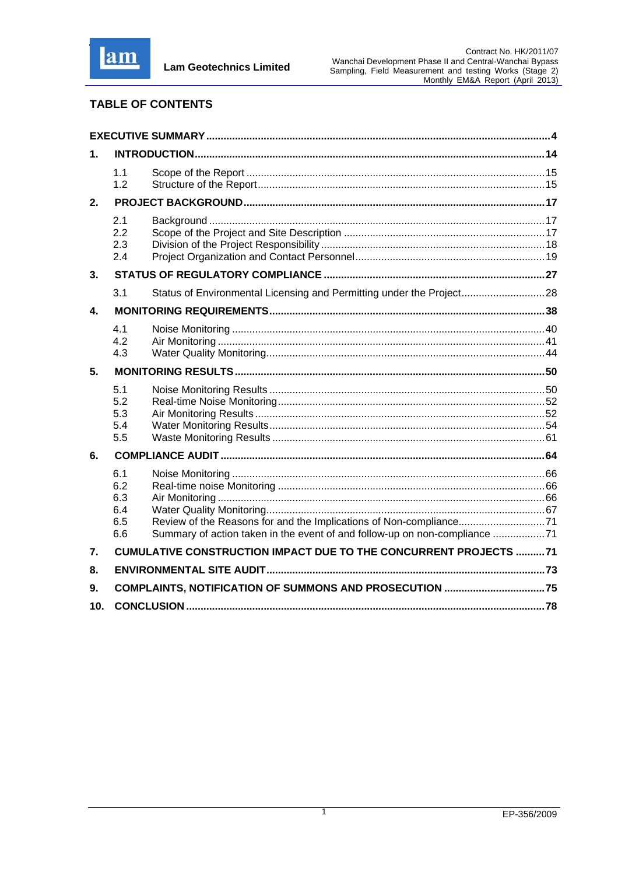

# **TABLE OF CONTENTS**

| 1.              |                                                                                                                                                                                            |  |
|-----------------|--------------------------------------------------------------------------------------------------------------------------------------------------------------------------------------------|--|
|                 | 1.1<br>1.2                                                                                                                                                                                 |  |
| 2.              |                                                                                                                                                                                            |  |
|                 | 2.1<br>2.2<br>2.3<br>2.4                                                                                                                                                                   |  |
| 3.              |                                                                                                                                                                                            |  |
|                 | Status of Environmental Licensing and Permitting under the Project28<br>3.1                                                                                                                |  |
| 4.              |                                                                                                                                                                                            |  |
|                 | 4.1<br>4.2<br>4.3                                                                                                                                                                          |  |
| 5.              |                                                                                                                                                                                            |  |
|                 | 5.1<br>5.2<br>5.3<br>5.4<br>5.5                                                                                                                                                            |  |
| 6.              |                                                                                                                                                                                            |  |
|                 | 6.1<br>6.2<br>6.3<br>6.4<br>6.5<br>Review of the Reasons for and the Implications of Non-compliance71<br>Summary of action taken in the event of and follow-up on non-compliance 71<br>6.6 |  |
| 7.              | <b>CUMULATIVE CONSTRUCTION IMPACT DUE TO THE CONCURRENT PROJECTS 71</b>                                                                                                                    |  |
| 8.              |                                                                                                                                                                                            |  |
| 9.              |                                                                                                                                                                                            |  |
| 10 <sub>1</sub> |                                                                                                                                                                                            |  |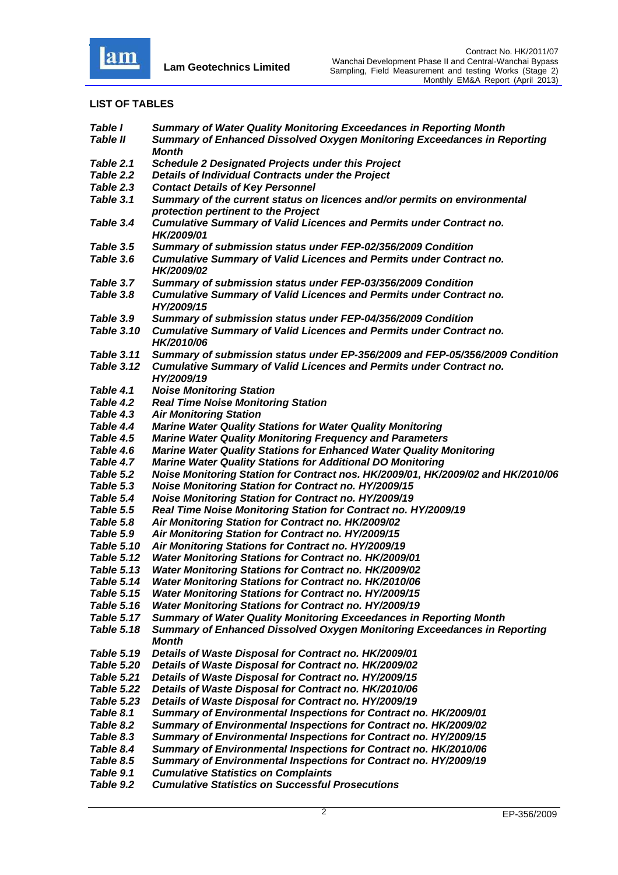

### **LIST OF TABLES**

| <b>Table I</b><br><b>Table II</b> | <b>Summary of Water Quality Monitoring Exceedances in Reporting Month</b><br><b>Summary of Enhanced Dissolved Oxygen Monitoring Exceedances in Reporting</b> |
|-----------------------------------|--------------------------------------------------------------------------------------------------------------------------------------------------------------|
|                                   | Month                                                                                                                                                        |
| Table 2.1                         | <b>Schedule 2 Designated Projects under this Project</b>                                                                                                     |
| Table 2.2                         | Details of Individual Contracts under the Project                                                                                                            |
| Table 2.3                         | <b>Contact Details of Key Personnel</b>                                                                                                                      |
| Table 3.1                         | Summary of the current status on licences and/or permits on environmental                                                                                    |
|                                   | protection pertinent to the Project                                                                                                                          |
| Table 3.4                         | <b>Cumulative Summary of Valid Licences and Permits under Contract no.</b><br>HK/2009/01                                                                     |
| Table 3.5                         | Summary of submission status under FEP-02/356/2009 Condition                                                                                                 |
| Table 3.6                         | <b>Cumulative Summary of Valid Licences and Permits under Contract no.</b><br>HK/2009/02                                                                     |
| Table 3.7                         | Summary of submission status under FEP-03/356/2009 Condition                                                                                                 |
| Table 3.8                         | <b>Cumulative Summary of Valid Licences and Permits under Contract no.</b><br>HY/2009/15                                                                     |
| Table 3.9                         | Summary of submission status under FEP-04/356/2009 Condition                                                                                                 |
| <b>Table 3.10</b>                 | <b>Cumulative Summary of Valid Licences and Permits under Contract no.</b><br>HK/2010/06                                                                     |
| <b>Table 3.11</b>                 | Summary of submission status under EP-356/2009 and FEP-05/356/2009 Condition                                                                                 |
| <b>Table 3.12</b>                 | <b>Cumulative Summary of Valid Licences and Permits under Contract no.</b><br>HY/2009/19                                                                     |
| Table 4.1                         | <b>Noise Monitoring Station</b>                                                                                                                              |
| Table 4.2                         | <b>Real Time Noise Monitoring Station</b>                                                                                                                    |
| Table 4.3                         | <b>Air Monitoring Station</b>                                                                                                                                |
| Table 4.4                         | <b>Marine Water Quality Stations for Water Quality Monitoring</b>                                                                                            |
| Table 4.5                         | <b>Marine Water Quality Monitoring Frequency and Parameters</b>                                                                                              |
| Table 4.6                         | <b>Marine Water Quality Stations for Enhanced Water Quality Monitoring</b>                                                                                   |
| Table 4.7                         | <b>Marine Water Quality Stations for Additional DO Monitoring</b>                                                                                            |
| Table 5.2                         | Noise Monitoring Station for Contract nos. HK/2009/01, HK/2009/02 and HK/2010/06                                                                             |
| Table 5.3                         | <b>Noise Monitoring Station for Contract no. HY/2009/15</b>                                                                                                  |
| Table 5.4                         | <b>Noise Monitoring Station for Contract no. HY/2009/19</b>                                                                                                  |
| Table 5.5                         | Real Time Noise Monitoring Station for Contract no. HY/2009/19                                                                                               |
| Table 5.8                         | Air Monitoring Station for Contract no. HK/2009/02                                                                                                           |
| Table 5.9                         | Air Monitoring Station for Contract no. HY/2009/15                                                                                                           |
| <b>Table 5.10</b>                 | Air Monitoring Stations for Contract no. HY/2009/19                                                                                                          |
| Table 5.12                        | Water Monitoring Stations for Contract no. HK/2009/01                                                                                                        |
| <b>Table 5.13</b>                 | Water Monitoring Stations for Contract no. HK/2009/02                                                                                                        |
| Table 5.14                        | Water Monitoring Stations for Contract no. HK/2010/06                                                                                                        |
| Table 5.15                        | <b>Water Monitoring Stations for Contract no. HY/2009/15</b>                                                                                                 |
| <b>Table 5.16</b>                 | <b>Water Monitoring Stations for Contract no. HY/2009/19</b>                                                                                                 |
| <b>Table 5.17</b>                 | <b>Summary of Water Quality Monitoring Exceedances in Reporting Month</b>                                                                                    |
| <b>Table 5.18</b>                 | <b>Summary of Enhanced Dissolved Oxygen Monitoring Exceedances in Reporting</b>                                                                              |
|                                   | <b>Month</b>                                                                                                                                                 |
| <b>Table 5.19</b>                 | Details of Waste Disposal for Contract no. HK/2009/01                                                                                                        |
| <b>Table 5.20</b>                 | Details of Waste Disposal for Contract no. HK/2009/02                                                                                                        |
| <b>Table 5.21</b>                 | Details of Waste Disposal for Contract no. HY/2009/15                                                                                                        |
| <b>Table 5.22</b>                 | Details of Waste Disposal for Contract no. HK/2010/06                                                                                                        |
| Table 5.23                        | Details of Waste Disposal for Contract no. HY/2009/19                                                                                                        |
| Table 8.1                         | Summary of Environmental Inspections for Contract no. HK/2009/01                                                                                             |
| Table 8.2                         | Summary of Environmental Inspections for Contract no. HK/2009/02                                                                                             |
| Table 8.3                         | Summary of Environmental Inspections for Contract no. HY/2009/15                                                                                             |
| Table 8.4                         |                                                                                                                                                              |
| Table 8.5                         | Summary of Environmental Inspections for Contract no. HK/2010/06                                                                                             |
|                                   | Summary of Environmental Inspections for Contract no. HY/2009/19                                                                                             |
| Table 9.1<br>Table 9.2            | <b>Cumulative Statistics on Complaints</b><br><b>Cumulative Statistics on Successful Prosecutions</b>                                                        |
|                                   |                                                                                                                                                              |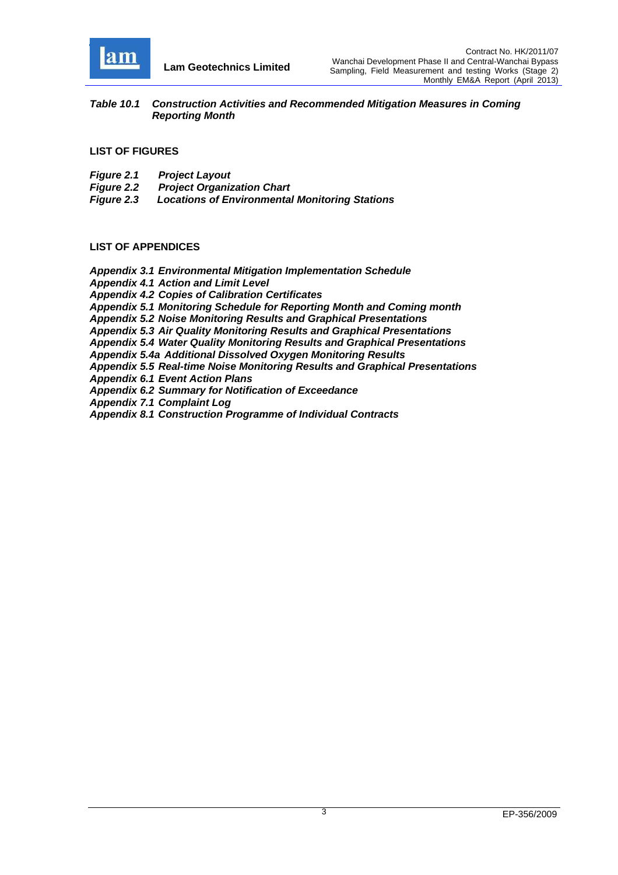

**Lam Geotechnics Limited**

*Table 10.1 Construction Activities and Recommended Mitigation Measures in Coming Reporting Month*

**LIST OF FIGURES** 

- *Figure 2.1 Project Layout*
- *Project Organization Chart*
- *Figure 2.3 Locations of Environmental Monitoring Stations*

#### **LIST OF APPENDICES**

*Appendix 3.1 Environmental Mitigation Implementation Schedule Appendix 4.1 Action and Limit Level Appendix 4.2 Copies of Calibration Certificates Appendix 5.1 Monitoring Schedule for Reporting Month and Coming month Appendix 5.2 Noise Monitoring Results and Graphical Presentations Appendix 5.3 Air Quality Monitoring Results and Graphical Presentations Appendix 5.4 Water Quality Monitoring Results and Graphical Presentations Appendix 5.4a Additional Dissolved Oxygen Monitoring Results Appendix 5.5 Real-time Noise Monitoring Results and Graphical Presentations Appendix 6.1 Event Action Plans Appendix 6.2 Summary for Notification of Exceedance Appendix 7.1 Complaint Log Appendix 8.1 Construction Programme of Individual Contracts*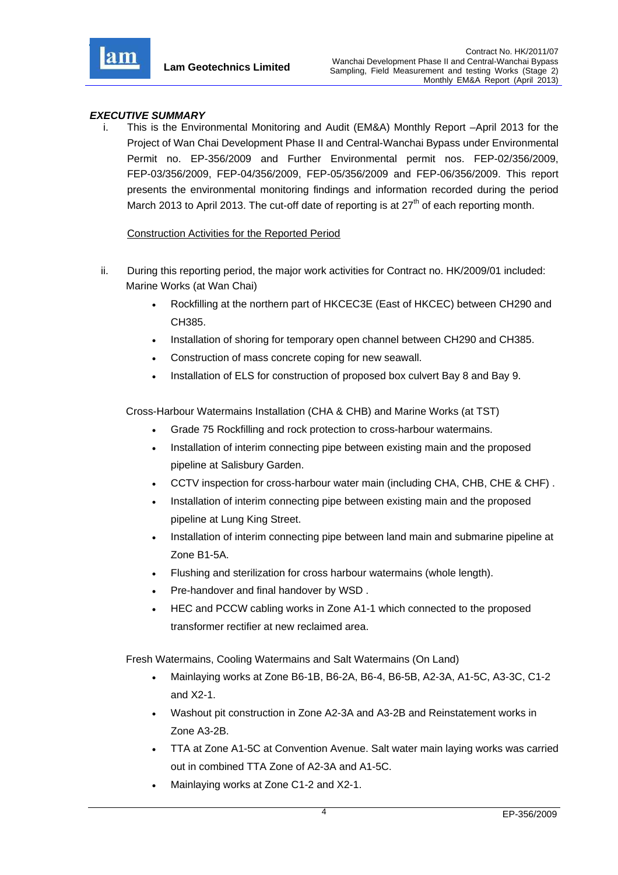

**Lam Geotechnics Limited**

### *EXECUTIVE SUMMARY*

i. This is the Environmental Monitoring and Audit (EM&A) Monthly Report –April 2013 for the Project of Wan Chai Development Phase II and Central-Wanchai Bypass under Environmental Permit no. EP-356/2009 and Further Environmental permit nos. FEP-02/356/2009, FEP-03/356/2009, FEP-04/356/2009, FEP-05/356/2009 and FEP-06/356/2009. This report presents the environmental monitoring findings and information recorded during the period March 2013 to April 2013. The cut-off date of reporting is at  $27<sup>th</sup>$  of each reporting month.

### Construction Activities for the Reported Period

- ii. During this reporting period, the major work activities for Contract no. HK/2009/01 included: Marine Works (at Wan Chai)
	- Rockfilling at the northern part of HKCEC3E (East of HKCEC) between CH290 and CH385.
	- Installation of shoring for temporary open channel between CH290 and CH385.
	- Construction of mass concrete coping for new seawall.
	- Installation of ELS for construction of proposed box culvert Bay 8 and Bay 9.

Cross-Harbour Watermains Installation (CHA & CHB) and Marine Works (at TST)

- Grade 75 Rockfilling and rock protection to cross-harbour watermains.
- Installation of interim connecting pipe between existing main and the proposed pipeline at Salisbury Garden.
- CCTV inspection for cross-harbour water main (including CHA, CHB, CHE & CHF) .
- Installation of interim connecting pipe between existing main and the proposed pipeline at Lung King Street.
- Installation of interim connecting pipe between land main and submarine pipeline at Zone B1-5A.
- Flushing and sterilization for cross harbour watermains (whole length).
- Pre-handover and final handover by WSD .
- HEC and PCCW cabling works in Zone A1-1 which connected to the proposed transformer rectifier at new reclaimed area.

Fresh Watermains, Cooling Watermains and Salt Watermains (On Land)

- Mainlaying works at Zone B6-1B, B6-2A, B6-4, B6-5B, A2-3A, A1-5C, A3-3C, C1-2 and X2-1.
- Washout pit construction in Zone A2-3A and A3-2B and Reinstatement works in Zone A3-2B.
- TTA at Zone A1-5C at Convention Avenue. Salt water main laying works was carried out in combined TTA Zone of A2-3A and A1-5C.
- Mainlaying works at Zone C1-2 and X2-1.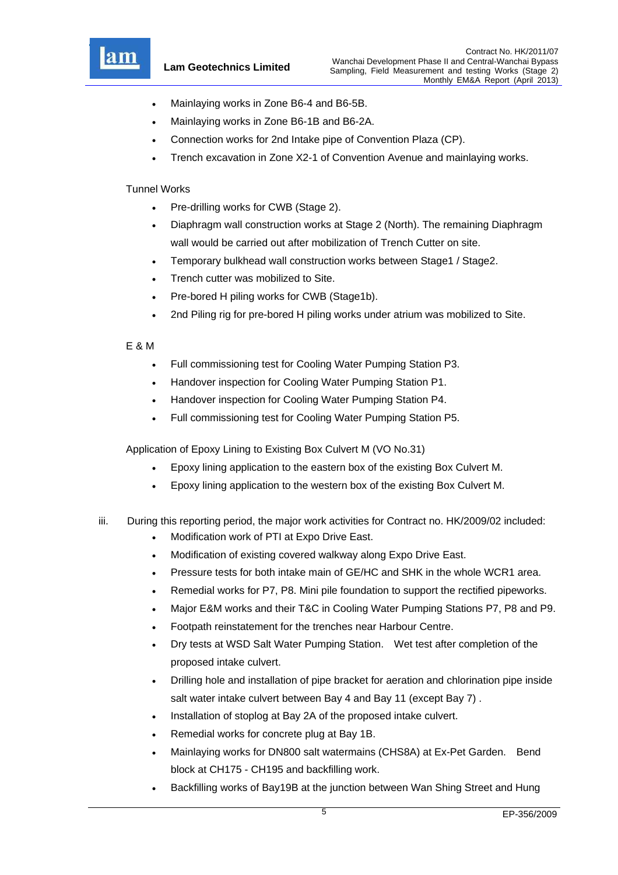

- Mainlaying works in Zone B6-4 and B6-5B.
- Mainlaying works in Zone B6-1B and B6-2A.
- Connection works for 2nd Intake pipe of Convention Plaza (CP).
- Trench excavation in Zone X2-1 of Convention Avenue and mainlaying works.

#### Tunnel Works

- Pre-drilling works for CWB (Stage 2).
- Diaphragm wall construction works at Stage 2 (North). The remaining Diaphragm wall would be carried out after mobilization of Trench Cutter on site.
- Temporary bulkhead wall construction works between Stage1 / Stage2.
- Trench cutter was mobilized to Site.
- Pre-bored H piling works for CWB (Stage1b).
- 2nd Piling rig for pre-bored H piling works under atrium was mobilized to Site.

#### E & M

- Full commissioning test for Cooling Water Pumping Station P3.
- Handover inspection for Cooling Water Pumping Station P1.
- Handover inspection for Cooling Water Pumping Station P4.
- Full commissioning test for Cooling Water Pumping Station P5.

Application of Epoxy Lining to Existing Box Culvert M (VO No.31)

- Epoxy lining application to the eastern box of the existing Box Culvert M.
- Epoxy lining application to the western box of the existing Box Culvert M.
- iii. During this reporting period, the major work activities for Contract no. HK/2009/02 included:
	- Modification work of PTI at Expo Drive East.
	- Modification of existing covered walkway along Expo Drive East.
	- Pressure tests for both intake main of GE/HC and SHK in the whole WCR1 area.
	- Remedial works for P7, P8. Mini pile foundation to support the rectified pipeworks.
	- Major E&M works and their T&C in Cooling Water Pumping Stations P7, P8 and P9.
	- Footpath reinstatement for the trenches near Harbour Centre.
	- Dry tests at WSD Salt Water Pumping Station. Wet test after completion of the proposed intake culvert.
	- Drilling hole and installation of pipe bracket for aeration and chlorination pipe inside salt water intake culvert between Bay 4 and Bay 11 (except Bay 7) .
	- Installation of stoplog at Bay 2A of the proposed intake culvert.
	- Remedial works for concrete plug at Bay 1B.
	- Mainlaying works for DN800 salt watermains (CHS8A) at Ex-Pet Garden. Bend block at CH175 - CH195 and backfilling work.
	- Backfilling works of Bay19B at the junction between Wan Shing Street and Hung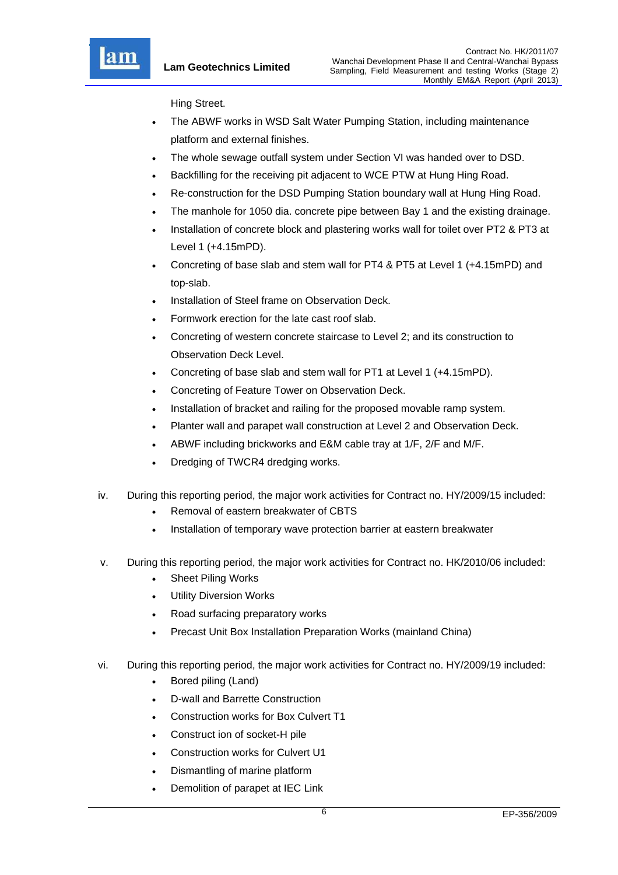

Hing Street.

- The ABWF works in WSD Salt Water Pumping Station, including maintenance platform and external finishes.
- The whole sewage outfall system under Section VI was handed over to DSD.
- Backfilling for the receiving pit adjacent to WCE PTW at Hung Hing Road.
- Re-construction for the DSD Pumping Station boundary wall at Hung Hing Road.
- The manhole for 1050 dia. concrete pipe between Bay 1 and the existing drainage.
- Installation of concrete block and plastering works wall for toilet over PT2 & PT3 at Level 1 (+4.15mPD).
- Concreting of base slab and stem wall for PT4 & PT5 at Level 1 (+4.15mPD) and top-slab.
- Installation of Steel frame on Observation Deck.
- Formwork erection for the late cast roof slab.
- Concreting of western concrete staircase to Level 2; and its construction to Observation Deck Level.
- Concreting of base slab and stem wall for PT1 at Level 1 (+4.15mPD).
- Concreting of Feature Tower on Observation Deck.
- Installation of bracket and railing for the proposed movable ramp system.
- Planter wall and parapet wall construction at Level 2 and Observation Deck.
- ABWF including brickworks and E&M cable tray at 1/F, 2/F and M/F.
- Dredging of TWCR4 dredging works.
- iv. During this reporting period, the major work activities for Contract no. HY/2009/15 included:
	- Removal of eastern breakwater of CBTS
	- Installation of temporary wave protection barrier at eastern breakwater
- v. During this reporting period, the major work activities for Contract no. HK/2010/06 included:
	- Sheet Piling Works
	- Utility Diversion Works
	- Road surfacing preparatory works
	- Precast Unit Box Installation Preparation Works (mainland China)
- vi. During this reporting period, the major work activities for Contract no. HY/2009/19 included:
	- Bored piling (Land)
	- D-wall and Barrette Construction
	- Construction works for Box Culvert T1
	- Construct ion of socket-H pile
	- Construction works for Culvert U1
	- Dismantling of marine platform
	- Demolition of parapet at IEC Link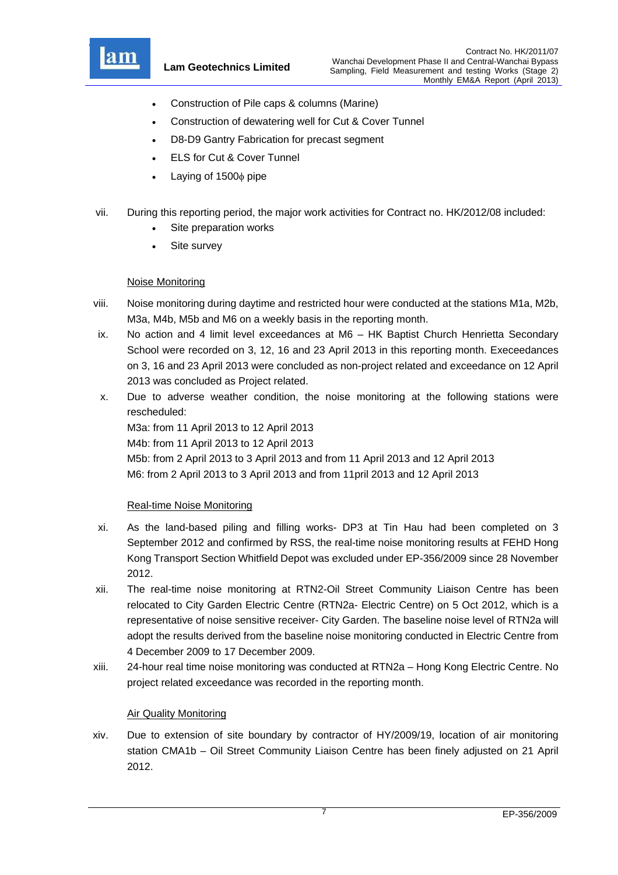

- Construction of Pile caps & columns (Marine)
- Construction of dewatering well for Cut & Cover Tunnel
- D8-D9 Gantry Fabrication for precast segment
- ELS for Cut & Cover Tunnel
- Laying of 1500 $\phi$  pipe
- vii. During this reporting period, the major work activities for Contract no. HK/2012/08 included:
	- Site preparation works
	- Site survey

### Noise Monitoring

- viii. Noise monitoring during daytime and restricted hour were conducted at the stations M1a, M2b, M3a, M4b, M5b and M6 on a weekly basis in the reporting month.
- ix. No action and 4 limit level exceedances at M6 HK Baptist Church Henrietta Secondary School were recorded on 3, 12, 16 and 23 April 2013 in this reporting month. Execeedances on 3, 16 and 23 April 2013 were concluded as non-project related and exceedance on 12 April 2013 was concluded as Project related.
- x. Due to adverse weather condition, the noise monitoring at the following stations were rescheduled:

M3a: from 11 April 2013 to 12 April 2013 M4b: from 11 April 2013 to 12 April 2013 M5b: from 2 April 2013 to 3 April 2013 and from 11 April 2013 and 12 April 2013 M6: from 2 April 2013 to 3 April 2013 and from 11pril 2013 and 12 April 2013

### Real-time Noise Monitoring

- xi. As the land-based piling and filling works- DP3 at Tin Hau had been completed on 3 September 2012 and confirmed by RSS, the real-time noise monitoring results at FEHD Hong Kong Transport Section Whitfield Depot was excluded under EP-356/2009 since 28 November 2012.
- xii. The real-time noise monitoring at RTN2-Oil Street Community Liaison Centre has been relocated to City Garden Electric Centre (RTN2a- Electric Centre) on 5 Oct 2012, which is a representative of noise sensitive receiver- City Garden. The baseline noise level of RTN2a will adopt the results derived from the baseline noise monitoring conducted in Electric Centre from 4 December 2009 to 17 December 2009.
- xiii. 24-hour real time noise monitoring was conducted at RTN2a Hong Kong Electric Centre. No project related exceedance was recorded in the reporting month.

### Air Quality Monitoring

xiv. Due to extension of site boundary by contractor of HY/2009/19, location of air monitoring station CMA1b – Oil Street Community Liaison Centre has been finely adjusted on 21 April 2012.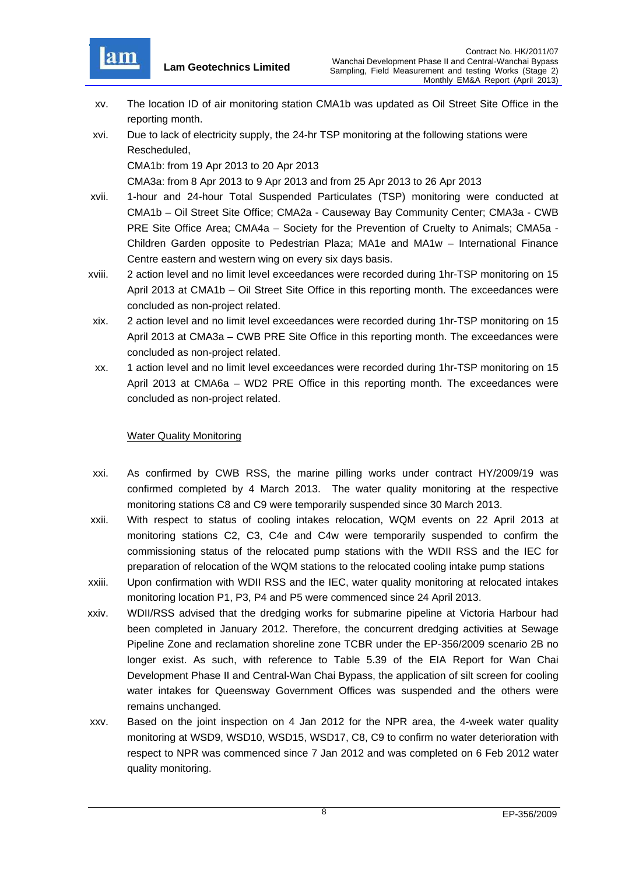

- xv. The location ID of air monitoring station CMA1b was updated as Oil Street Site Office in the reporting month.
- xvi. Due to lack of electricity supply, the 24-hr TSP monitoring at the following stations were Rescheduled,

CMA1b: from 19 Apr 2013 to 20 Apr 2013

CMA3a: from 8 Apr 2013 to 9 Apr 2013 and from 25 Apr 2013 to 26 Apr 2013

- xvii. 1-hour and 24-hour Total Suspended Particulates (TSP) monitoring were conducted at CMA1b – Oil Street Site Office; CMA2a - Causeway Bay Community Center; CMA3a - CWB PRE Site Office Area; CMA4a – Society for the Prevention of Cruelty to Animals; CMA5a - Children Garden opposite to Pedestrian Plaza; MA1e and MA1w – International Finance Centre eastern and western wing on every six days basis.
- xviii. 2 action level and no limit level exceedances were recorded during 1hr-TSP monitoring on 15 April 2013 at CMA1b – Oil Street Site Office in this reporting month. The exceedances were concluded as non-project related.
- xix. 2 action level and no limit level exceedances were recorded during 1hr-TSP monitoring on 15 April 2013 at CMA3a – CWB PRE Site Office in this reporting month. The exceedances were concluded as non-project related.
- xx. 1 action level and no limit level exceedances were recorded during 1hr-TSP monitoring on 15 April 2013 at CMA6a – WD2 PRE Office in this reporting month. The exceedances were concluded as non-project related.

#### **Water Quality Monitoring**

- xxi. As confirmed by CWB RSS, the marine pilling works under contract HY/2009/19 was confirmed completed by 4 March 2013. The water quality monitoring at the respective monitoring stations C8 and C9 were temporarily suspended since 30 March 2013.
- xxii. With respect to status of cooling intakes relocation, WQM events on 22 April 2013 at monitoring stations C2, C3, C4e and C4w were temporarily suspended to confirm the commissioning status of the relocated pump stations with the WDII RSS and the IEC for preparation of relocation of the WQM stations to the relocated cooling intake pump stations
- xxiii. Upon confirmation with WDII RSS and the IEC, water quality monitoring at relocated intakes monitoring location P1, P3, P4 and P5 were commenced since 24 April 2013.
- xxiv. WDII/RSS advised that the dredging works for submarine pipeline at Victoria Harbour had been completed in January 2012. Therefore, the concurrent dredging activities at Sewage Pipeline Zone and reclamation shoreline zone TCBR under the EP-356/2009 scenario 2B no longer exist. As such, with reference to Table 5.39 of the EIA Report for Wan Chai Development Phase II and Central-Wan Chai Bypass, the application of silt screen for cooling water intakes for Queensway Government Offices was suspended and the others were remains unchanged.
- xxv. Based on the joint inspection on 4 Jan 2012 for the NPR area, the 4-week water quality monitoring at WSD9, WSD10, WSD15, WSD17, C8, C9 to confirm no water deterioration with respect to NPR was commenced since 7 Jan 2012 and was completed on 6 Feb 2012 water quality monitoring.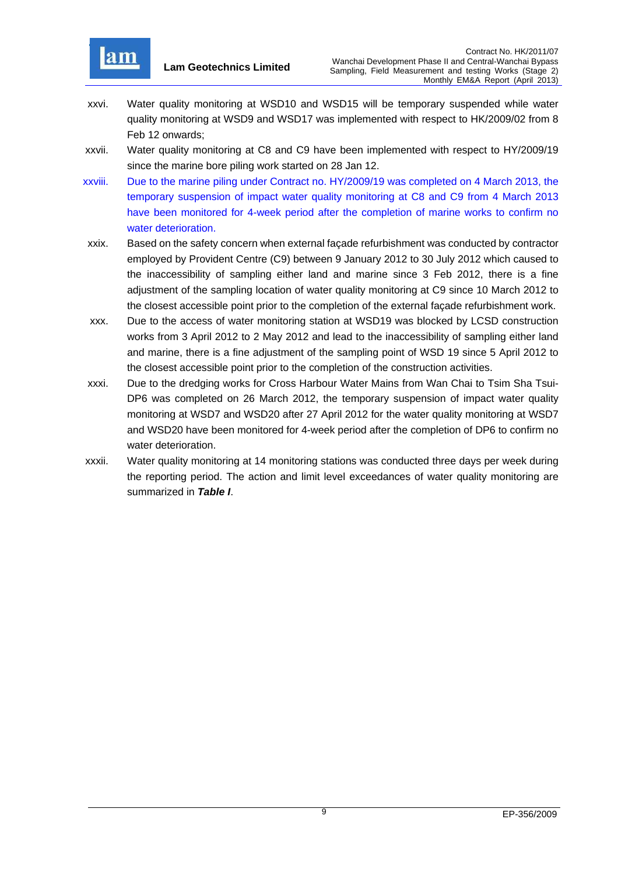

- xxvi. Water quality monitoring at WSD10 and WSD15 will be temporary suspended while water quality monitoring at WSD9 and WSD17 was implemented with respect to HK/2009/02 from 8 Feb 12 onwards;
- xxvii. Water quality monitoring at C8 and C9 have been implemented with respect to HY/2009/19 since the marine bore piling work started on 28 Jan 12.
- xxviii. Due to the marine piling under Contract no. HY/2009/19 was completed on 4 March 2013, the temporary suspension of impact water quality monitoring at C8 and C9 from 4 March 2013 have been monitored for 4-week period after the completion of marine works to confirm no water deterioration.
- xxix. Based on the safety concern when external façade refurbishment was conducted by contractor employed by Provident Centre (C9) between 9 January 2012 to 30 July 2012 which caused to the inaccessibility of sampling either land and marine since 3 Feb 2012, there is a fine adjustment of the sampling location of water quality monitoring at C9 since 10 March 2012 to the closest accessible point prior to the completion of the external façade refurbishment work.
- xxx. Due to the access of water monitoring station at WSD19 was blocked by LCSD construction works from 3 April 2012 to 2 May 2012 and lead to the inaccessibility of sampling either land and marine, there is a fine adjustment of the sampling point of WSD 19 since 5 April 2012 to the closest accessible point prior to the completion of the construction activities.
- xxxi. Due to the dredging works for Cross Harbour Water Mains from Wan Chai to Tsim Sha Tsui-DP6 was completed on 26 March 2012, the temporary suspension of impact water quality monitoring at WSD7 and WSD20 after 27 April 2012 for the water quality monitoring at WSD7 and WSD20 have been monitored for 4-week period after the completion of DP6 to confirm no water deterioration.
- xxxii. Water quality monitoring at 14 monitoring stations was conducted three days per week during the reporting period. The action and limit level exceedances of water quality monitoring are summarized in *Table I*.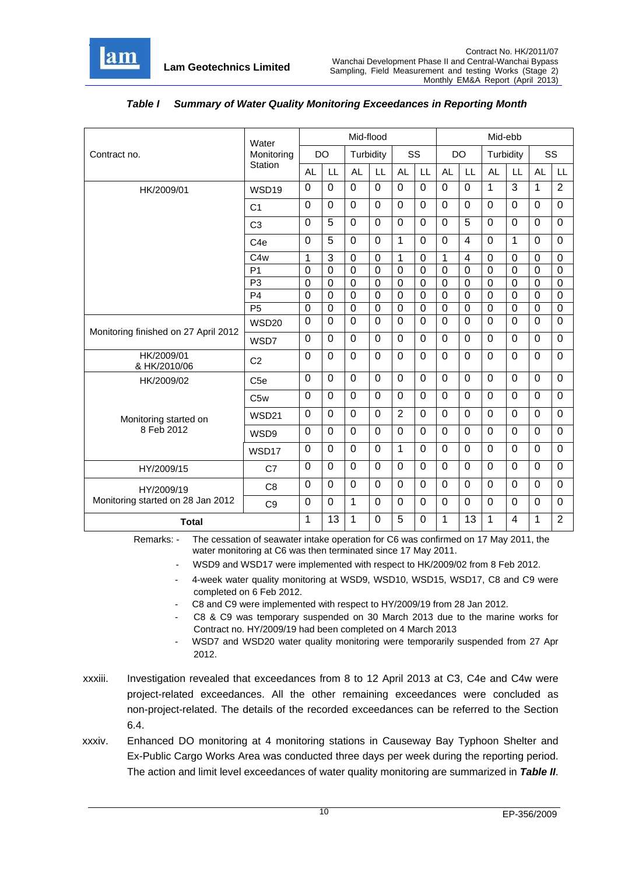

|                                      | Water             | Mid-flood<br>Mid-ebb |                |                |                |                |                |                |                |                |                |                |                |
|--------------------------------------|-------------------|----------------------|----------------|----------------|----------------|----------------|----------------|----------------|----------------|----------------|----------------|----------------|----------------|
| Contract no.                         | Monitoring        |                      | <b>DO</b>      | Turbidity      |                | SS             |                |                | <b>DO</b>      | Turbidity      |                |                | SS             |
|                                      | <b>Station</b>    | <b>AL</b>            | LL             | <b>AL</b>      | LL             | <b>AL</b>      | LL             | <b>AL</b>      | LL             | <b>AL</b>      | LL             | <b>AL</b>      | LL             |
| HK/2009/01                           | WSD <sub>19</sub> | $\mathbf 0$          | $\mathbf 0$    | $\Omega$       | $\Omega$       | $\Omega$       | $\overline{0}$ | $\Omega$       | $\Omega$       | 1              | $\overline{3}$ | 1              | 2              |
|                                      | C <sub>1</sub>    | $\mathbf 0$          | $\mathbf 0$    | $\mathbf 0$    | $\mathbf 0$    | $\mathbf 0$    | $\overline{0}$ | $\overline{0}$ | $\overline{0}$ | $\overline{0}$ | $\overline{0}$ | $\Omega$       | $\mathbf 0$    |
|                                      | C <sub>3</sub>    | $\Omega$             | 5              | $\Omega$       | $\Omega$       | $\Omega$       | $\Omega$       | $\Omega$       | 5              | $\mathbf 0$    | $\Omega$       | $\Omega$       | $\Omega$       |
|                                      | C <sub>4e</sub>   | $\mathbf 0$          | 5              | $\mathbf 0$    | $\mathbf 0$    | $\mathbf{1}$   | 0              | $\overline{0}$ | $\overline{4}$ | $\overline{0}$ | $\mathbf{1}$   | $\Omega$       | $\mathbf 0$    |
|                                      | C4w               | 1                    | 3              | $\overline{0}$ | $\mathbf 0$    | $\mathbf{1}$   | $\Omega$       | $\mathbf 1$    | $\overline{4}$ | $\overline{0}$ | $\mathbf 0$    | $\Omega$       | $\Omega$       |
|                                      | P <sub>1</sub>    | $\mathbf 0$          | $\overline{0}$ | $\overline{0}$ | $\mathbf 0$    | $\mathbf 0$    | $\mathbf 0$    | $\overline{0}$ | $\mathbf 0$    | $\overline{0}$ | $\mathbf 0$    | $\overline{0}$ | $\mathbf 0$    |
|                                      | P <sub>3</sub>    | $\mathbf 0$          | $\overline{0}$ | $\overline{0}$ | $\overline{0}$ | $\overline{0}$ | $\overline{0}$ | $\overline{0}$ | $\overline{0}$ | $\overline{0}$ | $\overline{0}$ | $\overline{0}$ | $\overline{0}$ |
|                                      | P <sub>4</sub>    | 0                    | $\overline{0}$ | $\overline{0}$ | $\mathbf 0$    | $\mathbf 0$    | $\mathbf 0$    | $\overline{0}$ | $\mathbf 0$    | $\mathbf 0$    | $\mathbf 0$    | $\Omega$       | $\Omega$       |
|                                      | P <sub>5</sub>    | 0                    | 0              | $\mathbf 0$    | 0              | 0              | 0              | $\overline{0}$ | $\mathbf 0$    | $\mathbf 0$    | $\mathbf 0$    | $\overline{0}$ | 0              |
|                                      | <b>WSD20</b>      | $\mathbf 0$          | $\overline{0}$ | $\overline{0}$ | $\mathbf 0$    | $\overline{0}$ | $\overline{0}$ | $\overline{0}$ | $\overline{0}$ | $\overline{0}$ | $\overline{0}$ | $\overline{0}$ | $\mathbf 0$    |
| Monitoring finished on 27 April 2012 | WSD7              | 0                    | $\Omega$       | $\Omega$       | $\mathbf 0$    | $\overline{0}$ | $\overline{0}$ | $\Omega$       | $\overline{0}$ | $\mathbf 0$    | $\overline{0}$ | $\Omega$       | $\mathbf 0$    |
| HK/2009/01<br>& HK/2010/06           | C <sub>2</sub>    | $\mathbf 0$          | $\mathbf 0$    | $\overline{0}$ | $\mathbf 0$    | $\overline{0}$ | $\overline{0}$ | $\overline{0}$ | $\overline{0}$ | 0              | $\overline{0}$ | $\overline{0}$ | $\mathbf 0$    |
| HK/2009/02                           | C <sub>5e</sub>   | 0                    | $\Omega$       | $\Omega$       | $\Omega$       | $\Omega$       | $\Omega$       | $\Omega$       | $\overline{0}$ | 0              | $\Omega$       | $\Omega$       | $\mathbf{0}$   |
|                                      | C <sub>5w</sub>   | $\overline{0}$       | $\mathbf 0$    | $\mathbf 0$    | $\mathbf 0$    | $\overline{0}$ | $\overline{0}$ | $\overline{0}$ | $\overline{0}$ | $\overline{0}$ | $\mathbf 0$    | $\Omega$       | $\Omega$       |
| Monitoring started on                | WSD21             | $\pmb{0}$            | $\mathbf 0$    | $\overline{0}$ | $\overline{0}$ | $\overline{2}$ | $\overline{0}$ | $\mathbf 0$    | $\overline{0}$ | $\overline{0}$ | $\overline{0}$ | $\overline{0}$ | $\overline{0}$ |
| 8 Feb 2012                           | WSD9              | 0                    | $\Omega$       | $\Omega$       | $\Omega$       | $\Omega$       | $\Omega$       | $\Omega$       | $\overline{0}$ | 0              | $\Omega$       | $\Omega$       | $\mathbf{0}$   |
|                                      | WSD17             | $\mathbf 0$          | $\Omega$       | $\Omega$       | $\mathbf 0$    | 1              | $\Omega$       | $\mathbf 0$    | $\Omega$       | $\mathbf 0$    | $\Omega$       | 0              | $\mathbf 0$    |
| HY/2009/15                           | C7                | 0                    | $\Omega$       | $\Omega$       | $\Omega$       | $\Omega$       | $\Omega$       | $\Omega$       | $\overline{0}$ | $\mathbf 0$    | $\Omega$       | $\Omega$       | $\mathbf{0}$   |
| HY/2009/19                           | C <sub>8</sub>    | $\mathbf 0$          | $\Omega$       | $\overline{0}$ | $\mathbf 0$    | $\overline{0}$ | $\overline{0}$ | $\Omega$       | $\overline{0}$ | 0              | $\overline{0}$ | $\overline{0}$ | $\mathbf 0$    |
| Monitoring started on 28 Jan 2012    | C <sub>9</sub>    | $\mathbf 0$          | $\mathbf 0$    | $\mathbf{1}$   | $\mathbf 0$    | $\overline{0}$ | $\overline{0}$ | $\mathbf 0$    | $\overline{0}$ | $\overline{0}$ | $\mathbf 0$    | $\overline{0}$ | $\mathbf 0$    |
| <b>Total</b>                         |                   | 1                    | 13             | 1              | $\Omega$       | $\overline{5}$ | $\overline{0}$ | 1              | 13             | $\mathbf{1}$   | $\overline{4}$ | 1              | $\overline{2}$ |

### *Table I Summary of Water Quality Monitoring Exceedances in Reporting Month*

Remarks: - The cessation of seawater intake operation for C6 was confirmed on 17 May 2011, the water monitoring at C6 was then terminated since 17 May 2011.

- WSD9 and WSD17 were implemented with respect to HK/2009/02 from 8 Feb 2012.
- 4-week water quality monitoring at WSD9, WSD10, WSD15, WSD17, C8 and C9 were completed on 6 Feb 2012.
- C8 and C9 were implemented with respect to HY/2009/19 from 28 Jan 2012.
- C8 & C9 was temporary suspended on 30 March 2013 due to the marine works for Contract no. HY/2009/19 had been completed on 4 March 2013
- WSD7 and WSD20 water quality monitoring were temporarily suspended from 27 Apr 2012.
- xxxiii. Investigation revealed that exceedances from 8 to 12 April 2013 at C3, C4e and C4w were project-related exceedances. All the other remaining exceedances were concluded as non-project-related. The details of the recorded exceedances can be referred to the Section 6.4.
- xxxiv. Enhanced DO monitoring at 4 monitoring stations in Causeway Bay Typhoon Shelter and Ex-Public Cargo Works Area was conducted three days per week during the reporting period. The action and limit level exceedances of water quality monitoring are summarized in *Table II*.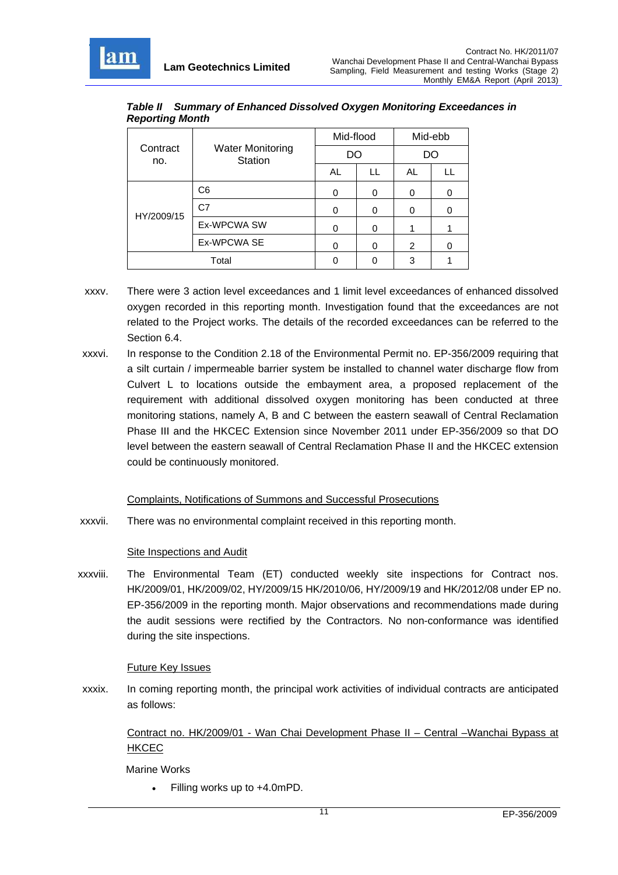

HY/2009/15

r

| <b>Reporting Month</b> |                                    |           |  |         |  |
|------------------------|------------------------------------|-----------|--|---------|--|
|                        |                                    | Mid-flood |  | Mid-ebb |  |
| Contract<br>no.        | <b>Water Monitoring</b><br>Station | DΟ        |  | 70      |  |
|                        |                                    | AL        |  | AL      |  |
|                        | C6                                 |           |  |         |  |

*Table II Summary of Enhanced Dissolved Oxygen Monitoring Exceedances in Reporting Month* 

C7 0 0 0 0 0 Ex-WPCWA SW 0 0 1 1

Ex-WPCWA SE  $\begin{array}{c|c|c|c|c|c|c} \hline \end{array}$  0 0  $\begin{array}{c|c|c|c} \hline \end{array}$  0 0  $\begin{array}{c|c|c|c} \hline \end{array}$  0 Total 1 0 0 3 1

- xxxv. There were 3 action level exceedances and 1 limit level exceedances of enhanced dissolved oxygen recorded in this reporting month. Investigation found that the exceedances are not related to the Project works. The details of the recorded exceedances can be referred to the Section 6.4.
- xxxvi. In response to the Condition 2.18 of the Environmental Permit no. EP-356/2009 requiring that a silt curtain / impermeable barrier system be installed to channel water discharge flow from Culvert L to locations outside the embayment area, a proposed replacement of the requirement with additional dissolved oxygen monitoring has been conducted at three monitoring stations, namely A, B and C between the eastern seawall of Central Reclamation Phase III and the HKCEC Extension since November 2011 under EP-356/2009 so that DO level between the eastern seawall of Central Reclamation Phase II and the HKCEC extension could be continuously monitored.

### Complaints, Notifications of Summons and Successful Prosecutions

xxxvii. There was no environmental complaint received in this reporting month.

### Site Inspections and Audit

xxxviii. The Environmental Team (ET) conducted weekly site inspections for Contract nos. HK/2009/01, HK/2009/02, HY/2009/15 HK/2010/06, HY/2009/19 and HK/2012/08 under EP no. EP-356/2009 in the reporting month. Major observations and recommendations made during the audit sessions were rectified by the Contractors. No non-conformance was identified during the site inspections.

### Future Key Issues

xxxix. In coming reporting month, the principal work activities of individual contracts are anticipated as follows:

Contract no. HK/2009/01 - Wan Chai Development Phase II – Central –Wanchai Bypass at **HKCEC** 

Marine Works

• Filling works up to +4.0mPD.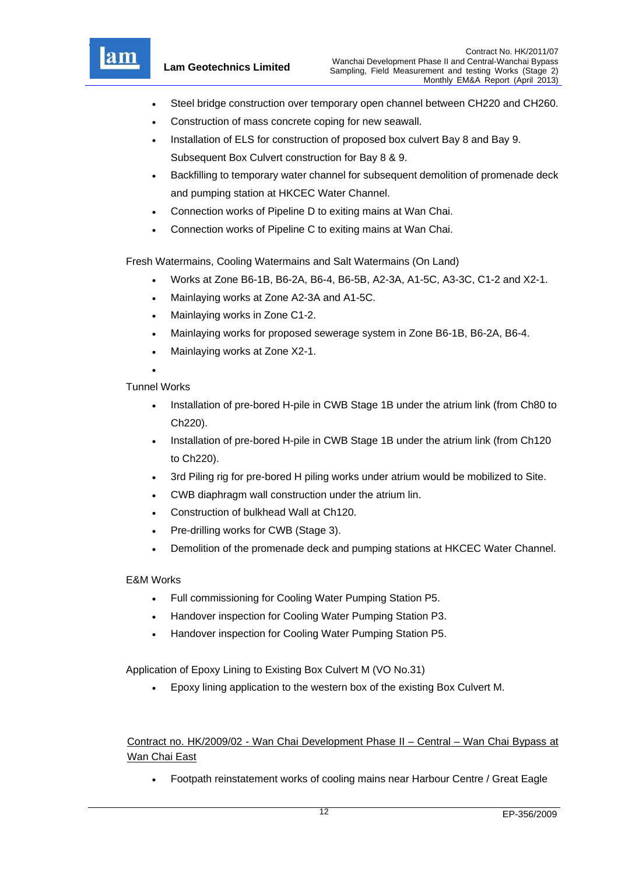

- Steel bridge construction over temporary open channel between CH220 and CH260.
- Construction of mass concrete coping for new seawall.
- Installation of ELS for construction of proposed box culvert Bay 8 and Bay 9. Subsequent Box Culvert construction for Bay 8 & 9.
- Backfilling to temporary water channel for subsequent demolition of promenade deck and pumping station at HKCEC Water Channel.
- Connection works of Pipeline D to exiting mains at Wan Chai.
- Connection works of Pipeline C to exiting mains at Wan Chai.

Fresh Watermains, Cooling Watermains and Salt Watermains (On Land)

- Works at Zone B6-1B, B6-2A, B6-4, B6-5B, A2-3A, A1-5C, A3-3C, C1-2 and X2-1.
- Mainlaying works at Zone A2-3A and A1-5C.
- Mainlaying works in Zone C1-2.
- Mainlaying works for proposed sewerage system in Zone B6-1B, B6-2A, B6-4.
- Mainlaying works at Zone X2-1.
- $\bullet$

Tunnel Works

- Installation of pre-bored H-pile in CWB Stage 1B under the atrium link (from Ch80 to Ch220).
- Installation of pre-bored H-pile in CWB Stage 1B under the atrium link (from Ch120 to Ch220).
- 3rd Piling rig for pre-bored H piling works under atrium would be mobilized to Site.
- CWB diaphragm wall construction under the atrium lin.
- Construction of bulkhead Wall at Ch120.
- Pre-drilling works for CWB (Stage 3).
- Demolition of the promenade deck and pumping stations at HKCEC Water Channel.

### E&M Works

- Full commissioning for Cooling Water Pumping Station P5.
- Handover inspection for Cooling Water Pumping Station P3.
- Handover inspection for Cooling Water Pumping Station P5.

Application of Epoxy Lining to Existing Box Culvert M (VO No.31)

Epoxy lining application to the western box of the existing Box Culvert M.

Contract no. HK/2009/02 - Wan Chai Development Phase II – Central – Wan Chai Bypass at Wan Chai East

Footpath reinstatement works of cooling mains near Harbour Centre / Great Eagle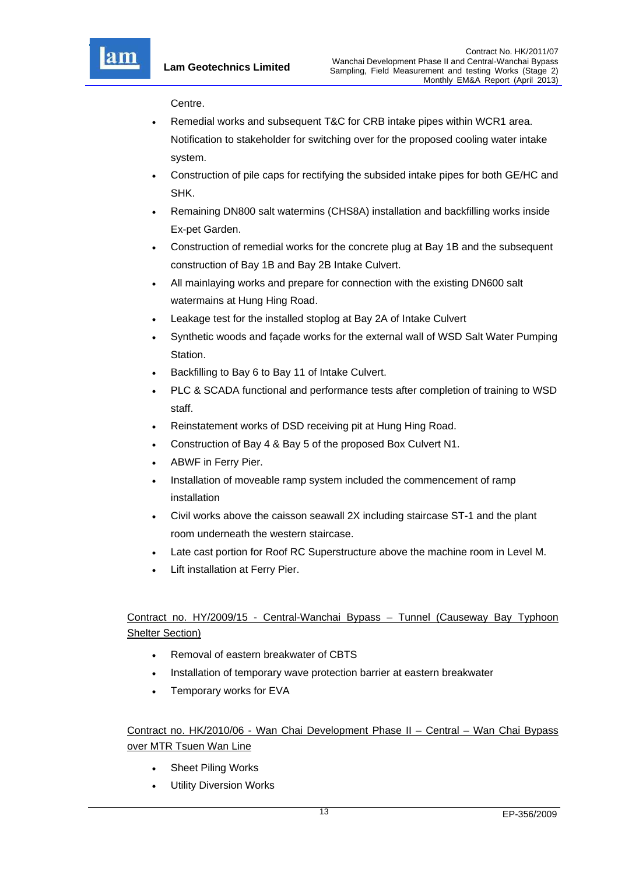

Centre.

- Remedial works and subsequent T&C for CRB intake pipes within WCR1 area. Notification to stakeholder for switching over for the proposed cooling water intake system.
- Construction of pile caps for rectifying the subsided intake pipes for both GE/HC and SHK.
- Remaining DN800 salt watermins (CHS8A) installation and backfilling works inside Ex-pet Garden.
- Construction of remedial works for the concrete plug at Bay 1B and the subsequent construction of Bay 1B and Bay 2B Intake Culvert.
- All mainlaying works and prepare for connection with the existing DN600 salt watermains at Hung Hing Road.
- Leakage test for the installed stoplog at Bay 2A of Intake Culvert
- Synthetic woods and façade works for the external wall of WSD Salt Water Pumping Station.
- Backfilling to Bay 6 to Bay 11 of Intake Culvert.
- PLC & SCADA functional and performance tests after completion of training to WSD staff.
- Reinstatement works of DSD receiving pit at Hung Hing Road.
- Construction of Bay 4 & Bay 5 of the proposed Box Culvert N1.
- ABWF in Ferry Pier.
- Installation of moveable ramp system included the commencement of ramp installation
- Civil works above the caisson seawall 2X including staircase ST-1 and the plant room underneath the western staircase.
- Late cast portion for Roof RC Superstructure above the machine room in Level M.
- Lift installation at Ferry Pier.

# Contract no. HY/2009/15 - Central-Wanchai Bypass – Tunnel (Causeway Bay Typhoon Shelter Section)

- Removal of eastern breakwater of CBTS
- Installation of temporary wave protection barrier at eastern breakwater
- Temporary works for EVA

Contract no. HK/2010/06 - Wan Chai Development Phase II – Central – Wan Chai Bypass over MTR Tsuen Wan Line

- Sheet Piling Works
- Utility Diversion Works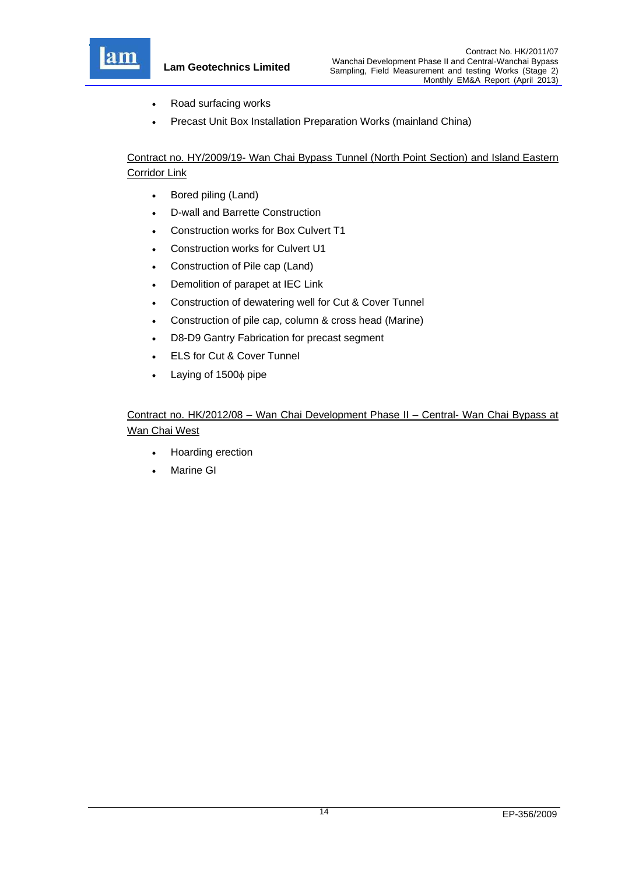

**Lam Geotechnics Limited**

- Road surfacing works
- Precast Unit Box Installation Preparation Works (mainland China)

Contract no. HY/2009/19- Wan Chai Bypass Tunnel (North Point Section) and Island Eastern Corridor Link

- Bored piling (Land)
- D-wall and Barrette Construction
- Construction works for Box Culvert T1
- Construction works for Culvert U1
- Construction of Pile cap (Land)
- Demolition of parapet at IEC Link
- Construction of dewatering well for Cut & Cover Tunnel
- Construction of pile cap, column & cross head (Marine)
- D8-D9 Gantry Fabrication for precast segment
- ELS for Cut & Cover Tunnel
- $\bullet$  Laying of 1500 $\phi$  pipe

# Contract no. HK/2012/08 – Wan Chai Development Phase II – Central- Wan Chai Bypass at Wan Chai West

- Hoarding erection
- Marine GI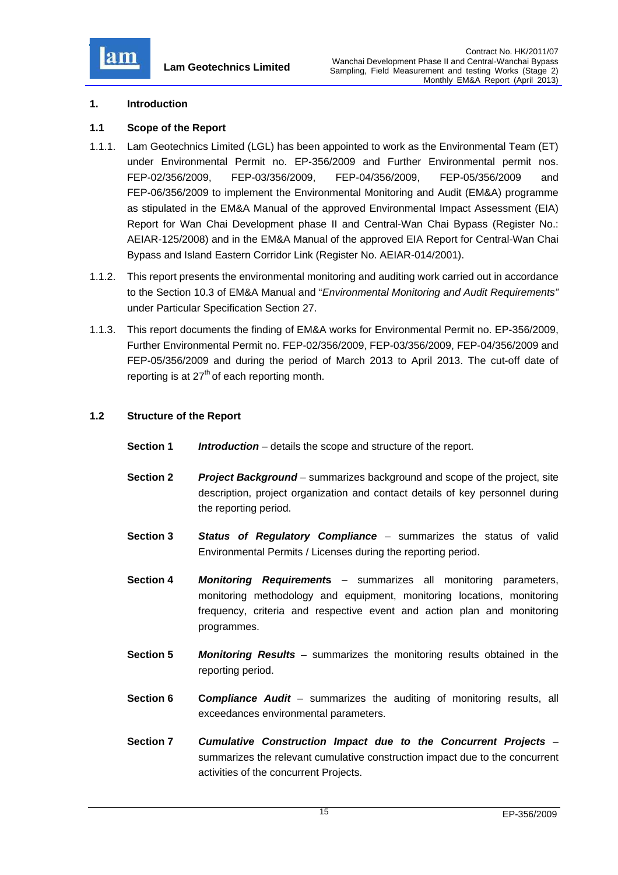

#### **1. Introduction**

#### **1.1 Scope of the Report**

- 1.1.1. Lam Geotechnics Limited (LGL) has been appointed to work as the Environmental Team (ET) under Environmental Permit no. EP-356/2009 and Further Environmental permit nos. FEP-02/356/2009, FEP-03/356/2009, FEP-04/356/2009, FEP-05/356/2009 and FEP-06/356/2009 to implement the Environmental Monitoring and Audit (EM&A) programme as stipulated in the EM&A Manual of the approved Environmental Impact Assessment (EIA) Report for Wan Chai Development phase II and Central-Wan Chai Bypass (Register No.: AEIAR-125/2008) and in the EM&A Manual of the approved EIA Report for Central-Wan Chai Bypass and Island Eastern Corridor Link (Register No. AEIAR-014/2001).
- 1.1.2. This report presents the environmental monitoring and auditing work carried out in accordance to the Section 10.3 of EM&A Manual and "*Environmental Monitoring and Audit Requirements"* under Particular Specification Section 27.
- 1.1.3. This report documents the finding of EM&A works for Environmental Permit no. EP-356/2009, Further Environmental Permit no. FEP-02/356/2009, FEP-03/356/2009, FEP-04/356/2009 and FEP-05/356/2009 and during the period of March 2013 to April 2013. The cut-off date of reporting is at  $27<sup>th</sup>$  of each reporting month.

#### **1.2 Structure of the Report**

- **Section 1** *Introduction* details the scope and structure of the report.
- **Section 2** *Project Background* summarizes background and scope of the project, site description, project organization and contact details of key personnel during the reporting period.
- **Section 3** *Status of Regulatory Compliance* summarizes the status of valid Environmental Permits / Licenses during the reporting period.
- **Section 4** *Monitoring Requirement***s** summarizes all monitoring parameters, monitoring methodology and equipment, monitoring locations, monitoring frequency, criteria and respective event and action plan and monitoring programmes.
- **Section 5** *Monitoring Results* summarizes the monitoring results obtained in the reporting period.
- **Section 6 Compliance Audit** summarizes the auditing of monitoring results, all exceedances environmental parameters.
- **Section 7** *Cumulative Construction Impact due to the Concurrent Projects*  summarizes the relevant cumulative construction impact due to the concurrent activities of the concurrent Projects.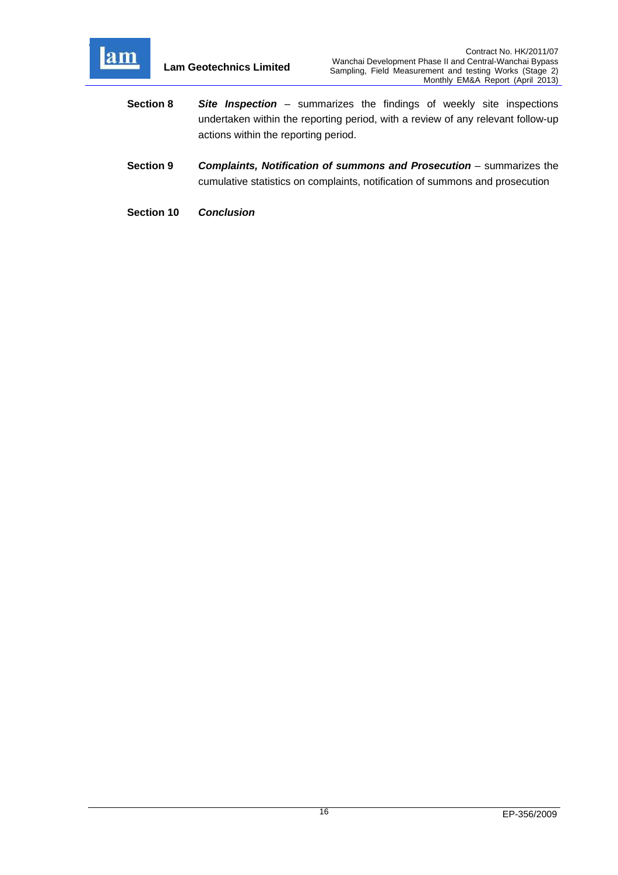

- **Section 8** *Site Inspection*  summarizes the findings of weekly site inspections undertaken within the reporting period, with a review of any relevant follow-up actions within the reporting period.
- **Section 9** *Complaints, Notification of summons and Prosecution summarizes the* cumulative statistics on complaints, notification of summons and prosecution
- **Section 10** *Conclusion*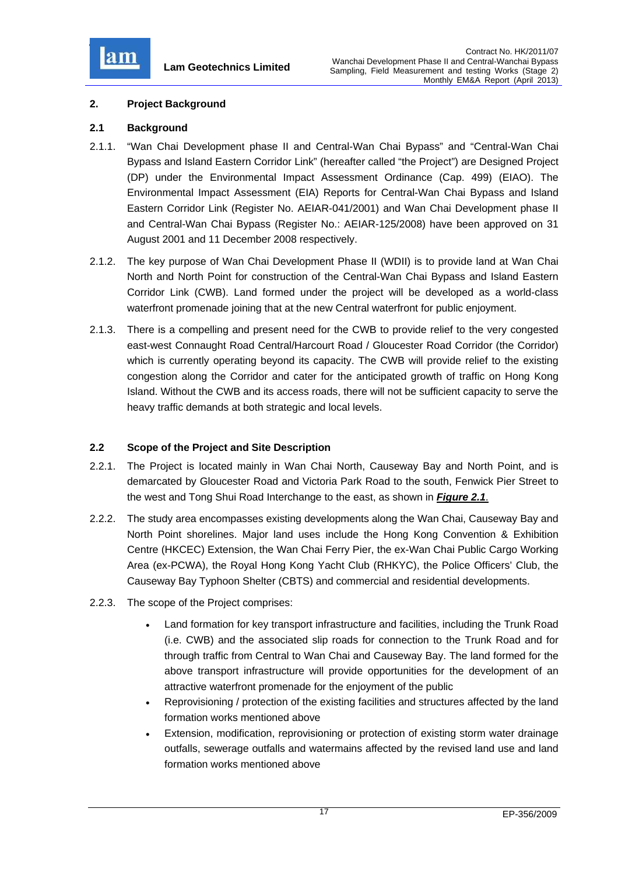

### **2. Project Background**

### **2.1 Background**

- 2.1.1. "Wan Chai Development phase II and Central-Wan Chai Bypass" and "Central-Wan Chai Bypass and Island Eastern Corridor Link" (hereafter called "the Project") are Designed Project (DP) under the Environmental Impact Assessment Ordinance (Cap. 499) (EIAO). The Environmental Impact Assessment (EIA) Reports for Central-Wan Chai Bypass and Island Eastern Corridor Link (Register No. AEIAR-041/2001) and Wan Chai Development phase II and Central-Wan Chai Bypass (Register No.: AEIAR-125/2008) have been approved on 31 August 2001 and 11 December 2008 respectively.
- 2.1.2. The key purpose of Wan Chai Development Phase II (WDII) is to provide land at Wan Chai North and North Point for construction of the Central-Wan Chai Bypass and Island Eastern Corridor Link (CWB). Land formed under the project will be developed as a world-class waterfront promenade joining that at the new Central waterfront for public enjoyment.
- 2.1.3. There is a compelling and present need for the CWB to provide relief to the very congested east-west Connaught Road Central/Harcourt Road / Gloucester Road Corridor (the Corridor) which is currently operating beyond its capacity. The CWB will provide relief to the existing congestion along the Corridor and cater for the anticipated growth of traffic on Hong Kong Island. Without the CWB and its access roads, there will not be sufficient capacity to serve the heavy traffic demands at both strategic and local levels.

### **2.2 Scope of the Project and Site Description**

- 2.2.1. The Project is located mainly in Wan Chai North, Causeway Bay and North Point, and is demarcated by Gloucester Road and Victoria Park Road to the south, Fenwick Pier Street to the west and Tong Shui Road Interchange to the east, as shown in *Figure 2.1*.
- 2.2.2. The study area encompasses existing developments along the Wan Chai, Causeway Bay and North Point shorelines. Major land uses include the Hong Kong Convention & Exhibition Centre (HKCEC) Extension, the Wan Chai Ferry Pier, the ex-Wan Chai Public Cargo Working Area (ex-PCWA), the Royal Hong Kong Yacht Club (RHKYC), the Police Officers' Club, the Causeway Bay Typhoon Shelter (CBTS) and commercial and residential developments.
- 2.2.3. The scope of the Project comprises:
	- Land formation for key transport infrastructure and facilities, including the Trunk Road (i.e. CWB) and the associated slip roads for connection to the Trunk Road and for through traffic from Central to Wan Chai and Causeway Bay. The land formed for the above transport infrastructure will provide opportunities for the development of an attractive waterfront promenade for the enjoyment of the public
	- Reprovisioning / protection of the existing facilities and structures affected by the land formation works mentioned above
	- Extension, modification, reprovisioning or protection of existing storm water drainage outfalls, sewerage outfalls and watermains affected by the revised land use and land formation works mentioned above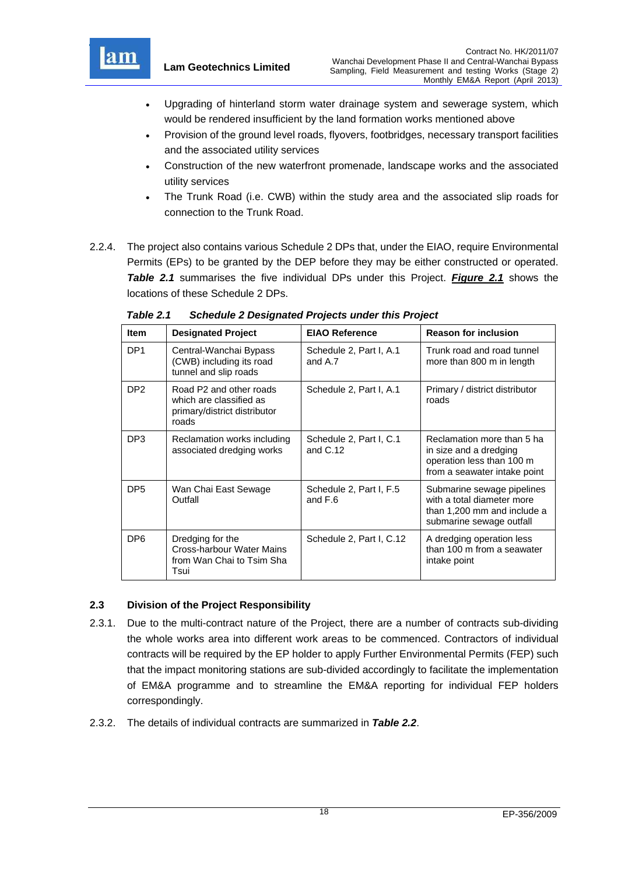

- Upgrading of hinterland storm water drainage system and sewerage system, which would be rendered insufficient by the land formation works mentioned above
- Provision of the ground level roads, flyovers, footbridges, necessary transport facilities and the associated utility services
- Construction of the new waterfront promenade, landscape works and the associated utility services
- The Trunk Road (i.e. CWB) within the study area and the associated slip roads for connection to the Trunk Road.
- 2.2.4. The project also contains various Schedule 2 DPs that, under the EIAO, require Environmental Permits (EPs) to be granted by the DEP before they may be either constructed or operated. *Table 2.1* summarises the five individual DPs under this Project. *Figure 2.1* shows the locations of these Schedule 2 DPs.

| <b>Item</b>     | <b>Designated Project</b>                                                                   | <b>EIAO Reference</b>                 | <b>Reason for inclusion</b>                                                                                         |
|-----------------|---------------------------------------------------------------------------------------------|---------------------------------------|---------------------------------------------------------------------------------------------------------------------|
| DP <sub>1</sub> | Central-Wanchai Bypass<br>(CWB) including its road<br>tunnel and slip roads                 | Schedule 2, Part I, A.1<br>and A.7    | Trunk road and road tunnel<br>more than 800 m in length                                                             |
| DP <sub>2</sub> | Road P2 and other roads<br>which are classified as<br>primary/district distributor<br>roads | Schedule 2, Part I, A.1               | Primary / district distributor<br>roads                                                                             |
| DP <sub>3</sub> | Reclamation works including<br>associated dredging works                                    | Schedule 2, Part I, C.1<br>and $C.12$ | Reclamation more than 5 ha<br>in size and a dredging<br>operation less than 100 m<br>from a seawater intake point   |
| DP <sub>5</sub> | Wan Chai East Sewage<br>Outfall                                                             | Schedule 2, Part I, F.5<br>and $F.6$  | Submarine sewage pipelines<br>with a total diameter more<br>than 1,200 mm and include a<br>submarine sewage outfall |
| DP <sub>6</sub> | Dredging for the<br>Cross-harbour Water Mains<br>from Wan Chai to Tsim Sha<br>Tsui          | Schedule 2, Part I, C.12              | A dredging operation less<br>than 100 m from a seawater<br>intake point                                             |

*Table 2.1 Schedule 2 Designated Projects under this Project* 

# **2.3 Division of the Project Responsibility**

- 2.3.1. Due to the multi-contract nature of the Project, there are a number of contracts sub-dividing the whole works area into different work areas to be commenced. Contractors of individual contracts will be required by the EP holder to apply Further Environmental Permits (FEP) such that the impact monitoring stations are sub-divided accordingly to facilitate the implementation of EM&A programme and to streamline the EM&A reporting for individual FEP holders correspondingly.
- 2.3.2. The details of individual contracts are summarized in *Table 2.2*.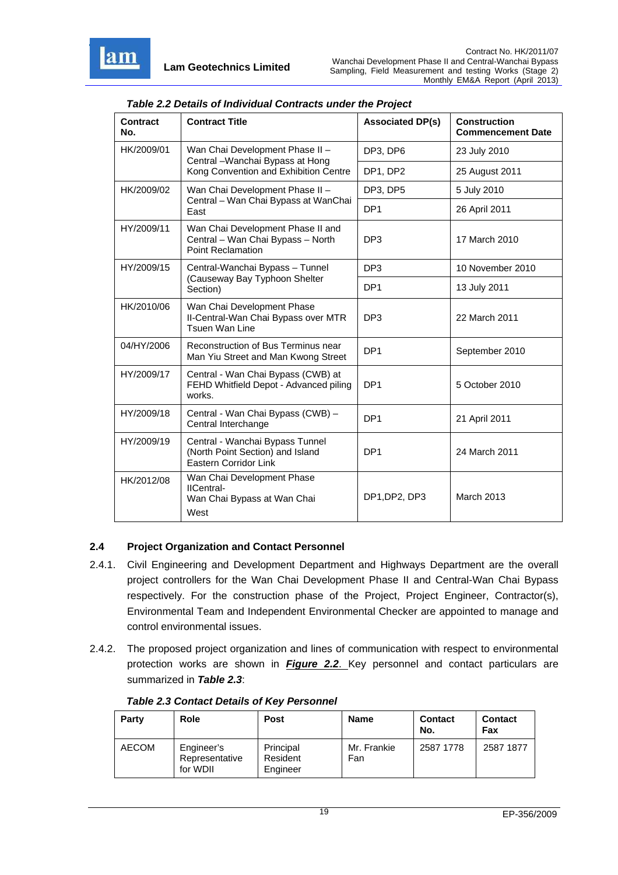

| Contract<br>No.                                                                               | <b>Contract Title</b>                                                                              | <b>Associated DP(s)</b> | <b>Construction</b><br><b>Commencement Date</b> |
|-----------------------------------------------------------------------------------------------|----------------------------------------------------------------------------------------------------|-------------------------|-------------------------------------------------|
| HK/2009/01                                                                                    | Wan Chai Development Phase II -<br>Central - Wanchai Bypass at Hong                                | DP3, DP6                | 23 July 2010                                    |
|                                                                                               | Kong Convention and Exhibition Centre                                                              | DP1, DP2                | 25 August 2011                                  |
| HK/2009/02<br>Wan Chai Development Phase II -<br>Central - Wan Chai Bypass at WanChai<br>East |                                                                                                    | DP3, DP5                | 5 July 2010                                     |
|                                                                                               |                                                                                                    | DP <sub>1</sub>         | 26 April 2011                                   |
| HY/2009/11                                                                                    | Wan Chai Development Phase II and<br>Central - Wan Chai Bypass - North<br><b>Point Reclamation</b> | DP <sub>3</sub>         | 17 March 2010                                   |
| HY/2009/15                                                                                    | Central-Wanchai Bypass - Tunnel                                                                    | DP <sub>3</sub>         | 10 November 2010                                |
| (Causeway Bay Typhoon Shelter<br>Section)                                                     |                                                                                                    | DP <sub>1</sub>         | 13 July 2011                                    |
| HK/2010/06                                                                                    | Wan Chai Development Phase<br>II-Central-Wan Chai Bypass over MTR<br>Tsuen Wan Line                | DP <sub>3</sub>         | 22 March 2011                                   |
| 04/HY/2006                                                                                    | Reconstruction of Bus Terminus near<br>Man Yiu Street and Man Kwong Street                         | DP <sub>1</sub>         | September 2010                                  |
| HY/2009/17                                                                                    | Central - Wan Chai Bypass (CWB) at<br>FEHD Whitfield Depot - Advanced piling<br>works.             | DP <sub>1</sub>         | 5 October 2010                                  |
| HY/2009/18                                                                                    | Central - Wan Chai Bypass (CWB) -<br>Central Interchange                                           | DP <sub>1</sub>         | 21 April 2011                                   |
| HY/2009/19                                                                                    | Central - Wanchai Bypass Tunnel<br>(North Point Section) and Island<br>Eastern Corridor Link       | DP <sub>1</sub>         | 24 March 2011                                   |
| HK/2012/08                                                                                    | Wan Chai Development Phase<br>IICentral-<br>Wan Chai Bypass at Wan Chai<br>West                    | DP1, DP2, DP3           | March 2013                                      |

#### *Table 2.2 Details of Individual Contracts under the Project*

### **2.4 Project Organization and Contact Personnel**

- 2.4.1. Civil Engineering and Development Department and Highways Department are the overall project controllers for the Wan Chai Development Phase II and Central-Wan Chai Bypass respectively. For the construction phase of the Project, Project Engineer, Contractor(s), Environmental Team and Independent Environmental Checker are appointed to manage and control environmental issues.
- 2.4.2. The proposed project organization and lines of communication with respect to environmental protection works are shown in *Figure 2.2*. Key personnel and contact particulars are summarized in *Table 2.3*:

| Party        | Role                                     | <b>Post</b>                       | <b>Name</b>        | <b>Contact</b><br>No. | <b>Contact</b><br>Fax |
|--------------|------------------------------------------|-----------------------------------|--------------------|-----------------------|-----------------------|
| <b>AECOM</b> | Engineer's<br>Representative<br>for WDII | Principal<br>Resident<br>Engineer | Mr. Frankie<br>Fan | 2587 1778             | 2587 1877             |

#### *Table 2.3 Contact Details of Key Personnel*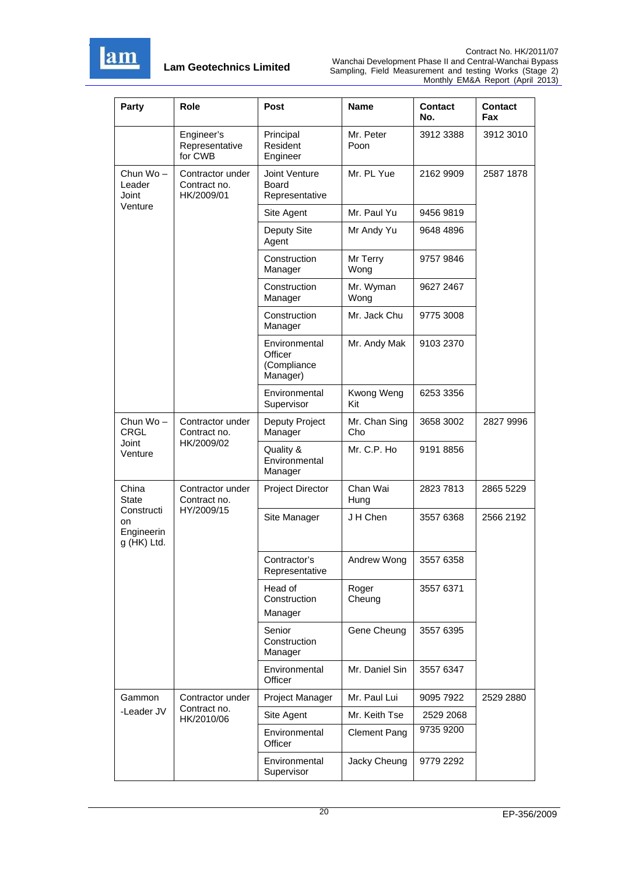

| Party                                         | Role                                           | <b>Post</b>                                         | Name                 | <b>Contact</b><br>No. | <b>Contact</b><br>Fax |
|-----------------------------------------------|------------------------------------------------|-----------------------------------------------------|----------------------|-----------------------|-----------------------|
|                                               | Engineer's<br>Representative<br>for CWB        | Principal<br>Resident<br>Engineer                   | Mr. Peter<br>Poon    | 3912 3388             | 3912 3010             |
| Chun Wo-<br>Leader<br>Joint                   | Contractor under<br>Contract no.<br>HK/2009/01 | Joint Venture<br>Board<br>Representative            | Mr. PL Yue           | 2162 9909             | 2587 1878             |
| Venture                                       |                                                | Site Agent                                          | Mr. Paul Yu          | 9456 9819             |                       |
|                                               |                                                | Deputy Site<br>Agent                                | Mr Andy Yu           | 9648 4896             |                       |
|                                               |                                                | Construction<br>Manager                             | Mr Terry<br>Wong     | 9757 9846             |                       |
|                                               |                                                | Construction<br>Manager                             | Mr. Wyman<br>Wong    | 9627 2467             |                       |
|                                               |                                                | Construction<br>Manager                             | Mr. Jack Chu         | 9775 3008             |                       |
|                                               |                                                | Environmental<br>Officer<br>(Compliance<br>Manager) | Mr. Andy Mak         | 9103 2370             |                       |
|                                               |                                                | Environmental<br>Supervisor                         | Kwong Weng<br>Kit    | 6253 3356             |                       |
| Chun Wo-<br><b>CRGL</b>                       | Contractor under<br>Contract no.               | Deputy Project<br>Manager                           | Mr. Chan Sing<br>Cho | 3658 3002             | 2827 9996             |
| Joint<br>Venture                              | HK/2009/02                                     | Quality &<br>Environmental<br>Manager               | Mr. C.P. Ho          | 9191 8856             |                       |
| China<br>State                                | Contractor under<br>Contract no.               | <b>Project Director</b>                             | Chan Wai<br>Hung     | 2823 7813             | 2865 5229             |
| Constructi<br>on<br>Engineerin<br>g (HK) Ltd. | HY/2009/15                                     | Site Manager                                        | J H Chen             | 3557 6368             | 2566 2192             |
|                                               |                                                | Contractor's<br>Representative                      | Andrew Wong          | 3557 6358             |                       |
|                                               |                                                | Head of<br>Construction<br>Manager                  | Roger<br>Cheung      | 3557 6371             |                       |
|                                               |                                                | Senior<br>Construction<br>Manager                   | Gene Cheung          | 3557 6395             |                       |
|                                               |                                                | Environmental<br>Officer                            | Mr. Daniel Sin       | 3557 6347             |                       |
| Gammon                                        | Contractor under                               | Project Manager                                     | Mr. Paul Lui         | 9095 7922             | 2529 2880             |
| -Leader JV                                    | Contract no.<br>HK/2010/06                     | Site Agent                                          | Mr. Keith Tse        | 2529 2068             |                       |
|                                               |                                                | Environmental<br>Officer                            | <b>Clement Pang</b>  | 9735 9200             |                       |
|                                               |                                                | Environmental<br>Supervisor                         | Jacky Cheung         | 9779 2292             |                       |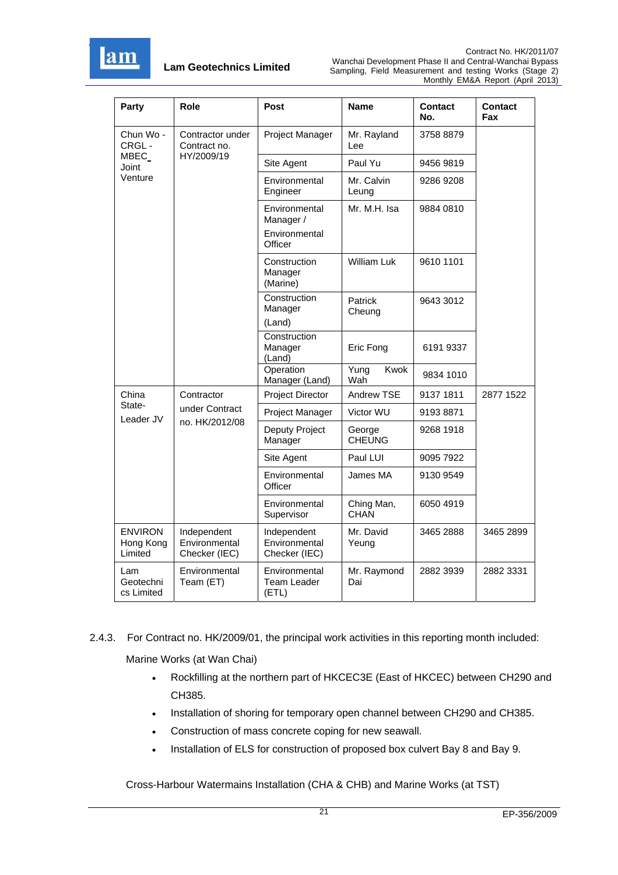

| Party                                  | Role                                          | Post                                                   | Name                      | <b>Contact</b><br>No. | <b>Contact</b><br>Fax |
|----------------------------------------|-----------------------------------------------|--------------------------------------------------------|---------------------------|-----------------------|-----------------------|
| Chun Wo -<br>CRGL-                     | Contractor under<br>Contract no.              | Project Manager                                        | Mr. Rayland<br>Lee        | 3758 8879             |                       |
| MBEC_<br>Joint                         | HY/2009/19                                    | Site Agent                                             | Paul Yu                   | 9456 9819             |                       |
| Venture                                |                                               | Environmental<br>Engineer                              | Mr. Calvin<br>Leung       | 9286 9208             |                       |
|                                        |                                               | Environmental<br>Manager /<br>Environmental<br>Officer | Mr. M.H. Isa              | 9884 0810             |                       |
|                                        |                                               | Construction<br>Manager<br>(Marine)                    | William Luk               | 9610 1101             |                       |
|                                        |                                               | Construction<br>Manager<br>(Land)                      | Patrick<br>Cheung         | 9643 3012             |                       |
|                                        |                                               | Construction<br>Manager<br>(Land)                      | Eric Fong                 | 6191 9337             |                       |
|                                        |                                               | Operation<br>Manager (Land)                            | Kwok<br>Yung<br>Wah       | 9834 1010             |                       |
| China                                  | Contractor                                    | Project Director                                       | Andrew TSE                | 9137 1811             | 2877 1522             |
| State-<br>Leader JV                    | under Contract                                | Project Manager                                        | Victor WU                 | 91938871              |                       |
|                                        | no. HK/2012/08                                | Deputy Project<br>Manager                              | George<br><b>CHEUNG</b>   | 9268 1918             |                       |
|                                        |                                               | Site Agent                                             | Paul LUI                  | 9095 7922             |                       |
|                                        |                                               | Environmental<br>Officer                               | James MA                  | 9130 9549             |                       |
|                                        |                                               | Environmental<br>Supervisor                            | Ching Man,<br><b>CHAN</b> | 6050 4919             |                       |
| <b>ENVIRON</b><br>Hong Kong<br>Limited | Independent<br>Environmental<br>Checker (IEC) | Independent<br>Environmental<br>Checker (IEC)          | Mr. David<br>Yeung        | 3465 2888             | 3465 2899             |
| Lam<br>Geotechni<br>cs Limited         | Environmental<br>Team (ET)                    | Environmental<br>Team Leader<br>(ETL)                  | Mr. Raymond<br>Dai        | 2882 3939             | 2882 3331             |

2.4.3. For Contract no. HK/2009/01, the principal work activities in this reporting month included:

Marine Works (at Wan Chai)

- Rockfilling at the northern part of HKCEC3E (East of HKCEC) between CH290 and CH385.
- Installation of shoring for temporary open channel between CH290 and CH385.
- Construction of mass concrete coping for new seawall.
- Installation of ELS for construction of proposed box culvert Bay 8 and Bay 9.

Cross-Harbour Watermains Installation (CHA & CHB) and Marine Works (at TST)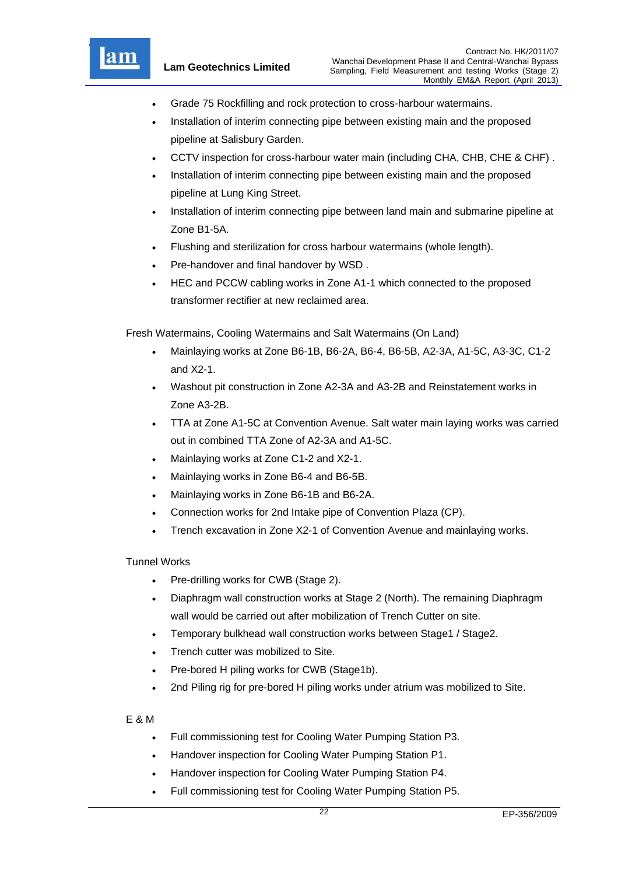

- Grade 75 Rockfilling and rock protection to cross-harbour watermains.
- Installation of interim connecting pipe between existing main and the proposed pipeline at Salisbury Garden.
- CCTV inspection for cross-harbour water main (including CHA, CHB, CHE & CHF) .
- Installation of interim connecting pipe between existing main and the proposed pipeline at Lung King Street.
- Installation of interim connecting pipe between land main and submarine pipeline at Zone B1-5A.
- Flushing and sterilization for cross harbour watermains (whole length).
- Pre-handover and final handover by WSD .
- HEC and PCCW cabling works in Zone A1-1 which connected to the proposed transformer rectifier at new reclaimed area.

Fresh Watermains, Cooling Watermains and Salt Watermains (On Land)

- Mainlaying works at Zone B6-1B, B6-2A, B6-4, B6-5B, A2-3A, A1-5C, A3-3C, C1-2 and X2-1.
- Washout pit construction in Zone A2-3A and A3-2B and Reinstatement works in Zone A3-2B.
- TTA at Zone A1-5C at Convention Avenue. Salt water main laying works was carried out in combined TTA Zone of A2-3A and A1-5C.
- Mainlaying works at Zone C1-2 and X2-1.
- Mainlaying works in Zone B6-4 and B6-5B.
- Mainlaying works in Zone B6-1B and B6-2A.
- Connection works for 2nd Intake pipe of Convention Plaza (CP).
- Trench excavation in Zone X2-1 of Convention Avenue and mainlaying works.

### Tunnel Works

- Pre-drilling works for CWB (Stage 2).
- Diaphragm wall construction works at Stage 2 (North). The remaining Diaphragm wall would be carried out after mobilization of Trench Cutter on site.
- Temporary bulkhead wall construction works between Stage1 / Stage2.
- Trench cutter was mobilized to Site.
- Pre-bored H piling works for CWB (Stage1b).
- 2nd Piling rig for pre-bored H piling works under atrium was mobilized to Site.

### E & M

- Full commissioning test for Cooling Water Pumping Station P3.
- Handover inspection for Cooling Water Pumping Station P1.
- Handover inspection for Cooling Water Pumping Station P4.
- Full commissioning test for Cooling Water Pumping Station P5.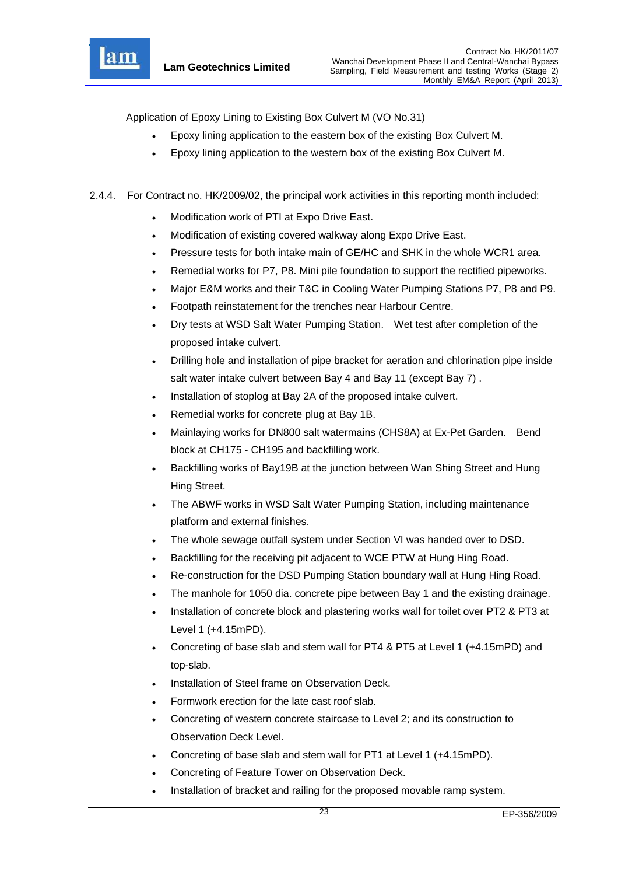

Application of Epoxy Lining to Existing Box Culvert M (VO No.31)

- Epoxy lining application to the eastern box of the existing Box Culvert M.
- Epoxy lining application to the western box of the existing Box Culvert M.
- 2.4.4. For Contract no. HK/2009/02, the principal work activities in this reporting month included:
	- Modification work of PTI at Expo Drive East.
	- Modification of existing covered walkway along Expo Drive East.
	- Pressure tests for both intake main of GE/HC and SHK in the whole WCR1 area.
	- Remedial works for P7, P8. Mini pile foundation to support the rectified pipeworks.
	- Major E&M works and their T&C in Cooling Water Pumping Stations P7, P8 and P9.
	- Footpath reinstatement for the trenches near Harbour Centre.
	- Dry tests at WSD Salt Water Pumping Station. Wet test after completion of the proposed intake culvert.
	- Drilling hole and installation of pipe bracket for aeration and chlorination pipe inside salt water intake culvert between Bay 4 and Bay 11 (except Bay 7) .
	- Installation of stoplog at Bay 2A of the proposed intake culvert.
	- Remedial works for concrete plug at Bay 1B.
	- Mainlaying works for DN800 salt watermains (CHS8A) at Ex-Pet Garden. Bend block at CH175 - CH195 and backfilling work.
	- Backfilling works of Bay19B at the junction between Wan Shing Street and Hung Hing Street.
	- The ABWF works in WSD Salt Water Pumping Station, including maintenance platform and external finishes.
	- The whole sewage outfall system under Section VI was handed over to DSD.
	- Backfilling for the receiving pit adjacent to WCE PTW at Hung Hing Road.
	- Re-construction for the DSD Pumping Station boundary wall at Hung Hing Road.
	- The manhole for 1050 dia. concrete pipe between Bay 1 and the existing drainage.
	- Installation of concrete block and plastering works wall for toilet over PT2 & PT3 at Level 1 (+4.15mPD).
	- Concreting of base slab and stem wall for PT4 & PT5 at Level 1 (+4.15mPD) and top-slab.
	- Installation of Steel frame on Observation Deck.
	- Formwork erection for the late cast roof slab.
	- Concreting of western concrete staircase to Level 2; and its construction to Observation Deck Level.
	- Concreting of base slab and stem wall for PT1 at Level 1 (+4.15mPD).
	- Concreting of Feature Tower on Observation Deck.
	- Installation of bracket and railing for the proposed movable ramp system.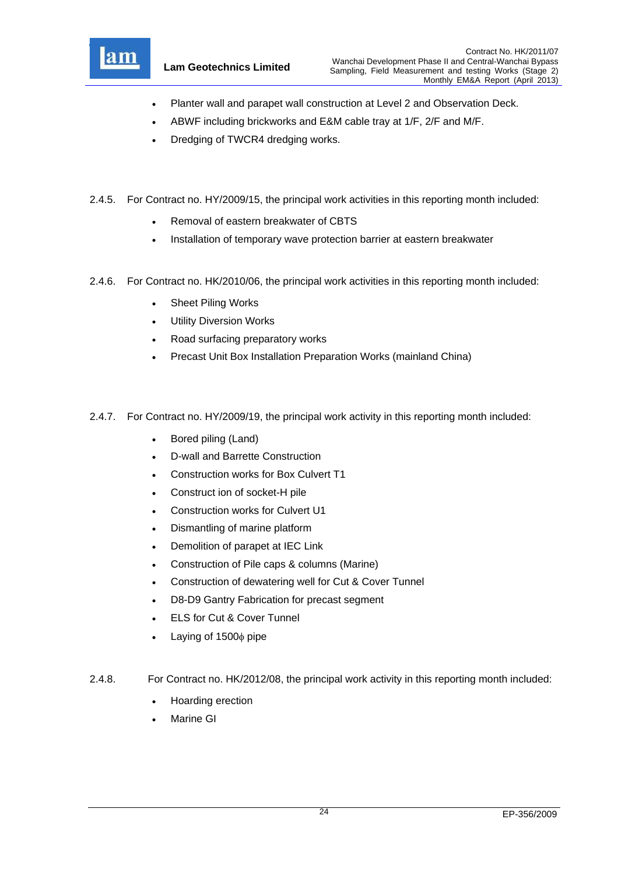

- Planter wall and parapet wall construction at Level 2 and Observation Deck.
- ABWF including brickworks and E&M cable tray at 1/F, 2/F and M/F.
- Dredging of TWCR4 dredging works.
- 2.4.5. For Contract no. HY/2009/15, the principal work activities in this reporting month included:
	- Removal of eastern breakwater of CBTS
	- Installation of temporary wave protection barrier at eastern breakwater
- 2.4.6. For Contract no. HK/2010/06, the principal work activities in this reporting month included:
	- Sheet Piling Works
	- Utility Diversion Works
	- Road surfacing preparatory works
	- Precast Unit Box Installation Preparation Works (mainland China)
- 2.4.7. For Contract no. HY/2009/19, the principal work activity in this reporting month included:
	- Bored piling (Land)
	- D-wall and Barrette Construction
	- Construction works for Box Culvert T1
	- Construct ion of socket-H pile
	- Construction works for Culvert U1
	- Dismantling of marine platform
	- Demolition of parapet at IEC Link
	- Construction of Pile caps & columns (Marine)
	- Construction of dewatering well for Cut & Cover Tunnel
	- D8-D9 Gantry Fabrication for precast segment
	- ELS for Cut & Cover Tunnel
	- Laying of  $1500\phi$  pipe
- 2.4.8. For Contract no. HK/2012/08, the principal work activity in this reporting month included:
	- Hoarding erection
	- Marine GI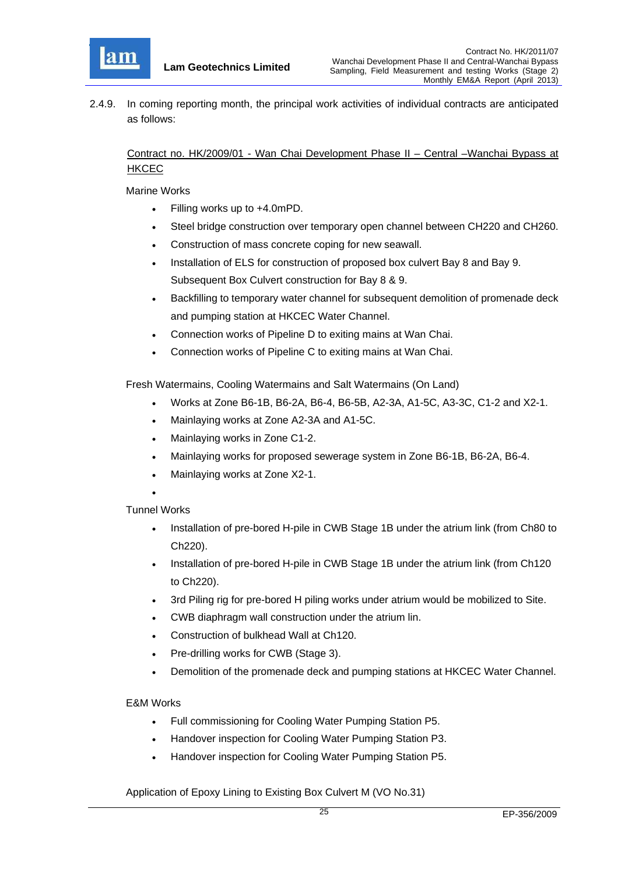

2.4.9. In coming reporting month, the principal work activities of individual contracts are anticipated as follows:

Contract no. HK/2009/01 - Wan Chai Development Phase II – Central –Wanchai Bypass at HKCEC

Marine Works

- Filling works up to +4.0mPD.
- Steel bridge construction over temporary open channel between CH220 and CH260.
- Construction of mass concrete coping for new seawall.
- Installation of ELS for construction of proposed box culvert Bay 8 and Bay 9. Subsequent Box Culvert construction for Bay 8 & 9.
- Backfilling to temporary water channel for subsequent demolition of promenade deck and pumping station at HKCEC Water Channel.
- Connection works of Pipeline D to exiting mains at Wan Chai.
- Connection works of Pipeline C to exiting mains at Wan Chai.

Fresh Watermains, Cooling Watermains and Salt Watermains (On Land)

- Works at Zone B6-1B, B6-2A, B6-4, B6-5B, A2-3A, A1-5C, A3-3C, C1-2 and X2-1.
- Mainlaying works at Zone A2-3A and A1-5C.
- Mainlaying works in Zone C1-2.
- Mainlaying works for proposed sewerage system in Zone B6-1B, B6-2A, B6-4.
- Mainlaying works at Zone X2-1.
- $\bullet$

### Tunnel Works

- Installation of pre-bored H-pile in CWB Stage 1B under the atrium link (from Ch80 to Ch220).
- Installation of pre-bored H-pile in CWB Stage 1B under the atrium link (from Ch120 to Ch220).
- 3rd Piling rig for pre-bored H piling works under atrium would be mobilized to Site.
- CWB diaphragm wall construction under the atrium lin.
- Construction of bulkhead Wall at Ch120.
- Pre-drilling works for CWB (Stage 3).
- Demolition of the promenade deck and pumping stations at HKCEC Water Channel.

### E&M Works

- Full commissioning for Cooling Water Pumping Station P5.
- Handover inspection for Cooling Water Pumping Station P3.
- Handover inspection for Cooling Water Pumping Station P5.

Application of Epoxy Lining to Existing Box Culvert M (VO No.31)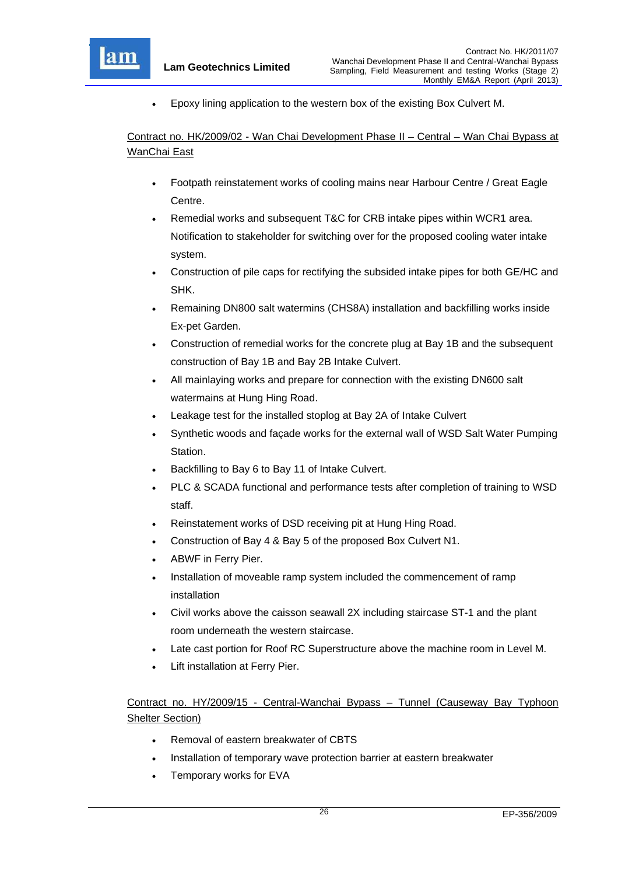

Epoxy lining application to the western box of the existing Box Culvert M.

Contract no. HK/2009/02 - Wan Chai Development Phase II – Central – Wan Chai Bypass at WanChai East

- Footpath reinstatement works of cooling mains near Harbour Centre / Great Eagle Centre.
- Remedial works and subsequent T&C for CRB intake pipes within WCR1 area. Notification to stakeholder for switching over for the proposed cooling water intake system.
- Construction of pile caps for rectifying the subsided intake pipes for both GE/HC and SHK.
- Remaining DN800 salt watermins (CHS8A) installation and backfilling works inside Ex-pet Garden.
- Construction of remedial works for the concrete plug at Bay 1B and the subsequent construction of Bay 1B and Bay 2B Intake Culvert.
- All mainlaying works and prepare for connection with the existing DN600 salt watermains at Hung Hing Road.
- Leakage test for the installed stoplog at Bay 2A of Intake Culvert
- Synthetic woods and façade works for the external wall of WSD Salt Water Pumping Station.
- Backfilling to Bay 6 to Bay 11 of Intake Culvert.
- PLC & SCADA functional and performance tests after completion of training to WSD staff.
- Reinstatement works of DSD receiving pit at Hung Hing Road.
- Construction of Bay 4 & Bay 5 of the proposed Box Culvert N1.
- ABWF in Ferry Pier.
- Installation of moveable ramp system included the commencement of ramp installation
- Civil works above the caisson seawall 2X including staircase ST-1 and the plant room underneath the western staircase.
- Late cast portion for Roof RC Superstructure above the machine room in Level M.
- Lift installation at Ferry Pier.

# Contract no. HY/2009/15 - Central-Wanchai Bypass – Tunnel (Causeway Bay Typhoon Shelter Section)

- Removal of eastern breakwater of CBTS
- Installation of temporary wave protection barrier at eastern breakwater
- Temporary works for EVA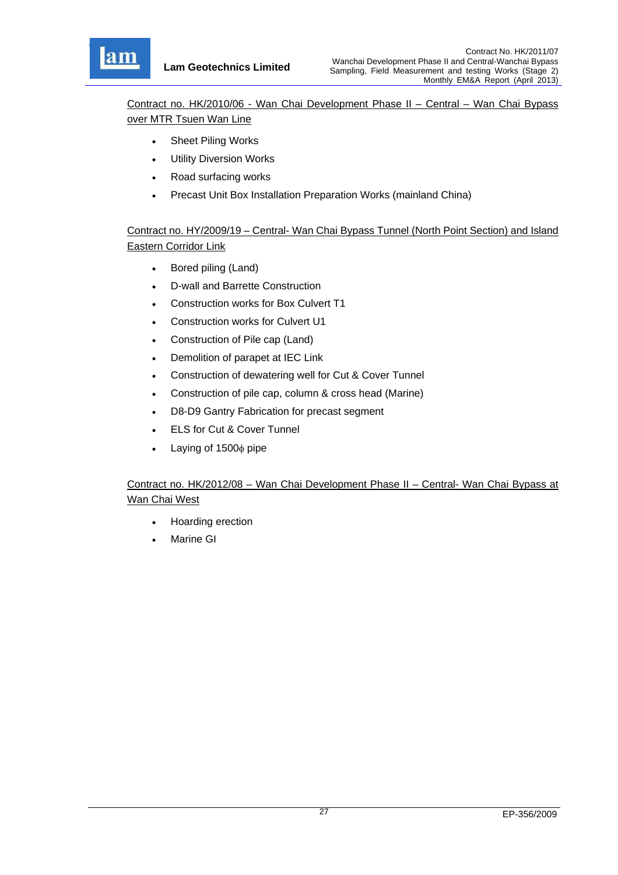

Contract no. HK/2010/06 - Wan Chai Development Phase II – Central – Wan Chai Bypass over MTR Tsuen Wan Line

- Sheet Piling Works
- Utility Diversion Works
- Road surfacing works
- Precast Unit Box Installation Preparation Works (mainland China)

Contract no. HY/2009/19 – Central- Wan Chai Bypass Tunnel (North Point Section) and Island Eastern Corridor Link

- Bored piling (Land)
- D-wall and Barrette Construction
- Construction works for Box Culvert T1
- Construction works for Culvert U1
- Construction of Pile cap (Land)
- Demolition of parapet at IEC Link
- Construction of dewatering well for Cut & Cover Tunnel
- Construction of pile cap, column & cross head (Marine)
- D8-D9 Gantry Fabrication for precast segment
- ELS for Cut & Cover Tunnel
- $\bullet$  Laying of 1500 $\phi$  pipe

# Contract no. HK/2012/08 – Wan Chai Development Phase II – Central- Wan Chai Bypass at Wan Chai West

- Hoarding erection
- Marine GI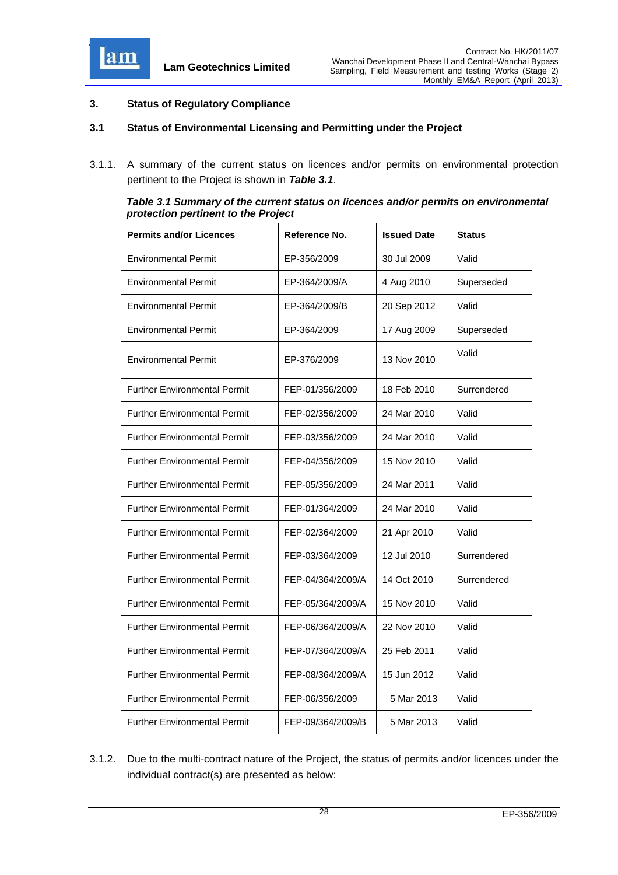

#### **3. Status of Regulatory Compliance**

#### **3.1 Status of Environmental Licensing and Permitting under the Project**

3.1.1. A summary of the current status on licences and/or permits on environmental protection pertinent to the Project is shown in *Table 3.1*.

| Table 3.1 Summary of the current status on licences and/or permits on environmental |
|-------------------------------------------------------------------------------------|
| protection pertinent to the Project                                                 |

| <b>Permits and/or Licences</b>      | Reference No.     | <b>Issued Date</b> | <b>Status</b> |
|-------------------------------------|-------------------|--------------------|---------------|
| <b>Environmental Permit</b>         | EP-356/2009       | 30 Jul 2009        | Valid         |
| <b>Environmental Permit</b>         | EP-364/2009/A     | 4 Aug 2010         | Superseded    |
| <b>Environmental Permit</b>         | EP-364/2009/B     | 20 Sep 2012        | Valid         |
| <b>Environmental Permit</b>         | EP-364/2009       | 17 Aug 2009        | Superseded    |
| <b>Environmental Permit</b>         | EP-376/2009       | 13 Nov 2010        | Valid         |
| <b>Further Environmental Permit</b> | FEP-01/356/2009   | 18 Feb 2010        | Surrendered   |
| <b>Further Environmental Permit</b> | FEP-02/356/2009   | 24 Mar 2010        | Valid         |
| <b>Further Environmental Permit</b> | FEP-03/356/2009   | 24 Mar 2010        | Valid         |
| <b>Further Environmental Permit</b> | FEP-04/356/2009   | 15 Nov 2010        | Valid         |
| <b>Further Environmental Permit</b> | FEP-05/356/2009   | 24 Mar 2011        | Valid         |
| <b>Further Environmental Permit</b> | FEP-01/364/2009   | 24 Mar 2010        | Valid         |
| <b>Further Environmental Permit</b> | FEP-02/364/2009   | 21 Apr 2010        | Valid         |
| <b>Further Environmental Permit</b> | FEP-03/364/2009   | 12 Jul 2010        | Surrendered   |
| <b>Further Environmental Permit</b> | FEP-04/364/2009/A | 14 Oct 2010        | Surrendered   |
| <b>Further Environmental Permit</b> | FEP-05/364/2009/A | 15 Nov 2010        | Valid         |
| <b>Further Environmental Permit</b> | FEP-06/364/2009/A | 22 Nov 2010        | Valid         |
| <b>Further Environmental Permit</b> | FEP-07/364/2009/A | 25 Feb 2011        | Valid         |
| <b>Further Environmental Permit</b> | FEP-08/364/2009/A | 15 Jun 2012        | Valid         |
| <b>Further Environmental Permit</b> | FEP-06/356/2009   | 5 Mar 2013         | Valid         |
| <b>Further Environmental Permit</b> | FEP-09/364/2009/B | 5 Mar 2013         | Valid         |

3.1.2. Due to the multi-contract nature of the Project, the status of permits and/or licences under the individual contract(s) are presented as below: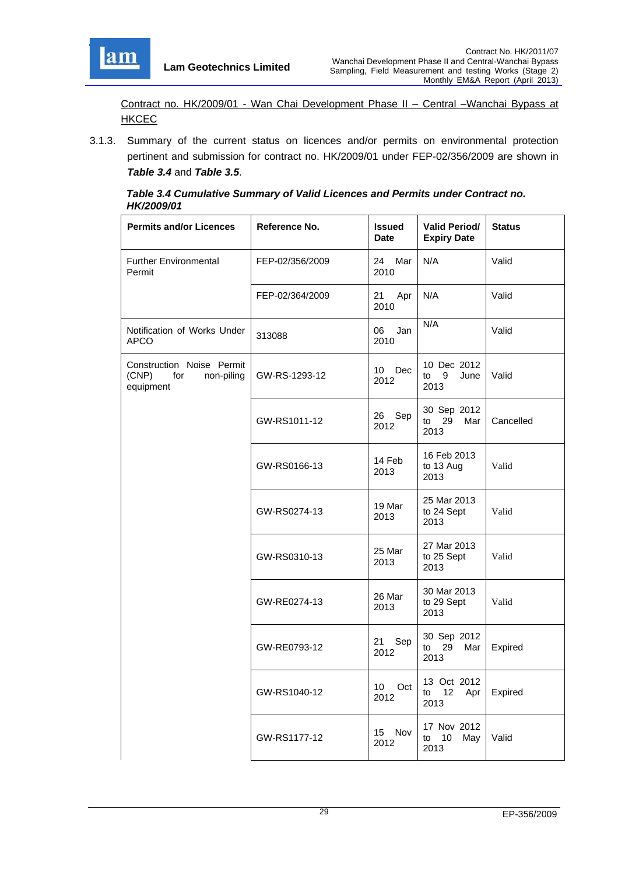

Contract no. HK/2009/01 - Wan Chai Development Phase II – Central –Wanchai Bypass at **HKCEC** 

3.1.3. Summary of the current status on licences and/or permits on environmental protection pertinent and submission for contract no. HK/2009/01 under FEP-02/356/2009 are shown in *Table 3.4* and *Table 3.5*.

| Table 3.4 Cumulative Summary of Valid Licences and Permits under Contract no. |
|-------------------------------------------------------------------------------|
| HK/2009/01                                                                    |

| <b>Permits and/or Licences</b>                                       | Reference No.   | <b>Issued</b><br><b>Date</b> | <b>Valid Period/</b><br><b>Expiry Date</b> | <b>Status</b> |
|----------------------------------------------------------------------|-----------------|------------------------------|--------------------------------------------|---------------|
| <b>Further Environmental</b><br>Permit                               | FEP-02/356/2009 | 24 Mar<br>2010               | N/A                                        | Valid         |
|                                                                      | FEP-02/364/2009 | 21 Apr<br>2010               | N/A                                        | Valid         |
| Notification of Works Under<br>APCO                                  | 313088          | Jan<br>06<br>2010            | N/A                                        | Valid         |
| Construction Noise Permit<br>(CNP)<br>non-piling<br>for<br>equipment | GW-RS-1293-12   | 10 Dec<br>2012               | 10 Dec 2012<br>$to$ 9<br>June<br>2013      | Valid         |
|                                                                      | GW-RS1011-12    | 26 Sep<br>2012               | 30 Sep 2012<br>to 29<br>Mar<br>2013        | Cancelled     |
|                                                                      | GW-RS0166-13    | 14 Feb<br>2013               | 16 Feb 2013<br>to 13 Aug<br>2013           | Valid         |
|                                                                      | GW-RS0274-13    | 19 Mar<br>2013               | 25 Mar 2013<br>to 24 Sept<br>2013          | Valid         |
|                                                                      | GW-RS0310-13    | 25 Mar<br>2013               | 27 Mar 2013<br>to 25 Sept<br>2013          | Valid         |
|                                                                      | GW-RE0274-13    | 26 Mar<br>2013               | 30 Mar 2013<br>to 29 Sept<br>2013          | Valid         |
|                                                                      | GW-RE0793-12    | 21<br>Sep<br>2012            | 30 Sep 2012<br>to 29<br>Mar<br>2013        | Expired       |
|                                                                      | GW-RS1040-12    | 10 Oct<br>2012               | 13 Oct 2012<br>to 12<br>Apr  <br>2013      | Expired       |
|                                                                      | GW-RS1177-12    | 15 Nov<br>2012               | 17 Nov 2012<br>to 10 May<br>2013           | Valid         |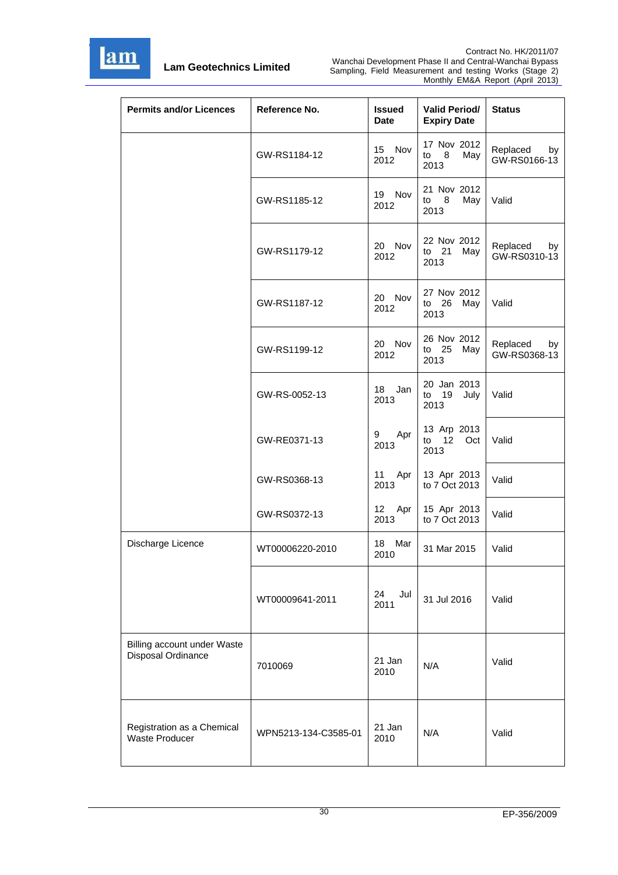

| <b>Permits and/or Licences</b>                      | Reference No.        | <b>Issued</b><br><b>Date</b> | <b>Valid Period/</b><br><b>Expiry Date</b> | <b>Status</b>                  |
|-----------------------------------------------------|----------------------|------------------------------|--------------------------------------------|--------------------------------|
|                                                     | GW-RS1184-12         | 15 Nov<br>2012               | 17 Nov 2012<br>8<br>May<br>to<br>2013      | Replaced<br>by<br>GW-RS0166-13 |
|                                                     | GW-RS1185-12         | 19 Nov<br>2012               | 21 Nov 2012<br>8<br>to<br>May<br>2013      | Valid                          |
|                                                     | GW-RS1179-12         | 20 Nov<br>2012               | 22 Nov 2012<br>21<br>to<br>May<br>2013     | Replaced<br>by<br>GW-RS0310-13 |
|                                                     | GW-RS1187-12         | 20 Nov<br>2012               | 27 Nov 2012<br>26<br>May<br>to<br>2013     | Valid                          |
|                                                     | GW-RS1199-12         | 20 Nov<br>2012               | 26 Nov 2012<br>to 25 May<br>2013           | Replaced<br>by<br>GW-RS0368-13 |
|                                                     | GW-RS-0052-13        | 18 Jan<br>2013               | 20 Jan 2013<br>to 19<br>July<br>2013       | Valid                          |
|                                                     | GW-RE0371-13         | 9<br>Apr<br>2013             | 13 Arp 2013<br>to $12$<br>Oct<br>2013      | Valid                          |
|                                                     | GW-RS0368-13         | 11 Apr<br>2013               | 13 Apr 2013<br>to 7 Oct 2013               | Valid                          |
|                                                     | GW-RS0372-13         | 12 Apr<br>2013               | 15 Apr 2013<br>to 7 Oct 2013               | Valid                          |
| Discharge Licence                                   | WT00006220-2010      | 18 Mar<br>2010               | 31 Mar 2015                                | Valid                          |
|                                                     | WT00009641-2011      | 24<br>Jul<br>2011            | 31 Jul 2016                                | Valid                          |
| Billing account under Waste<br>Disposal Ordinance   | 7010069              | 21 Jan<br>2010               | N/A                                        | Valid                          |
| Registration as a Chemical<br><b>Waste Producer</b> | WPN5213-134-C3585-01 | 21 Jan<br>2010               | N/A                                        | Valid                          |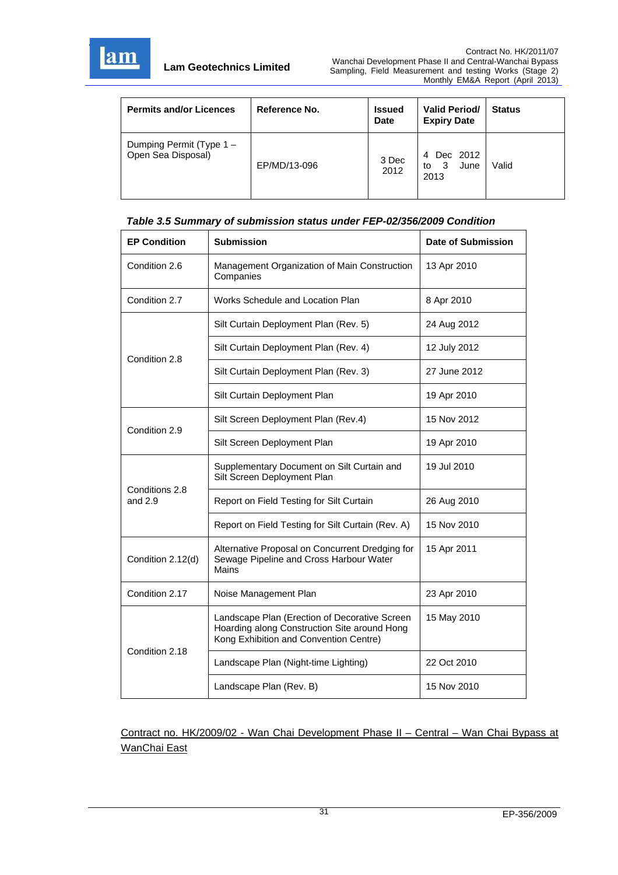

| <b>Permits and/or Licences</b>                 | Reference No. | <b>Issued</b><br><b>Date</b> | <b>Valid Period/</b><br><b>Expiry Date</b> | <b>Status</b> |
|------------------------------------------------|---------------|------------------------------|--------------------------------------------|---------------|
| Dumping Permit (Type 1 -<br>Open Sea Disposal) | EP/MD/13-096  | 3 Dec<br>2012                | Dec 2012<br>4<br>3<br>June<br>to<br>2013   | Valid         |

#### *Table 3.5 Summary of submission status under FEP-02/356/2009 Condition*

| <b>EP Condition</b>         | <b>Submission</b>                                                                                                                       | <b>Date of Submission</b> |
|-----------------------------|-----------------------------------------------------------------------------------------------------------------------------------------|---------------------------|
| Condition 2.6               | Management Organization of Main Construction<br>Companies                                                                               | 13 Apr 2010               |
| Condition 2.7               | Works Schedule and Location Plan                                                                                                        | 8 Apr 2010                |
|                             | Silt Curtain Deployment Plan (Rev. 5)                                                                                                   | 24 Aug 2012               |
| Condition 2.8               | Silt Curtain Deployment Plan (Rev. 4)                                                                                                   | 12 July 2012              |
|                             | Silt Curtain Deployment Plan (Rev. 3)                                                                                                   | 27 June 2012              |
|                             | Silt Curtain Deployment Plan                                                                                                            | 19 Apr 2010               |
| Condition 2.9               | Silt Screen Deployment Plan (Rev.4)                                                                                                     | 15 Nov 2012               |
|                             | Silt Screen Deployment Plan                                                                                                             | 19 Apr 2010               |
|                             | Supplementary Document on Silt Curtain and<br>Silt Screen Deployment Plan                                                               | 19 Jul 2010               |
| Conditions 2.8<br>and $2.9$ | Report on Field Testing for Silt Curtain                                                                                                | 26 Aug 2010               |
|                             | Report on Field Testing for Silt Curtain (Rev. A)                                                                                       | 15 Nov 2010               |
| Condition 2.12(d)           | Alternative Proposal on Concurrent Dredging for<br>Sewage Pipeline and Cross Harbour Water<br>Mains                                     | 15 Apr 2011               |
| Condition 2.17              | Noise Management Plan                                                                                                                   | 23 Apr 2010               |
|                             | Landscape Plan (Erection of Decorative Screen<br>Hoarding along Construction Site around Hong<br>Kong Exhibition and Convention Centre) | 15 May 2010               |
| Condition 2.18              | Landscape Plan (Night-time Lighting)                                                                                                    | 22 Oct 2010               |
|                             | Landscape Plan (Rev. B)                                                                                                                 | 15 Nov 2010               |

Contract no. HK/2009/02 - Wan Chai Development Phase II – Central – Wan Chai Bypass at WanChai East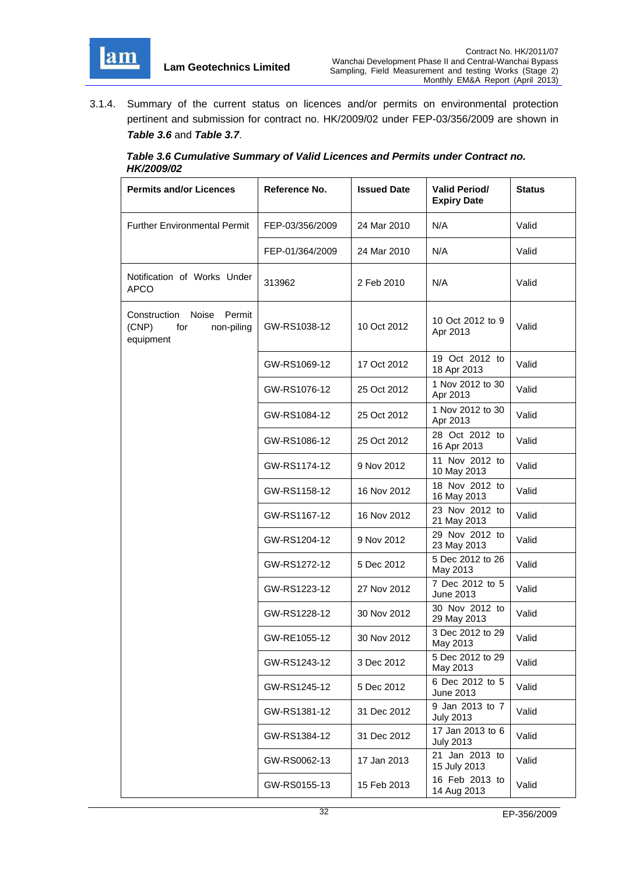

3.1.4. Summary of the current status on licences and/or permits on environmental protection pertinent and submission for contract no. HK/2009/02 under FEP-03/356/2009 are shown in *Table 3.6* and *Table 3.7*.

#### *Table 3.6 Cumulative Summary of Valid Licences and Permits under Contract no. HK/2009/02*

| <b>Permits and/or Licences</b>                                          | Reference No.   | <b>Issued Date</b> | <b>Valid Period/</b><br><b>Expiry Date</b> | <b>Status</b> |
|-------------------------------------------------------------------------|-----------------|--------------------|--------------------------------------------|---------------|
| <b>Further Environmental Permit</b>                                     | FEP-03/356/2009 | 24 Mar 2010        | N/A                                        | Valid         |
|                                                                         | FEP-01/364/2009 | 24 Mar 2010        | N/A                                        | Valid         |
| Notification of Works Under<br><b>APCO</b>                              | 313962          | 2 Feb 2010         | N/A                                        | Valid         |
| Permit<br>Construction Noise<br>(CNP)<br>for<br>non-piling<br>equipment | GW-RS1038-12    | 10 Oct 2012        | 10 Oct 2012 to 9<br>Apr 2013               | Valid         |
|                                                                         | GW-RS1069-12    | 17 Oct 2012        | 19 Oct 2012 to<br>18 Apr 2013              | Valid         |
|                                                                         | GW-RS1076-12    | 25 Oct 2012        | 1 Nov 2012 to 30<br>Apr 2013               | Valid         |
|                                                                         | GW-RS1084-12    | 25 Oct 2012        | 1 Nov 2012 to 30<br>Apr 2013               | Valid         |
|                                                                         | GW-RS1086-12    | 25 Oct 2012        | 28 Oct 2012 to<br>16 Apr 2013              | Valid         |
|                                                                         | GW-RS1174-12    | 9 Nov 2012         | 11 Nov 2012 to<br>10 May 2013              | Valid         |
|                                                                         | GW-RS1158-12    | 16 Nov 2012        | 18 Nov 2012 to<br>16 May 2013              | Valid         |
|                                                                         | GW-RS1167-12    | 16 Nov 2012        | 23 Nov 2012 to<br>21 May 2013              | Valid         |
|                                                                         | GW-RS1204-12    | 9 Nov 2012         | 29 Nov 2012 to<br>23 May 2013              | Valid         |
|                                                                         | GW-RS1272-12    | 5 Dec 2012         | 5 Dec 2012 to 26<br>May 2013               | Valid         |
|                                                                         | GW-RS1223-12    | 27 Nov 2012        | 7 Dec 2012 to 5<br><b>June 2013</b>        | Valid         |
|                                                                         | GW-RS1228-12    | 30 Nov 2012        | 30 Nov 2012 to<br>29 May 2013              | Valid         |
|                                                                         | GW-RE1055-12    | 30 Nov 2012        | 3 Dec 2012 to 29<br>May 2013               | Valid         |
|                                                                         | GW-RS1243-12    | 3 Dec 2012         | 5 Dec 2012 to 29<br>May 2013               | Valid         |
|                                                                         | GW-RS1245-12    | 5 Dec 2012         | 6 Dec 2012 to 5<br>June 2013               | Valid         |
|                                                                         | GW-RS1381-12    | 31 Dec 2012        | 9 Jan 2013 to 7<br><b>July 2013</b>        | Valid         |
|                                                                         | GW-RS1384-12    | 31 Dec 2012        | 17 Jan 2013 to 6<br><b>July 2013</b>       | Valid         |
|                                                                         | GW-RS0062-13    | 17 Jan 2013        | 21 Jan 2013 to<br>15 July 2013             | Valid         |
|                                                                         | GW-RS0155-13    | 15 Feb 2013        | 16 Feb 2013 to<br>14 Aug 2013              | Valid         |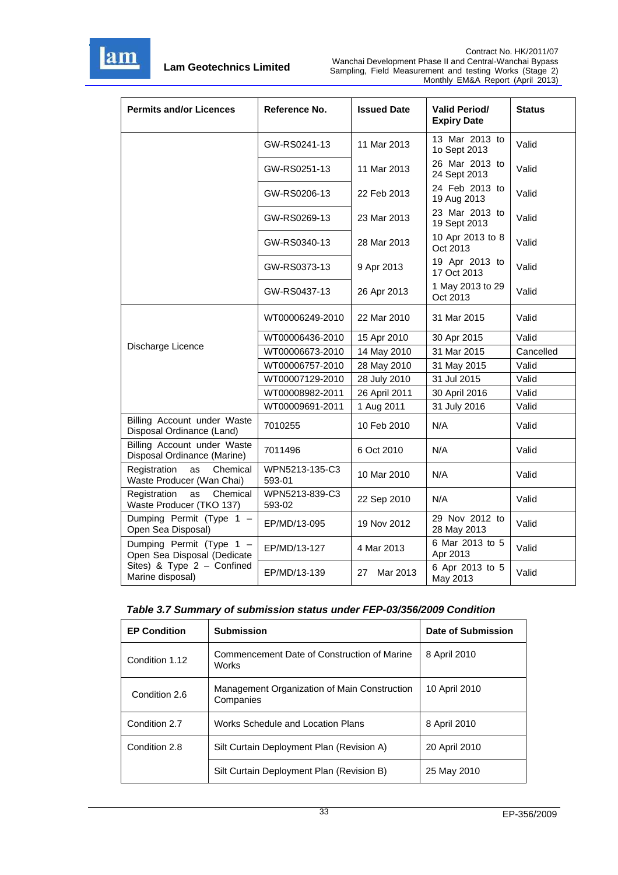

| <b>Permits and/or Licences</b>                              | Reference No.            | <b>Issued Date</b> | <b>Valid Period/</b><br><b>Expiry Date</b> | <b>Status</b> |
|-------------------------------------------------------------|--------------------------|--------------------|--------------------------------------------|---------------|
|                                                             | GW-RS0241-13             | 11 Mar 2013        | 13 Mar 2013 to<br>1o Sept 2013             | Valid         |
|                                                             | GW-RS0251-13             | 11 Mar 2013        | 26 Mar 2013 to<br>24 Sept 2013             | Valid         |
|                                                             | GW-RS0206-13             | 22 Feb 2013        | 24 Feb 2013 to<br>19 Aug 2013              | Valid         |
|                                                             | GW-RS0269-13             | 23 Mar 2013        | 23 Mar 2013 to<br>19 Sept 2013             | Valid         |
|                                                             | GW-RS0340-13             | 28 Mar 2013        | 10 Apr 2013 to 8<br>Oct 2013               | Valid         |
|                                                             | GW-RS0373-13             | 9 Apr 2013         | 19 Apr 2013 to<br>17 Oct 2013              | Valid         |
|                                                             | GW-RS0437-13             | 26 Apr 2013        | 1 May 2013 to 29<br>Oct 2013               | Valid         |
|                                                             | WT00006249-2010          | 22 Mar 2010        | 31 Mar 2015                                | Valid         |
|                                                             | WT00006436-2010          | 15 Apr 2010        | 30 Apr 2015                                | Valid         |
| Discharge Licence                                           | WT00006673-2010          | 14 May 2010        | 31 Mar 2015                                | Cancelled     |
|                                                             | WT00006757-2010          | 28 May 2010        | 31 May 2015                                | Valid         |
|                                                             | WT00007129-2010          | 28 July 2010       | 31 Jul 2015                                | Valid         |
|                                                             | WT00008982-2011          | 26 April 2011      | 30 April 2016                              | Valid         |
|                                                             | WT00009691-2011          | 1 Aug 2011         | 31 July 2016                               | Valid         |
| Billing Account under Waste<br>Disposal Ordinance (Land)    | 7010255                  | 10 Feb 2010        | N/A                                        | Valid         |
| Billing Account under Waste<br>Disposal Ordinance (Marine)  | 7011496                  | 6 Oct 2010         | N/A                                        | Valid         |
| Chemical<br>Registration<br>as<br>Waste Producer (Wan Chai) | WPN5213-135-C3<br>593-01 | 10 Mar 2010        | N/A                                        | Valid         |
| Chemical<br>Registration<br>as<br>Waste Producer (TKO 137)  | WPN5213-839-C3<br>593-02 | 22 Sep 2010        | N/A                                        | Valid         |
| Dumping Permit (Type 1 -<br>Open Sea Disposal)              | EP/MD/13-095             | 19 Nov 2012        | 29 Nov 2012 to<br>28 May 2013              | Valid         |
| Dumping Permit (Type 1 -<br>Open Sea Disposal (Dedicate     | EP/MD/13-127             | 4 Mar 2013         | 6 Mar 2013 to 5<br>Apr 2013                | Valid         |
| Sites) & Type $2 -$ Confined<br>Marine disposal)            | EP/MD/13-139             | 27<br>Mar 2013     | 6 Apr 2013 to 5<br>May 2013                | Valid         |

|  | Table 3.7 Summary of submission status under FEP-03/356/2009 Condition |  |  |
|--|------------------------------------------------------------------------|--|--|
|--|------------------------------------------------------------------------|--|--|

| <b>EP Condition</b> | <b>Submission</b>                                           | Date of Submission |
|---------------------|-------------------------------------------------------------|--------------------|
| Condition 1.12      | Commencement Date of Construction of Marine<br><b>Works</b> | 8 April 2010       |
| Condition 2.6       | Management Organization of Main Construction<br>Companies   | 10 April 2010      |
| Condition 2.7       | Works Schedule and Location Plans                           | 8 April 2010       |
| Condition 2.8       | Silt Curtain Deployment Plan (Revision A)                   | 20 April 2010      |
|                     | Silt Curtain Deployment Plan (Revision B)                   | 25 May 2010        |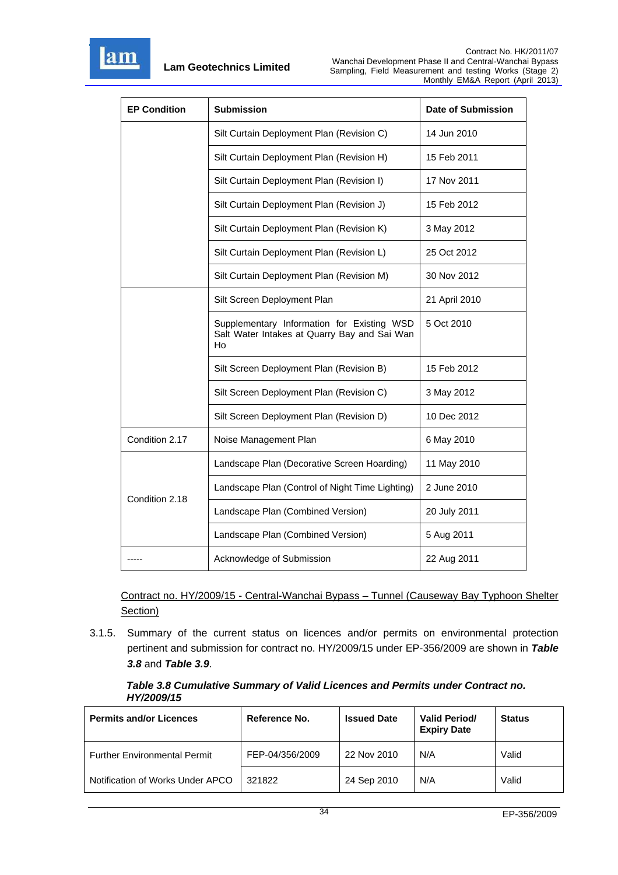

| <b>EP Condition</b> | <b>Submission</b>                                                                                | Date of Submission |
|---------------------|--------------------------------------------------------------------------------------------------|--------------------|
|                     | Silt Curtain Deployment Plan (Revision C)                                                        | 14 Jun 2010        |
|                     | Silt Curtain Deployment Plan (Revision H)                                                        | 15 Feb 2011        |
|                     | Silt Curtain Deployment Plan (Revision I)                                                        | 17 Nov 2011        |
|                     | Silt Curtain Deployment Plan (Revision J)                                                        | 15 Feb 2012        |
|                     | Silt Curtain Deployment Plan (Revision K)                                                        | 3 May 2012         |
|                     | Silt Curtain Deployment Plan (Revision L)                                                        | 25 Oct 2012        |
|                     | Silt Curtain Deployment Plan (Revision M)                                                        | 30 Nov 2012        |
|                     | Silt Screen Deployment Plan                                                                      | 21 April 2010      |
|                     | Supplementary Information for Existing WSD<br>Salt Water Intakes at Quarry Bay and Sai Wan<br>Ho | 5 Oct 2010         |
|                     | Silt Screen Deployment Plan (Revision B)                                                         | 15 Feb 2012        |
|                     | Silt Screen Deployment Plan (Revision C)                                                         | 3 May 2012         |
|                     | Silt Screen Deployment Plan (Revision D)                                                         | 10 Dec 2012        |
| Condition 2.17      | Noise Management Plan                                                                            | 6 May 2010         |
|                     | Landscape Plan (Decorative Screen Hoarding)                                                      | 11 May 2010        |
| Condition 2.18      | Landscape Plan (Control of Night Time Lighting)                                                  | 2 June 2010        |
|                     | Landscape Plan (Combined Version)                                                                | 20 July 2011       |
|                     | Landscape Plan (Combined Version)                                                                | 5 Aug 2011         |
|                     | Acknowledge of Submission                                                                        | 22 Aug 2011        |

Contract no. HY/2009/15 - Central-Wanchai Bypass – Tunnel (Causeway Bay Typhoon Shelter Section)

3.1.5. Summary of the current status on licences and/or permits on environmental protection pertinent and submission for contract no. HY/2009/15 under EP-356/2009 are shown in *Table 3.8* and *Table 3.9*.

#### *Table 3.8 Cumulative Summary of Valid Licences and Permits under Contract no. HY/2009/15*

| <b>Permits and/or Licences</b>      | Reference No.   | <b>Issued Date</b> | <b>Valid Period/</b><br><b>Expiry Date</b> | <b>Status</b> |
|-------------------------------------|-----------------|--------------------|--------------------------------------------|---------------|
| <b>Further Environmental Permit</b> | FEP-04/356/2009 | 22 Nov 2010        | N/A                                        | Valid         |
| Notification of Works Under APCO    | 321822          | 24 Sep 2010        | N/A                                        | Valid         |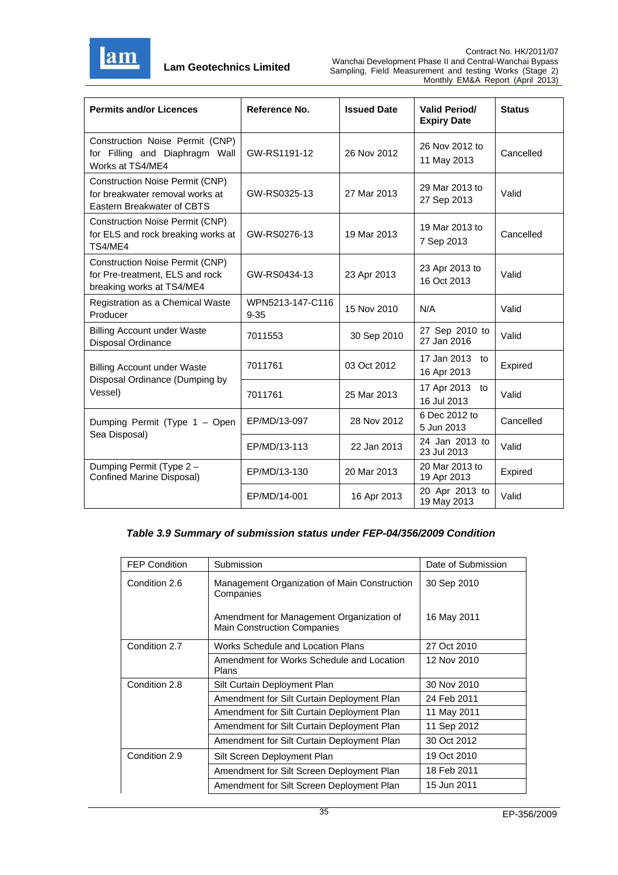

| <b>Permits and/or Licences</b>                                                                          | Reference No.                | <b>Issued Date</b> | <b>Valid Period/</b><br><b>Expiry Date</b> | <b>Status</b> |
|---------------------------------------------------------------------------------------------------------|------------------------------|--------------------|--------------------------------------------|---------------|
| Construction Noise Permit (CNP)<br>for Filling and Diaphragm Wall<br>Works at TS4/ME4                   | GW-RS1191-12                 | 26 Nov 2012        | 26 Nov 2012 to<br>11 May 2013              | Cancelled     |
| <b>Construction Noise Permit (CNP)</b><br>for breakwater removal works at<br>Eastern Breakwater of CBTS | GW-RS0325-13                 | 27 Mar 2013        | 29 Mar 2013 to<br>27 Sep 2013              | Valid         |
| <b>Construction Noise Permit (CNP)</b><br>for ELS and rock breaking works at<br>TS4/ME4                 | GW-RS0276-13                 | 19 Mar 2013        | 19 Mar 2013 to<br>7 Sep 2013               | Cancelled     |
| <b>Construction Noise Permit (CNP)</b><br>for Pre-treatment, ELS and rock<br>breaking works at TS4/ME4  | GW-RS0434-13                 | 23 Apr 2013        | 23 Apr 2013 to<br>16 Oct 2013              | Valid         |
| Registration as a Chemical Waste<br>Producer                                                            | WPN5213-147-C116<br>$9 - 35$ | 15 Nov 2010        | N/A                                        | Valid         |
| <b>Billing Account under Waste</b><br>Disposal Ordinance                                                | 7011553                      | 30 Sep 2010        | 27 Sep 2010 to<br>27 Jan 2016              | Valid         |
| <b>Billing Account under Waste</b><br>Disposal Ordinance (Dumping by                                    | 7011761                      | 03 Oct 2012        | 17 Jan 2013<br>to<br>16 Apr 2013           | Expired       |
| Vessel)                                                                                                 | 7011761                      | 25 Mar 2013        | 17 Apr 2013<br>to<br>16 Jul 2013           | Valid         |
| Dumping Permit (Type 1 - Open<br>Sea Disposal)                                                          | EP/MD/13-097                 | 28 Nov 2012        | 6 Dec 2012 to<br>5 Jun 2013                | Cancelled     |
|                                                                                                         | EP/MD/13-113                 | 22 Jan 2013        | 24 Jan 2013 to<br>23 Jul 2013              | Valid         |
| Dumping Permit (Type 2 -<br>Confined Marine Disposal)                                                   | EP/MD/13-130                 | 20 Mar 2013        | 20 Mar 2013 to<br>19 Apr 2013              | Expired       |
|                                                                                                         | EP/MD/14-001                 | 16 Apr 2013        | 20 Apr 2013 to<br>19 May 2013              | Valid         |

#### *Table 3.9 Summary of submission status under FEP-04/356/2009 Condition*

| <b>FEP Condition</b> | Submission                                                                     | Date of Submission |
|----------------------|--------------------------------------------------------------------------------|--------------------|
| Condition 2.6        | Management Organization of Main Construction<br>Companies                      | 30 Sep 2010        |
|                      | Amendment for Management Organization of<br><b>Main Construction Companies</b> | 16 May 2011        |
| Condition 2.7        | Works Schedule and Location Plans                                              | 27 Oct 2010        |
|                      | Amendment for Works Schedule and Location<br>Plans                             | 12 Nov 2010        |
| Condition 2.8        | Silt Curtain Deployment Plan                                                   | 30 Nov 2010        |
|                      | Amendment for Silt Curtain Deployment Plan                                     | 24 Feb 2011        |
|                      | Amendment for Silt Curtain Deployment Plan                                     | 11 May 2011        |
|                      | Amendment for Silt Curtain Deployment Plan                                     | 11 Sep 2012        |
|                      | Amendment for Silt Curtain Deployment Plan                                     | 30 Oct 2012        |
| Condition 2.9        | Silt Screen Deployment Plan                                                    | 19 Oct 2010        |
|                      | Amendment for Silt Screen Deployment Plan                                      | 18 Feb 2011        |
|                      | Amendment for Silt Screen Deployment Plan                                      | 15 Jun 2011        |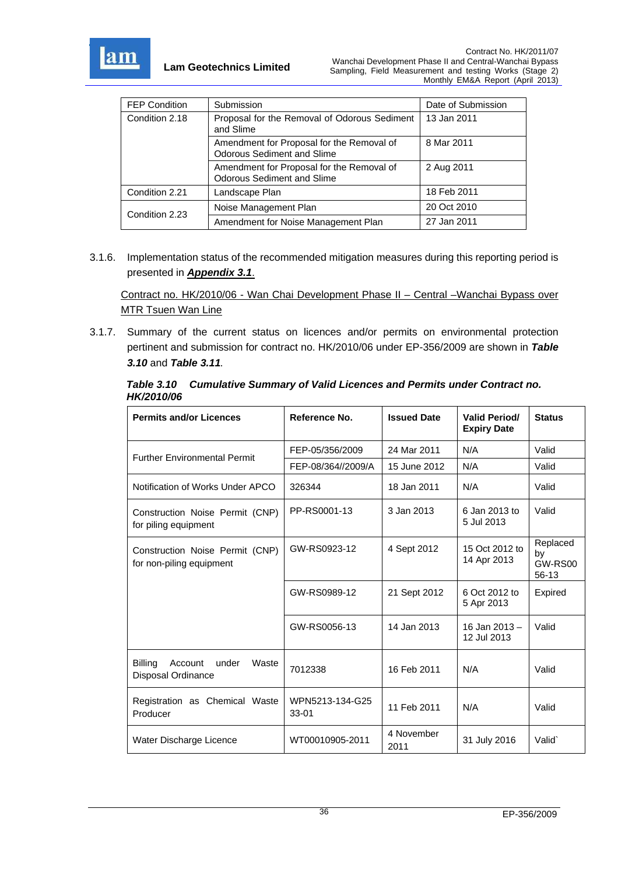

| <b>FEP Condition</b> | Submission                                                                     | Date of Submission |
|----------------------|--------------------------------------------------------------------------------|--------------------|
| Condition 2.18       | Proposal for the Removal of Odorous Sediment<br>and Slime                      | 13 Jan 2011        |
|                      | Amendment for Proposal for the Removal of<br><b>Odorous Sediment and Slime</b> | 8 Mar 2011         |
|                      | Amendment for Proposal for the Removal of<br><b>Odorous Sediment and Slime</b> | 2 Aug 2011         |
| Condition 2.21       | Landscape Plan                                                                 | 18 Feb 2011        |
| Condition 2.23       | Noise Management Plan                                                          | 20 Oct 2010        |
|                      | Amendment for Noise Management Plan                                            | 27 Jan 2011        |

3.1.6. Implementation status of the recommended mitigation measures during this reporting period is presented in *Appendix 3.1*.

Contract no. HK/2010/06 - Wan Chai Development Phase II – Central –Wanchai Bypass over MTR Tsuen Wan Line

3.1.7. Summary of the current status on licences and/or permits on environmental protection pertinent and submission for contract no. HK/2010/06 under EP-356/2009 are shown in *Table 3.10* and *Table 3.11.*

|            | Table 3.10 Cumulative Summary of Valid Licences and Permits under Contract no. |
|------------|--------------------------------------------------------------------------------|
| HK/2010/06 |                                                                                |

| <b>Permits and/or Licences</b>                                    | Reference No.                | <b>Issued Date</b> | <b>Valid Period/</b><br><b>Expiry Date</b> | <b>Status</b>                      |
|-------------------------------------------------------------------|------------------------------|--------------------|--------------------------------------------|------------------------------------|
| <b>Further Environmental Permit</b>                               | FEP-05/356/2009              | 24 Mar 2011        | N/A                                        | Valid                              |
|                                                                   | FEP-08/364//2009/A           | 15 June 2012       | N/A                                        | Valid                              |
| Notification of Works Under APCO                                  | 326344                       | 18 Jan 2011        | N/A                                        | Valid                              |
| Construction Noise Permit (CNP)<br>for piling equipment           | PP-RS0001-13                 | 3 Jan 2013         | 6 Jan 2013 to<br>5 Jul 2013                | Valid                              |
| Construction Noise Permit (CNP)<br>for non-piling equipment       | GW-RS0923-12                 | 4 Sept 2012        | 15 Oct 2012 to<br>14 Apr 2013              | Replaced<br>by<br>GW-RS00<br>56-13 |
|                                                                   | GW-RS0989-12                 | 21 Sept 2012       | 6 Oct 2012 to<br>5 Apr 2013                | Expired                            |
|                                                                   | GW-RS0056-13                 | 14 Jan 2013        | 16 Jan 2013 -<br>12 Jul 2013               | Valid                              |
| <b>Billing</b><br>under<br>Waste<br>Account<br>Disposal Ordinance | 7012338                      | 16 Feb 2011        | N/A                                        | Valid                              |
| Registration as Chemical Waste<br>Producer                        | WPN5213-134-G25<br>$33 - 01$ | 11 Feb 2011        | N/A                                        | Valid                              |
| Water Discharge Licence                                           | WT00010905-2011              | 4 November<br>2011 | 31 July 2016                               | Valid                              |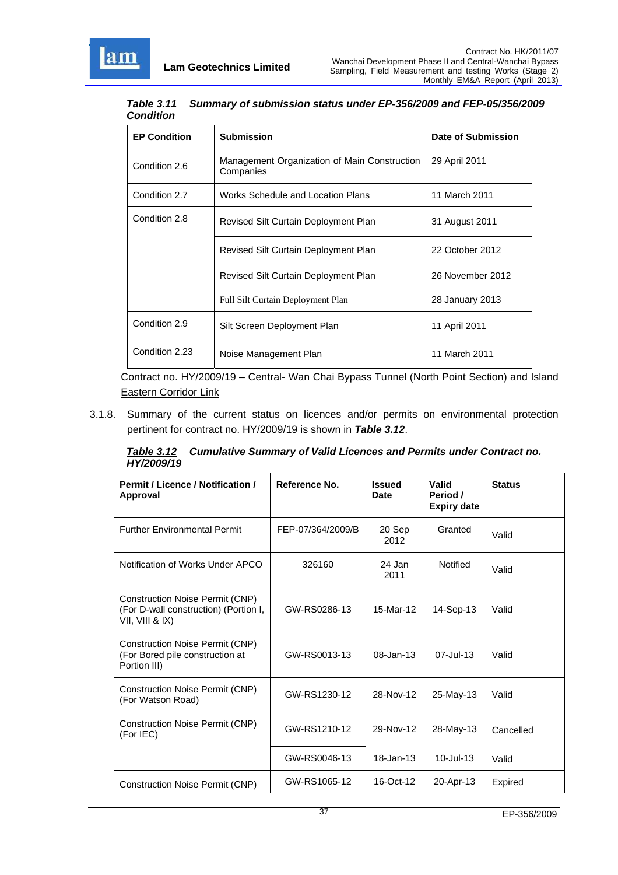

*Table 3.11 Summary of submission status under EP-356/2009 and FEP-05/356/2009 Condition* 

| <b>EP Condition</b> | <b>Submission</b>                                         | Date of Submission |
|---------------------|-----------------------------------------------------------|--------------------|
| Condition 2.6       | Management Organization of Main Construction<br>Companies | 29 April 2011      |
| Condition 2.7       | Works Schedule and Location Plans                         | 11 March 2011      |
| Condition 2.8       | Revised Silt Curtain Deployment Plan                      | 31 August 2011     |
|                     | Revised Silt Curtain Deployment Plan                      | 22 October 2012    |
|                     | Revised Silt Curtain Deployment Plan                      | 26 November 2012   |
|                     | <b>Full Silt Curtain Deployment Plan</b>                  | 28 January 2013    |
| Condition 2.9       | Silt Screen Deployment Plan                               | 11 April 2011      |
| Condition 2.23      | Noise Management Plan                                     | 11 March 2011      |

Contract no. HY/2009/19 – Central- Wan Chai Bypass Tunnel (North Point Section) and Island Eastern Corridor Link

3.1.8. Summary of the current status on licences and/or permits on environmental protection pertinent for contract no. HY/2009/19 is shown in *Table 3.12*.

*Table 3.12 Cumulative Summary of Valid Licences and Permits under Contract no. HY/2009/19* 

| <b>Permit / Licence / Notification /</b><br>Approval                                        | Reference No.     | <b>Issued</b><br>Date | Valid<br>Period /<br><b>Expiry date</b> | <b>Status</b> |
|---------------------------------------------------------------------------------------------|-------------------|-----------------------|-----------------------------------------|---------------|
| <b>Further Environmental Permit</b>                                                         | FEP-07/364/2009/B | 20 Sep<br>2012        | Granted                                 | Valid         |
| Notification of Works Under APCO                                                            | 326160            | 24 Jan<br>2011        | Notified                                | Valid         |
| Construction Noise Permit (CNP)<br>(For D-wall construction) (Portion I,<br>VII, VIII & IX) | GW-RS0286-13      | 15-Mar-12             | 14-Sep-13                               | Valid         |
| <b>Construction Noise Permit (CNP)</b><br>(For Bored pile construction at<br>Portion III)   | GW-RS0013-13      | 08-Jan-13             | 07-Jul-13                               | Valid         |
| <b>Construction Noise Permit (CNP)</b><br>(For Watson Road)                                 | GW-RS1230-12      | 28-Nov-12             | 25-May-13                               | Valid         |
| <b>Construction Noise Permit (CNP)</b><br>(For IEC)                                         | GW-RS1210-12      | 29-Nov-12             | 28-May-13                               | Cancelled     |
|                                                                                             | GW-RS0046-13      | $18 - Jan-13$         | $10 -$ Jul $-13$                        | Valid         |
| <b>Construction Noise Permit (CNP)</b>                                                      | GW-RS1065-12      | 16-Oct-12             | 20-Apr-13                               | Expired       |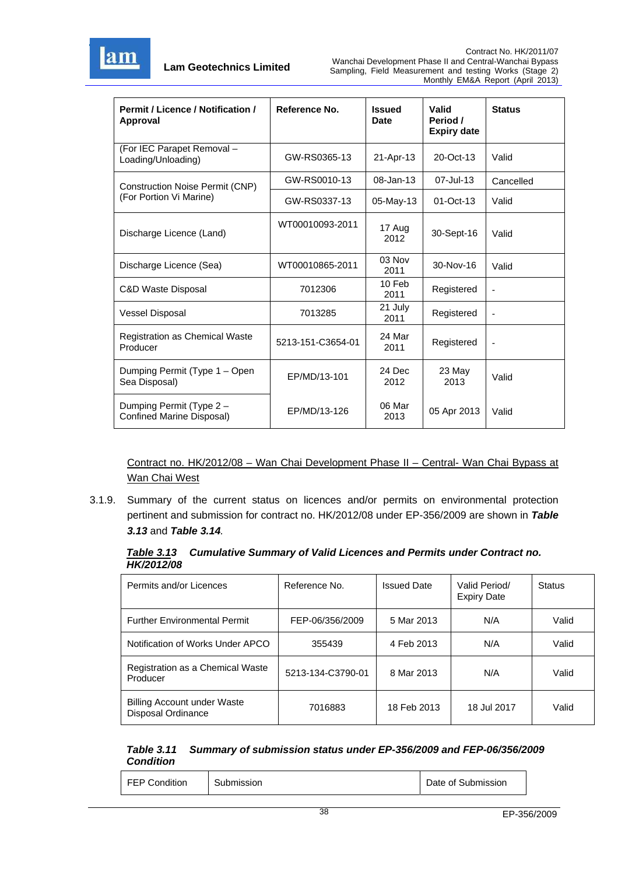

| <b>Permit / Licence / Notification /</b><br>Approval  | Reference No.     | <b>Issued</b><br><b>Date</b> | Valid<br>Period /<br><b>Expiry date</b> | <b>Status</b>                |
|-------------------------------------------------------|-------------------|------------------------------|-----------------------------------------|------------------------------|
| (For IEC Parapet Removal -<br>Loading/Unloading)      | GW-RS0365-13      | 21-Apr-13                    | 20-Oct-13                               | Valid                        |
| <b>Construction Noise Permit (CNP)</b>                | GW-RS0010-13      | 08-Jan-13                    | 07-Jul-13                               | Cancelled                    |
| (For Portion Vi Marine)                               | GW-RS0337-13      | 05-May-13                    | $01$ -Oct-13                            | Valid                        |
| Discharge Licence (Land)                              | WT00010093-2011   | 17 Aug<br>2012               | 30-Sept-16                              | Valid                        |
| Discharge Licence (Sea)                               | WT00010865-2011   | 03 Nov<br>2011               | 30-Nov-16                               | Valid                        |
| C&D Waste Disposal                                    | 7012306           | 10 Feb<br>2011               | Registered                              |                              |
| <b>Vessel Disposal</b>                                | 7013285           | 21 July<br>2011              | Registered                              | ٠                            |
| <b>Registration as Chemical Waste</b><br>Producer     | 5213-151-C3654-01 | 24 Mar<br>2011               | Registered                              | $\qquad \qquad \blacksquare$ |
| Dumping Permit (Type 1 - Open<br>Sea Disposal)        | EP/MD/13-101      | 24 Dec<br>2012               | 23 May<br>2013                          | Valid                        |
| Dumping Permit (Type 2 -<br>Confined Marine Disposal) | EP/MD/13-126      | 06 Mar<br>2013               | 05 Apr 2013                             | Valid                        |

Contract no. HK/2012/08 – Wan Chai Development Phase II – Central- Wan Chai Bypass at Wan Chai West

3.1.9. Summary of the current status on licences and/or permits on environmental protection pertinent and submission for contract no. HK/2012/08 under EP-356/2009 are shown in *Table 3.13* and *Table 3.14.*

|                   | Table 3.13 Cumulative Summary of Valid Licences and Permits under Contract no. |
|-------------------|--------------------------------------------------------------------------------|
| <b>HK/2012/08</b> |                                                                                |

| Permits and/or Licences                           | Reference No.     | <b>Issued Date</b> | Valid Period/<br><b>Expiry Date</b> | <b>Status</b> |
|---------------------------------------------------|-------------------|--------------------|-------------------------------------|---------------|
| <b>Further Environmental Permit</b>               | FEP-06/356/2009   | 5 Mar 2013         | N/A                                 | Valid         |
| Notification of Works Under APCO                  | 355439            | 4 Feb 2013         | N/A                                 | Valid         |
| Registration as a Chemical Waste<br>Producer      | 5213-134-C3790-01 | 8 Mar 2013         | N/A                                 | Valid         |
| Billing Account under Waste<br>Disposal Ordinance | 7016883           | 18 Feb 2013        | 18 Jul 2017                         | Valid         |

#### *Table 3.11 Summary of submission status under EP-356/2009 and FEP-06/356/2009 Condition*

| <b>FEP Condition</b> | Submission | Date of Submission |  |
|----------------------|------------|--------------------|--|
|----------------------|------------|--------------------|--|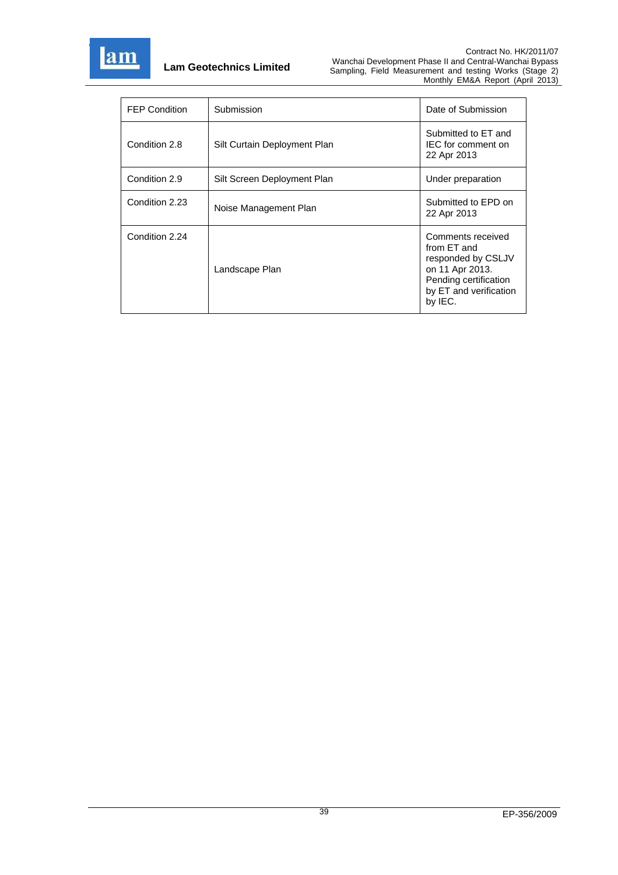

| <b>FEP Condition</b> | Submission                   | Date of Submission                                                                                                                      |
|----------------------|------------------------------|-----------------------------------------------------------------------------------------------------------------------------------------|
| Condition 2.8        | Silt Curtain Deployment Plan | Submitted to ET and<br>IEC for comment on<br>22 Apr 2013                                                                                |
| Condition 2.9        | Silt Screen Deployment Plan  | Under preparation                                                                                                                       |
| Condition 2.23       | Noise Management Plan        | Submitted to EPD on<br>22 Apr 2013                                                                                                      |
| Condition 2.24       | Landscape Plan               | Comments received<br>from FT and<br>responded by CSLJV<br>on 11 Apr 2013.<br>Pending certification<br>by ET and verification<br>by IEC. |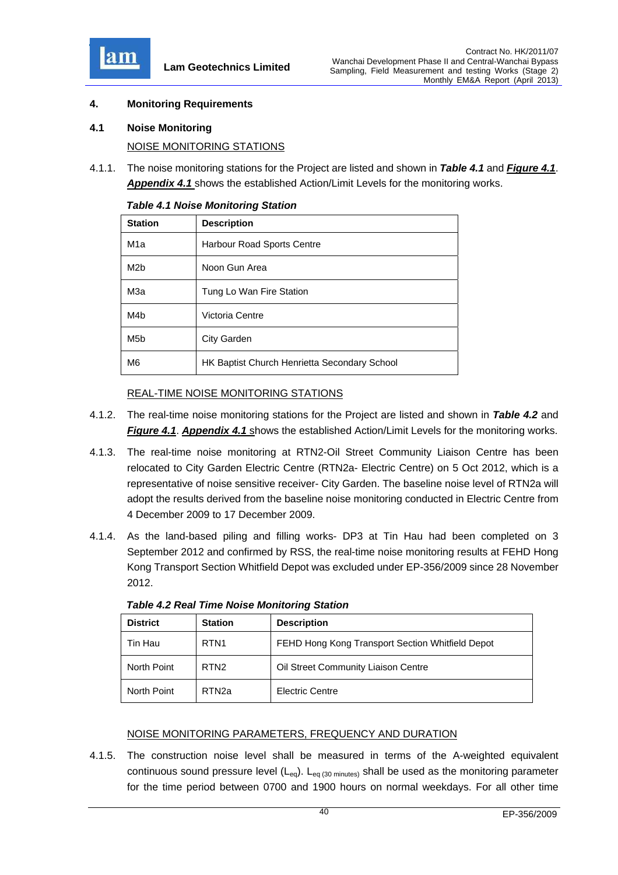

## **4. Monitoring Requirements**

**4.1 Noise Monitoring** 

NOISE MONITORING STATIONS

4.1.1. The noise monitoring stations for the Project are listed and shown in *Table 4.1* and *Figure 4.1*. *Appendix 4.1* shows the established Action/Limit Levels for the monitoring works.

| <b>Station</b>   | <b>Description</b>                           |
|------------------|----------------------------------------------|
| M <sub>1</sub> a | Harbour Road Sports Centre                   |
| M <sub>2</sub> b | Noon Gun Area                                |
| МЗа              | Tung Lo Wan Fire Station                     |
| M4 <sub>b</sub>  | Victoria Centre                              |
| M <sub>5</sub> b | City Garden                                  |
| M <sub>6</sub>   | HK Baptist Church Henrietta Secondary School |

|  | <b>Table 4.1 Noise Monitoring Station</b> |  |
|--|-------------------------------------------|--|
|  |                                           |  |

# REAL-TIME NOISE MONITORING STATIONS

- 4.1.2. The real-time noise monitoring stations for the Project are listed and shown in *Table 4.2* and *Figure 4.1*. *Appendix 4.1* shows the established Action/Limit Levels for the monitoring works.
- 4.1.3. The real-time noise monitoring at RTN2-Oil Street Community Liaison Centre has been relocated to City Garden Electric Centre (RTN2a- Electric Centre) on 5 Oct 2012, which is a representative of noise sensitive receiver- City Garden. The baseline noise level of RTN2a will adopt the results derived from the baseline noise monitoring conducted in Electric Centre from 4 December 2009 to 17 December 2009.
- 4.1.4. As the land-based piling and filling works- DP3 at Tin Hau had been completed on 3 September 2012 and confirmed by RSS, the real-time noise monitoring results at FEHD Hong Kong Transport Section Whitfield Depot was excluded under EP-356/2009 since 28 November 2012.

| <b>District</b> | <b>Station</b>    | <b>Description</b>                               |
|-----------------|-------------------|--------------------------------------------------|
| Tin Hau         | RTN <sub>1</sub>  | FEHD Hong Kong Transport Section Whitfield Depot |
| North Point     | RTN <sub>2</sub>  | Oil Street Community Liaison Centre              |
| North Point     | RTN <sub>2a</sub> | <b>Electric Centre</b>                           |

*Table 4.2 Real Time Noise Monitoring Station* 

#### NOISE MONITORING PARAMETERS, FREQUENCY AND DURATION

4.1.5. The construction noise level shall be measured in terms of the A-weighted equivalent continuous sound pressure level ( $L_{eq}$ ).  $L_{eq}$  (30 minutes) shall be used as the monitoring parameter for the time period between 0700 and 1900 hours on normal weekdays. For all other time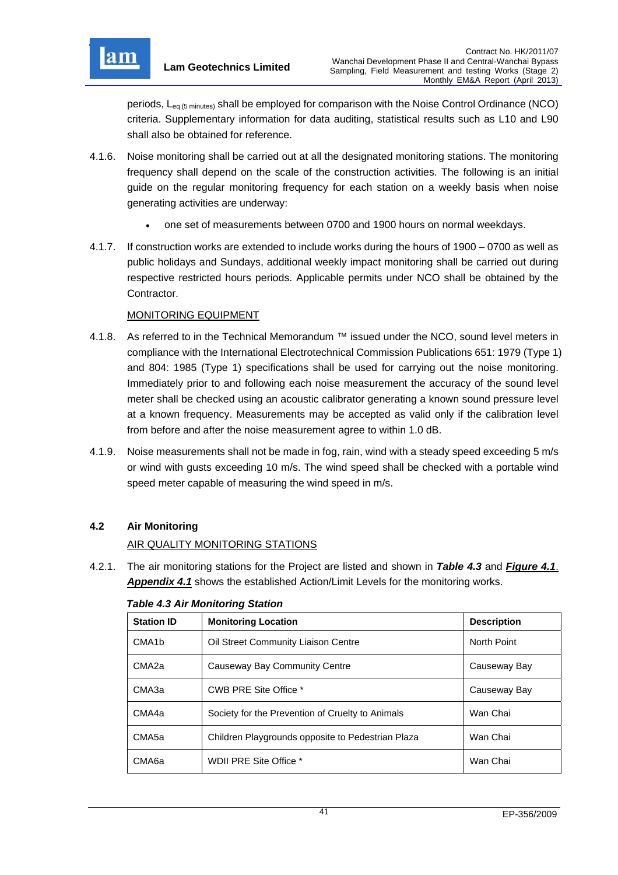

periods, L<sub>eg (5 minutes)</sub> shall be employed for comparison with the Noise Control Ordinance (NCO) criteria. Supplementary information for data auditing, statistical results such as L10 and L90 shall also be obtained for reference.

- 4.1.6. Noise monitoring shall be carried out at all the designated monitoring stations. The monitoring frequency shall depend on the scale of the construction activities. The following is an initial guide on the regular monitoring frequency for each station on a weekly basis when noise generating activities are underway:
	- one set of measurements between 0700 and 1900 hours on normal weekdays.
- 4.1.7. If construction works are extended to include works during the hours of 1900 0700 as well as public holidays and Sundays, additional weekly impact monitoring shall be carried out during respective restricted hours periods. Applicable permits under NCO shall be obtained by the Contractor.

## MONITORING EQUIPMENT

- 4.1.8. As referred to in the Technical Memorandum ™ issued under the NCO, sound level meters in compliance with the International Electrotechnical Commission Publications 651: 1979 (Type 1) and 804: 1985 (Type 1) specifications shall be used for carrying out the noise monitoring. Immediately prior to and following each noise measurement the accuracy of the sound level meter shall be checked using an acoustic calibrator generating a known sound pressure level at a known frequency. Measurements may be accepted as valid only if the calibration level from before and after the noise measurement agree to within 1.0 dB.
- 4.1.9. Noise measurements shall not be made in fog, rain, wind with a steady speed exceeding 5 m/s or wind with gusts exceeding 10 m/s. The wind speed shall be checked with a portable wind speed meter capable of measuring the wind speed in m/s.

# **4.2 Air Monitoring**

## AIR QUALITY MONITORING STATIONS

4.2.1. The air monitoring stations for the Project are listed and shown in *Table 4.3* and *Figure 4.1*. *Appendix 4.1* shows the established Action/Limit Levels for the monitoring works.

| <b>Station ID</b>  | <b>Monitoring Location</b>                        | <b>Description</b> |
|--------------------|---------------------------------------------------|--------------------|
| CMA <sub>1</sub> b | Oil Street Community Liaison Centre               | North Point        |
| CMA <sub>2a</sub>  | Causeway Bay Community Centre                     | Causeway Bay       |
| CMA3a              | CWB PRE Site Office *                             | Causeway Bay       |
| CMA4a              | Society for the Prevention of Cruelty to Animals  | Wan Chai           |
| CMA <sub>5a</sub>  | Children Playgrounds opposite to Pedestrian Plaza | Wan Chai           |
| CMA <sub>6a</sub>  | WDII PRE Site Office *                            | Wan Chai           |

#### *Table 4.3 Air Monitoring Station*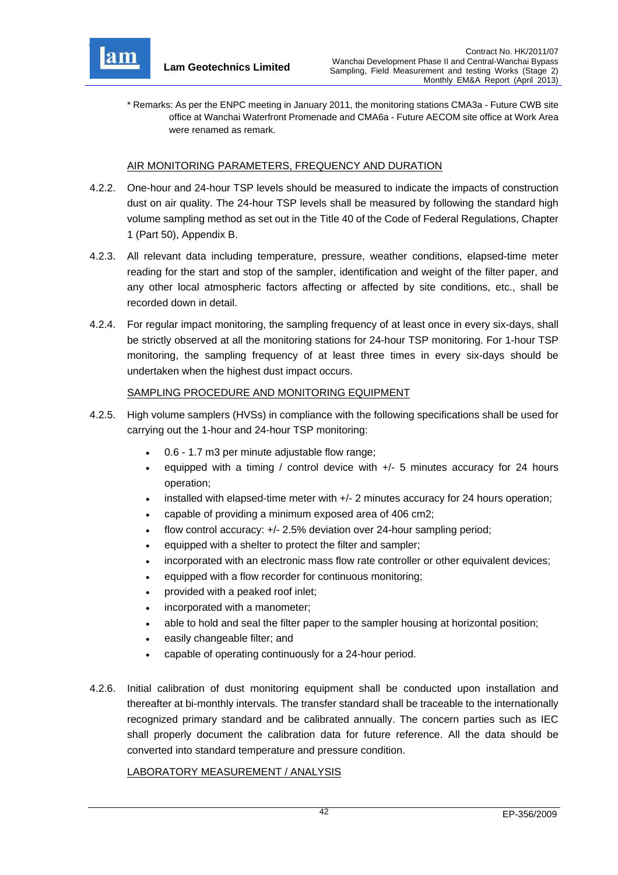

\* Remarks: As per the ENPC meeting in January 2011, the monitoring stations CMA3a - Future CWB site office at Wanchai Waterfront Promenade and CMA6a - Future AECOM site office at Work Area were renamed as remark.

#### AIR MONITORING PARAMETERS, FREQUENCY AND DURATION

- 4.2.2. One-hour and 24-hour TSP levels should be measured to indicate the impacts of construction dust on air quality. The 24-hour TSP levels shall be measured by following the standard high volume sampling method as set out in the Title 40 of the Code of Federal Regulations, Chapter 1 (Part 50), Appendix B.
- 4.2.3. All relevant data including temperature, pressure, weather conditions, elapsed-time meter reading for the start and stop of the sampler, identification and weight of the filter paper, and any other local atmospheric factors affecting or affected by site conditions, etc., shall be recorded down in detail.
- 4.2.4. For regular impact monitoring, the sampling frequency of at least once in every six-days, shall be strictly observed at all the monitoring stations for 24-hour TSP monitoring. For 1-hour TSP monitoring, the sampling frequency of at least three times in every six-days should be undertaken when the highest dust impact occurs.

#### SAMPLING PROCEDURE AND MONITORING EQUIPMENT

- 4.2.5. High volume samplers (HVSs) in compliance with the following specifications shall be used for carrying out the 1-hour and 24-hour TSP monitoring:
	- 0.6 1.7 m3 per minute adjustable flow range;
	- equipped with a timing / control device with +/- 5 minutes accuracy for 24 hours operation;
	- installed with elapsed-time meter with +/- 2 minutes accuracy for 24 hours operation;
	- capable of providing a minimum exposed area of 406 cm2;
	- flow control accuracy: +/- 2.5% deviation over 24-hour sampling period;
	- equipped with a shelter to protect the filter and sampler;
	- incorporated with an electronic mass flow rate controller or other equivalent devices;
	- equipped with a flow recorder for continuous monitoring;
	- provided with a peaked roof inlet;
	- incorporated with a manometer;
	- able to hold and seal the filter paper to the sampler housing at horizontal position;
	- easily changeable filter; and
	- capable of operating continuously for a 24-hour period.
- 4.2.6. Initial calibration of dust monitoring equipment shall be conducted upon installation and thereafter at bi-monthly intervals. The transfer standard shall be traceable to the internationally recognized primary standard and be calibrated annually. The concern parties such as IEC shall properly document the calibration data for future reference. All the data should be converted into standard temperature and pressure condition.

#### LABORATORY MEASUREMENT / ANALYSIS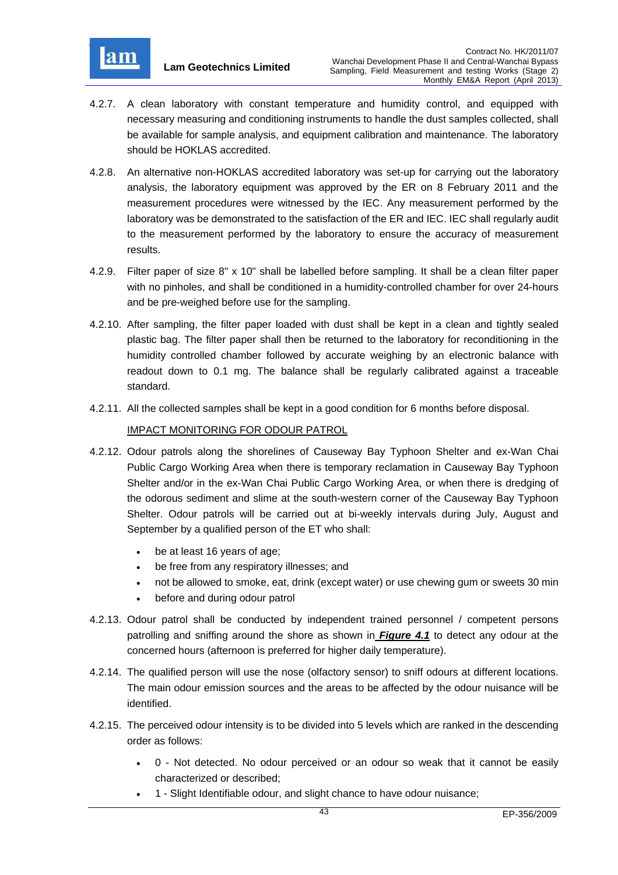

- 4.2.7. A clean laboratory with constant temperature and humidity control, and equipped with necessary measuring and conditioning instruments to handle the dust samples collected, shall be available for sample analysis, and equipment calibration and maintenance. The laboratory should be HOKLAS accredited.
- 4.2.8. An alternative non-HOKLAS accredited laboratory was set-up for carrying out the laboratory analysis, the laboratory equipment was approved by the ER on 8 February 2011 and the measurement procedures were witnessed by the IEC. Any measurement performed by the laboratory was be demonstrated to the satisfaction of the ER and IEC. IEC shall regularly audit to the measurement performed by the laboratory to ensure the accuracy of measurement results.
- 4.2.9. Filter paper of size 8" x 10" shall be labelled before sampling. It shall be a clean filter paper with no pinholes, and shall be conditioned in a humidity-controlled chamber for over 24-hours and be pre-weighed before use for the sampling.
- 4.2.10. After sampling, the filter paper loaded with dust shall be kept in a clean and tightly sealed plastic bag. The filter paper shall then be returned to the laboratory for reconditioning in the humidity controlled chamber followed by accurate weighing by an electronic balance with readout down to 0.1 mg. The balance shall be regularly calibrated against a traceable standard.
- 4.2.11. All the collected samples shall be kept in a good condition for 6 months before disposal.

## IMPACT MONITORING FOR ODOUR PATROL

- 4.2.12. Odour patrols along the shorelines of Causeway Bay Typhoon Shelter and ex-Wan Chai Public Cargo Working Area when there is temporary reclamation in Causeway Bay Typhoon Shelter and/or in the ex-Wan Chai Public Cargo Working Area, or when there is dredging of the odorous sediment and slime at the south-western corner of the Causeway Bay Typhoon Shelter. Odour patrols will be carried out at bi-weekly intervals during July, August and September by a qualified person of the ET who shall:
	- be at least 16 years of age;
	- be free from any respiratory illnesses; and
	- not be allowed to smoke, eat, drink (except water) or use chewing gum or sweets 30 min
	- before and during odour patrol
- 4.2.13. Odour patrol shall be conducted by independent trained personnel / competent persons patrolling and sniffing around the shore as shown in *Figure 4.1* to detect any odour at the concerned hours (afternoon is preferred for higher daily temperature).
- 4.2.14. The qualified person will use the nose (olfactory sensor) to sniff odours at different locations. The main odour emission sources and the areas to be affected by the odour nuisance will be identified.
- 4.2.15. The perceived odour intensity is to be divided into 5 levels which are ranked in the descending order as follows:
	- 0 Not detected. No odour perceived or an odour so weak that it cannot be easily characterized or described;
	- 1 Slight Identifiable odour, and slight chance to have odour nuisance;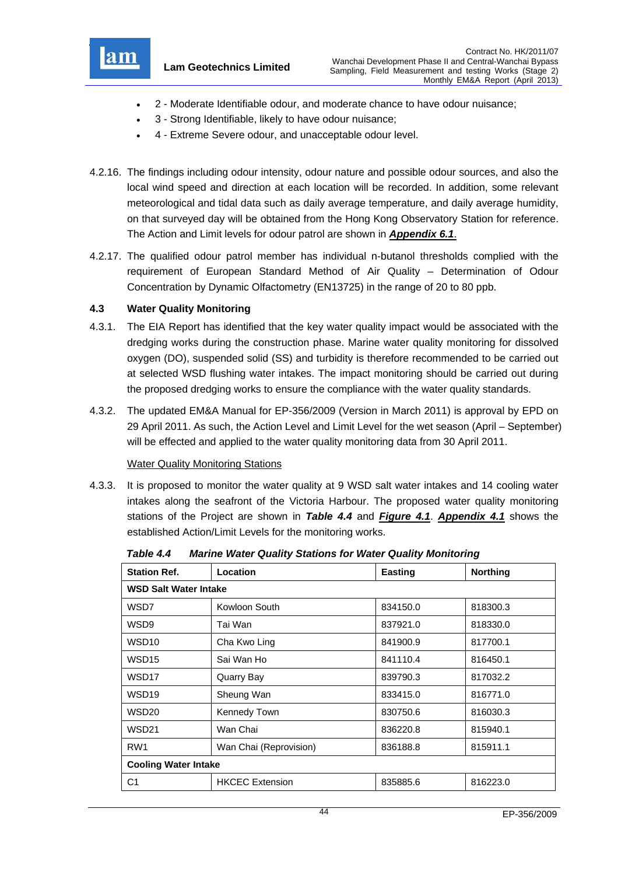

- 2 Moderate Identifiable odour, and moderate chance to have odour nuisance;
- 3 Strong Identifiable, likely to have odour nuisance;
- 4 Extreme Severe odour, and unacceptable odour level.
- 4.2.16. The findings including odour intensity, odour nature and possible odour sources, and also the local wind speed and direction at each location will be recorded. In addition, some relevant meteorological and tidal data such as daily average temperature, and daily average humidity, on that surveyed day will be obtained from the Hong Kong Observatory Station for reference. The Action and Limit levels for odour patrol are shown in *Appendix 6.1*.
- 4.2.17. The qualified odour patrol member has individual n-butanol thresholds complied with the requirement of European Standard Method of Air Quality – Determination of Odour Concentration by Dynamic Olfactometry (EN13725) in the range of 20 to 80 ppb.

### **4.3 Water Quality Monitoring**

- 4.3.1. The EIA Report has identified that the key water quality impact would be associated with the dredging works during the construction phase. Marine water quality monitoring for dissolved oxygen (DO), suspended solid (SS) and turbidity is therefore recommended to be carried out at selected WSD flushing water intakes. The impact monitoring should be carried out during the proposed dredging works to ensure the compliance with the water quality standards.
- 4.3.2. The updated EM&A Manual for EP-356/2009 (Version in March 2011) is approval by EPD on 29 April 2011. As such, the Action Level and Limit Level for the wet season (April – September) will be effected and applied to the water quality monitoring data from 30 April 2011.

#### Water Quality Monitoring Stations

4.3.3. It is proposed to monitor the water quality at 9 WSD salt water intakes and 14 cooling water intakes along the seafront of the Victoria Harbour. The proposed water quality monitoring stations of the Project are shown in *Table 4.4* and *Figure 4.1*. *Appendix 4.1* shows the established Action/Limit Levels for the monitoring works.

| Location                     | <b>Easting</b> | <b>Northing</b> |  |
|------------------------------|----------------|-----------------|--|
| <b>WSD Salt Water Intake</b> |                |                 |  |
| Kowloon South                | 834150.0       | 818300.3        |  |
| Tai Wan                      | 837921.0       | 818330.0        |  |
| Cha Kwo Ling                 | 841900.9       | 817700.1        |  |
| Sai Wan Ho                   | 841110.4       | 816450.1        |  |
| Quarry Bay                   | 839790.3       | 817032.2        |  |
| Sheung Wan                   | 833415.0       | 816771.0        |  |
| Kennedy Town                 | 830750.6       | 816030.3        |  |
| Wan Chai                     | 836220.8       | 815940.1        |  |
| Wan Chai (Reprovision)       | 836188.8       | 815911.1        |  |
| <b>Cooling Water Intake</b>  |                |                 |  |
| <b>HKCEC Extension</b>       | 835885.6       | 816223.0        |  |
|                              |                |                 |  |

*Table 4.4 Marine Water Quality Stations for Water Quality Monitoring*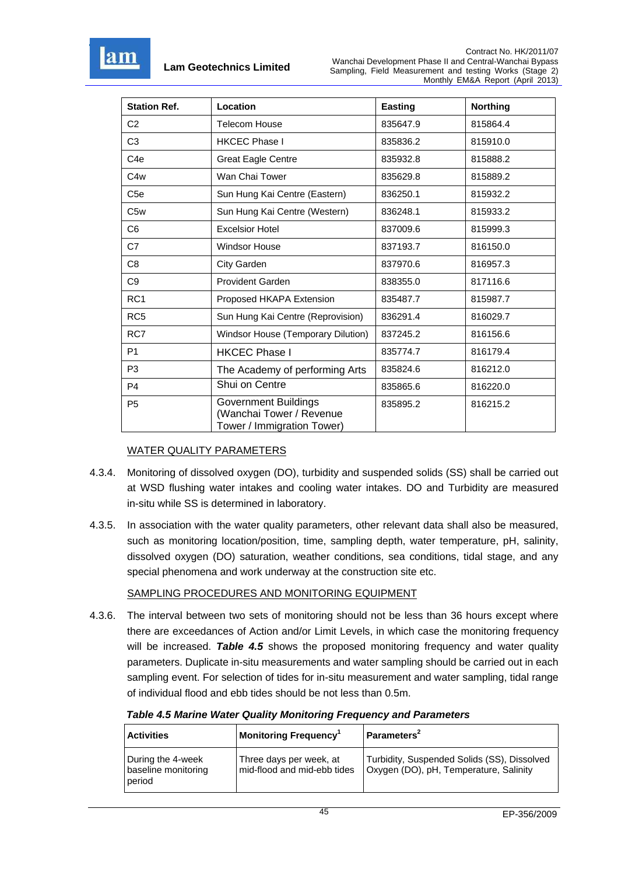

| <b>Station Ref.</b> | Location                                                                              | <b>Easting</b> | <b>Northing</b> |
|---------------------|---------------------------------------------------------------------------------------|----------------|-----------------|
| C <sub>2</sub>      | <b>Telecom House</b>                                                                  | 835647.9       | 815864.4        |
| C <sub>3</sub>      | <b>HKCEC Phase I</b>                                                                  | 835836.2       | 815910.0        |
| C <sub>4</sub> e    | <b>Great Eagle Centre</b>                                                             | 835932.8       | 815888.2        |
| C <sub>4w</sub>     | Wan Chai Tower                                                                        | 835629.8       | 815889.2        |
| C <sub>5e</sub>     | Sun Hung Kai Centre (Eastern)                                                         | 836250.1       | 815932.2        |
| C <sub>5w</sub>     | Sun Hung Kai Centre (Western)                                                         | 836248.1       | 815933.2        |
| C <sub>6</sub>      | <b>Excelsior Hotel</b>                                                                | 837009.6       | 815999.3        |
| C7                  | <b>Windsor House</b>                                                                  | 837193.7       | 816150.0        |
| C <sub>8</sub>      | City Garden                                                                           | 837970.6       | 816957.3        |
| C <sub>9</sub>      | <b>Provident Garden</b>                                                               | 838355.0       | 817116.6        |
| RC <sub>1</sub>     | Proposed HKAPA Extension                                                              | 835487.7       | 815987.7        |
| RC <sub>5</sub>     | Sun Hung Kai Centre (Reprovision)                                                     | 836291.4       | 816029.7        |
| RC7                 | Windsor House (Temporary Dilution)                                                    | 837245.2       | 816156.6        |
| P <sub>1</sub>      | <b>HKCEC Phase I</b>                                                                  | 835774.7       | 816179.4        |
| P <sub>3</sub>      | The Academy of performing Arts                                                        | 835824.6       | 816212.0        |
| P <sub>4</sub>      | Shui on Centre                                                                        | 835865.6       | 816220.0        |
| P <sub>5</sub>      | <b>Government Buildings</b><br>(Wanchai Tower / Revenue<br>Tower / Immigration Tower) | 835895.2       | 816215.2        |

# WATER QUALITY PARAMETERS

- 4.3.4. Monitoring of dissolved oxygen (DO), turbidity and suspended solids (SS) shall be carried out at WSD flushing water intakes and cooling water intakes. DO and Turbidity are measured in-situ while SS is determined in laboratory.
- 4.3.5. In association with the water quality parameters, other relevant data shall also be measured, such as monitoring location/position, time, sampling depth, water temperature, pH, salinity, dissolved oxygen (DO) saturation, weather conditions, sea conditions, tidal stage, and any special phenomena and work underway at the construction site etc.

#### SAMPLING PROCEDURES AND MONITORING EQUIPMENT

4.3.6. The interval between two sets of monitoring should not be less than 36 hours except where there are exceedances of Action and/or Limit Levels, in which case the monitoring frequency will be increased. *Table 4.5* shows the proposed monitoring frequency and water quality parameters. Duplicate in-situ measurements and water sampling should be carried out in each sampling event. For selection of tides for in-situ measurement and water sampling, tidal range of individual flood and ebb tides should be not less than 0.5m.

|  | <b>Table 4.5 Marine Water Quality Monitoring Frequency and Parameters</b> |
|--|---------------------------------------------------------------------------|
|--|---------------------------------------------------------------------------|

| <b>Activities</b>                                  | Monitoring Frequency <sup>1</sup>                      | Parameters <sup>2</sup>                                                               |
|----------------------------------------------------|--------------------------------------------------------|---------------------------------------------------------------------------------------|
| During the 4-week<br>baseline monitoring<br>period | Three days per week, at<br>mid-flood and mid-ebb tides | Turbidity, Suspended Solids (SS), Dissolved<br>Oxygen (DO), pH, Temperature, Salinity |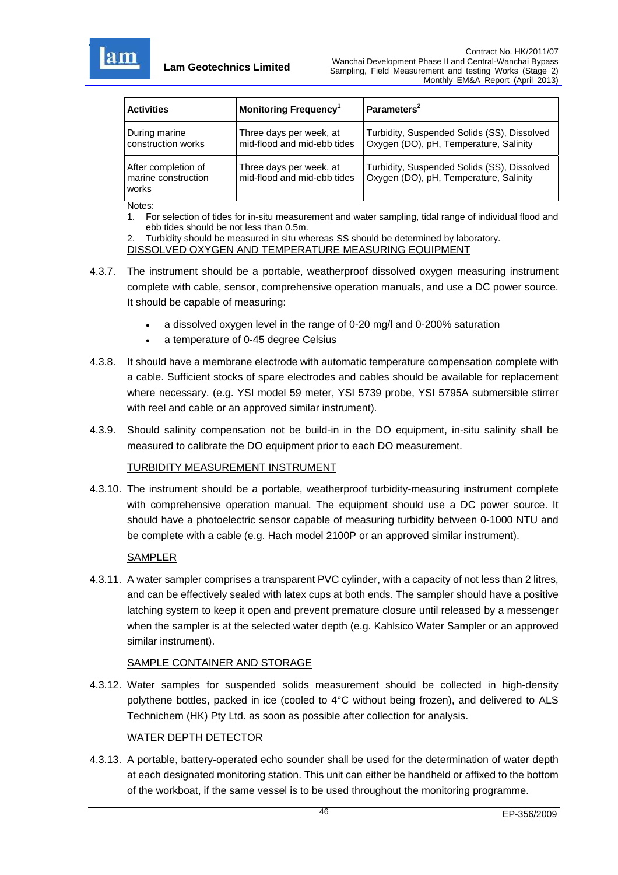

| <b>Activities</b>                                   | <b>Monitoring Frequency</b> <sup>1</sup>               | Parameters <sup>2</sup>                                                               |
|-----------------------------------------------------|--------------------------------------------------------|---------------------------------------------------------------------------------------|
| During marine<br>construction works                 | Three days per week, at<br>mid-flood and mid-ebb tides | Turbidity, Suspended Solids (SS), Dissolved<br>Oxygen (DO), pH, Temperature, Salinity |
| After completion of<br>marine construction<br>works | Three days per week, at<br>mid-flood and mid-ebb tides | Turbidity, Suspended Solids (SS), Dissolved<br>Oxygen (DO), pH, Temperature, Salinity |

Notes:

1. For selection of tides for in-situ measurement and water sampling, tidal range of individual flood and ebb tides should be not less than 0.5m.

#### Turbidity should be measured in situ whereas SS should be determined by laboratory. DISSOLVED OXYGEN AND TEMPERATURE MEASURING EQUIPMENT

- 4.3.7. The instrument should be a portable, weatherproof dissolved oxygen measuring instrument complete with cable, sensor, comprehensive operation manuals, and use a DC power source. It should be capable of measuring:
	- a dissolved oxygen level in the range of 0-20 mg/l and 0-200% saturation
	- a temperature of 0-45 degree Celsius
- 4.3.8. It should have a membrane electrode with automatic temperature compensation complete with a cable. Sufficient stocks of spare electrodes and cables should be available for replacement where necessary. (e.g. YSI model 59 meter, YSI 5739 probe, YSI 5795A submersible stirrer with reel and cable or an approved similar instrument).
- 4.3.9. Should salinity compensation not be build-in in the DO equipment, in-situ salinity shall be measured to calibrate the DO equipment prior to each DO measurement.

## TURBIDITY MEASUREMENT INSTRUMENT

4.3.10. The instrument should be a portable, weatherproof turbidity-measuring instrument complete with comprehensive operation manual. The equipment should use a DC power source. It should have a photoelectric sensor capable of measuring turbidity between 0-1000 NTU and be complete with a cable (e.g. Hach model 2100P or an approved similar instrument).

#### **SAMPLER**

4.3.11. A water sampler comprises a transparent PVC cylinder, with a capacity of not less than 2 litres, and can be effectively sealed with latex cups at both ends. The sampler should have a positive latching system to keep it open and prevent premature closure until released by a messenger when the sampler is at the selected water depth (e.g. Kahlsico Water Sampler or an approved similar instrument).

#### SAMPLE CONTAINER AND STORAGE

4.3.12. Water samples for suspended solids measurement should be collected in high-density polythene bottles, packed in ice (cooled to 4°C without being frozen), and delivered to ALS Technichem (HK) Pty Ltd. as soon as possible after collection for analysis.

#### WATER DEPTH DETECTOR

4.3.13. A portable, battery-operated echo sounder shall be used for the determination of water depth at each designated monitoring station. This unit can either be handheld or affixed to the bottom of the workboat, if the same vessel is to be used throughout the monitoring programme.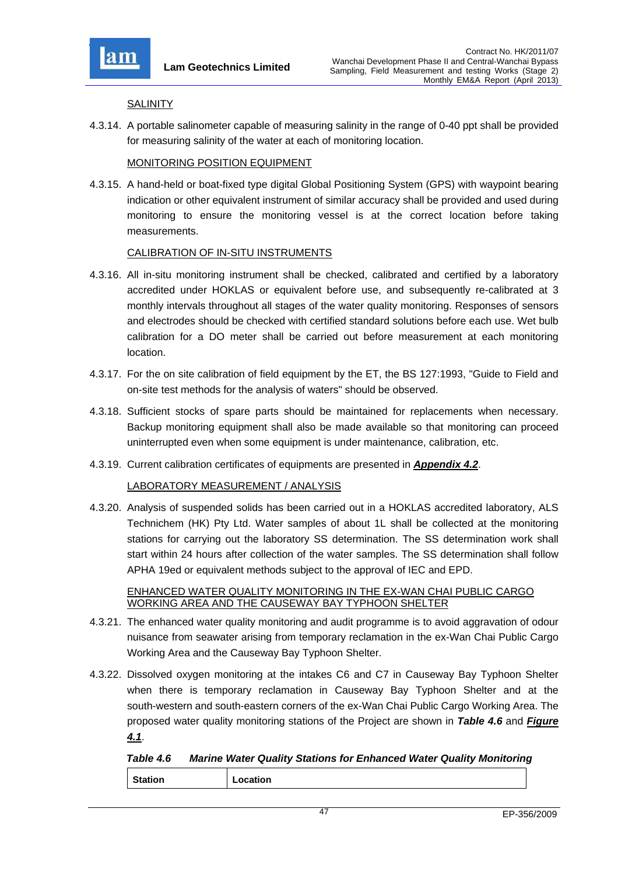

#### **SALINITY**

4.3.14. A portable salinometer capable of measuring salinity in the range of 0-40 ppt shall be provided for measuring salinity of the water at each of monitoring location.

### MONITORING POSITION EQUIPMENT

4.3.15. A hand-held or boat-fixed type digital Global Positioning System (GPS) with waypoint bearing indication or other equivalent instrument of similar accuracy shall be provided and used during monitoring to ensure the monitoring vessel is at the correct location before taking measurements.

## CALIBRATION OF IN-SITU INSTRUMENTS

- 4.3.16. All in-situ monitoring instrument shall be checked, calibrated and certified by a laboratory accredited under HOKLAS or equivalent before use, and subsequently re-calibrated at 3 monthly intervals throughout all stages of the water quality monitoring. Responses of sensors and electrodes should be checked with certified standard solutions before each use. Wet bulb calibration for a DO meter shall be carried out before measurement at each monitoring location.
- 4.3.17. For the on site calibration of field equipment by the ET, the BS 127:1993, "Guide to Field and on-site test methods for the analysis of waters" should be observed.
- 4.3.18. Sufficient stocks of spare parts should be maintained for replacements when necessary. Backup monitoring equipment shall also be made available so that monitoring can proceed uninterrupted even when some equipment is under maintenance, calibration, etc.
- 4.3.19. Current calibration certificates of equipments are presented in *Appendix 4.2*.

#### LABORATORY MEASUREMENT / ANALYSIS

4.3.20. Analysis of suspended solids has been carried out in a HOKLAS accredited laboratory, ALS Technichem (HK) Pty Ltd. Water samples of about 1L shall be collected at the monitoring stations for carrying out the laboratory SS determination. The SS determination work shall start within 24 hours after collection of the water samples. The SS determination shall follow APHA 19ed or equivalent methods subject to the approval of IEC and EPD.

#### ENHANCED WATER QUALITY MONITORING IN THE EX-WAN CHAI PUBLIC CARGO WORKING AREA AND THE CAUSEWAY BAY TYPHOON SHELTER

- 4.3.21. The enhanced water quality monitoring and audit programme is to avoid aggravation of odour nuisance from seawater arising from temporary reclamation in the ex-Wan Chai Public Cargo Working Area and the Causeway Bay Typhoon Shelter.
- 4.3.22. Dissolved oxygen monitoring at the intakes C6 and C7 in Causeway Bay Typhoon Shelter when there is temporary reclamation in Causeway Bay Typhoon Shelter and at the south-western and south-eastern corners of the ex-Wan Chai Public Cargo Working Area. The proposed water quality monitoring stations of the Project are shown in *Table 4.6* and *Figure 4.1*.

*Table 4.6 Marine Water Quality Stations for Enhanced Water Quality Monitoring* 

|  |  | <b>Station</b> | Location |
|--|--|----------------|----------|
|--|--|----------------|----------|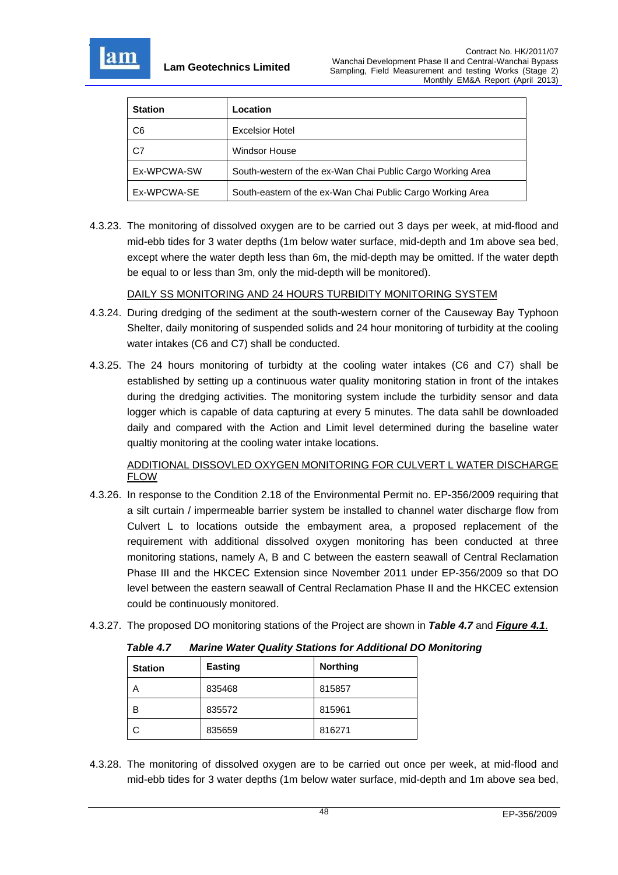

| <b>Station</b> | Location                                                   |
|----------------|------------------------------------------------------------|
| C <sub>6</sub> | <b>Excelsior Hotel</b>                                     |
| C7             | <b>Windsor House</b>                                       |
| Ex-WPCWA-SW    | South-western of the ex-Wan Chai Public Cargo Working Area |
| Ex-WPCWA-SE    | South-eastern of the ex-Wan Chai Public Cargo Working Area |

4.3.23. The monitoring of dissolved oxygen are to be carried out 3 days per week, at mid-flood and mid-ebb tides for 3 water depths (1m below water surface, mid-depth and 1m above sea bed, except where the water depth less than 6m, the mid-depth may be omitted. If the water depth be equal to or less than 3m, only the mid-depth will be monitored).

DAILY SS MONITORING AND 24 HOURS TURBIDITY MONITORING SYSTEM

- 4.3.24. During dredging of the sediment at the south-western corner of the Causeway Bay Typhoon Shelter, daily monitoring of suspended solids and 24 hour monitoring of turbidity at the cooling water intakes (C6 and C7) shall be conducted.
- 4.3.25. The 24 hours monitoring of turbidty at the cooling water intakes (C6 and C7) shall be established by setting up a continuous water quality monitoring station in front of the intakes during the dredging activities. The monitoring system include the turbidity sensor and data logger which is capable of data capturing at every 5 minutes. The data sahll be downloaded daily and compared with the Action and Limit level determined during the baseline water qualtiy monitoring at the cooling water intake locations.

## ADDITIONAL DISSOVLED OXYGEN MONITORING FOR CULVERT L WATER DISCHARGE FLOW

- 4.3.26. In response to the Condition 2.18 of the Environmental Permit no. EP-356/2009 requiring that a silt curtain / impermeable barrier system be installed to channel water discharge flow from Culvert L to locations outside the embayment area, a proposed replacement of the requirement with additional dissolved oxygen monitoring has been conducted at three monitoring stations, namely A, B and C between the eastern seawall of Central Reclamation Phase III and the HKCEC Extension since November 2011 under EP-356/2009 so that DO level between the eastern seawall of Central Reclamation Phase II and the HKCEC extension could be continuously monitored.
- 4.3.27. The proposed DO monitoring stations of the Project are shown in *Table 4.7* and *Figure 4.1*.

| <b>Station</b> | Easting | <b>Northing</b> |
|----------------|---------|-----------------|
| А              | 835468  | 815857          |
| в              | 835572  | 815961          |
|                | 835659  | 816271          |

*Table 4.7 Marine Water Quality Stations for Additional DO Monitoring* 

4.3.28. The monitoring of dissolved oxygen are to be carried out once per week, at mid-flood and mid-ebb tides for 3 water depths (1m below water surface, mid-depth and 1m above sea bed,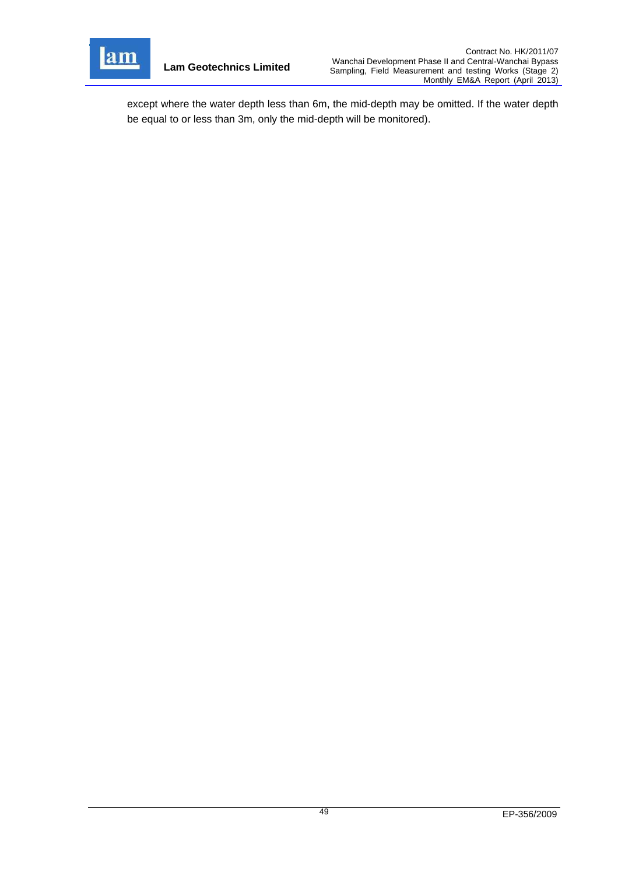

**Lam Geotechnics Limited**

except where the water depth less than 6m, the mid-depth may be omitted. If the water depth be equal to or less than 3m, only the mid-depth will be monitored).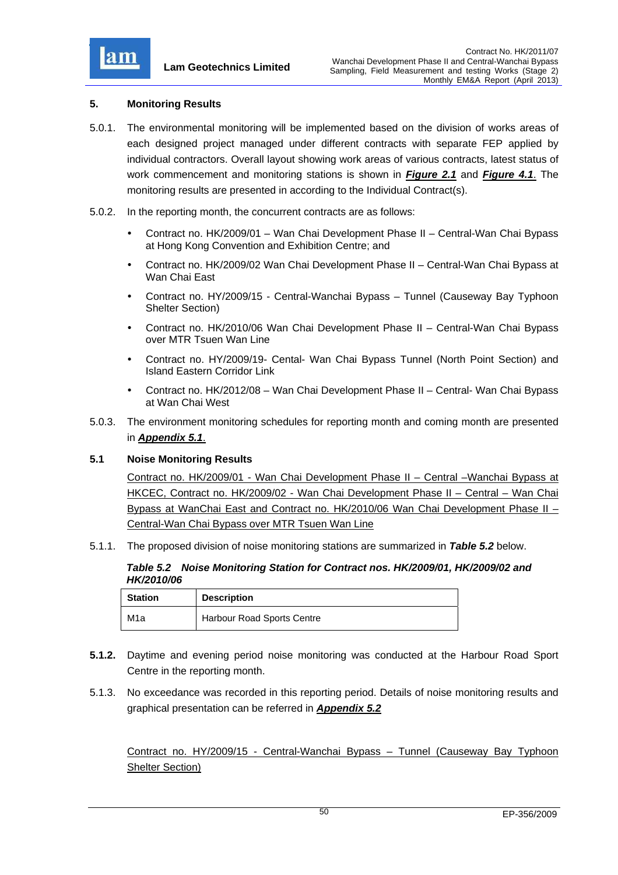

## **5. Monitoring Results**

- 5.0.1. The environmental monitoring will be implemented based on the division of works areas of each designed project managed under different contracts with separate FEP applied by individual contractors. Overall layout showing work areas of various contracts, latest status of work commencement and monitoring stations is shown in *Figure 2.1* and *Figure 4.1*. The monitoring results are presented in according to the Individual Contract(s).
- 5.0.2. In the reporting month, the concurrent contracts are as follows:
	- Contract no. HK/2009/01 Wan Chai Development Phase II Central-Wan Chai Bypass at Hong Kong Convention and Exhibition Centre; and
	- Contract no. HK/2009/02 Wan Chai Development Phase II Central-Wan Chai Bypass at Wan Chai East
	- Contract no. HY/2009/15 Central-Wanchai Bypass Tunnel (Causeway Bay Typhoon Shelter Section)
	- Contract no. HK/2010/06 Wan Chai Development Phase II Central-Wan Chai Bypass over MTR Tsuen Wan Line
	- Contract no. HY/2009/19- Cental- Wan Chai Bypass Tunnel (North Point Section) and Island Eastern Corridor Link
	- Contract no. HK/2012/08 Wan Chai Development Phase II Central- Wan Chai Bypass at Wan Chai West
- 5.0.3. The environment monitoring schedules for reporting month and coming month are presented in *Appendix 5.1*.

## **5.1 Noise Monitoring Results**

Contract no. HK/2009/01 - Wan Chai Development Phase II – Central –Wanchai Bypass at HKCEC, Contract no. HK/2009/02 - Wan Chai Development Phase II – Central – Wan Chai Bypass at WanChai East and Contract no. HK/2010/06 Wan Chai Development Phase II – Central-Wan Chai Bypass over MTR Tsuen Wan Line

5.1.1. The proposed division of noise monitoring stations are summarized in *Table 5.2* below.

#### *Table 5.2 Noise Monitoring Station for Contract nos. HK/2009/01, HK/2009/02 and HK/2010/06*

| <b>Station</b> | <b>Description</b>         |  |
|----------------|----------------------------|--|
| M1a            | Harbour Road Sports Centre |  |

- **5.1.2.** Daytime and evening period noise monitoring was conducted at the Harbour Road Sport Centre in the reporting month.
- 5.1.3. No exceedance was recorded in this reporting period. Details of noise monitoring results and graphical presentation can be referred in *Appendix 5.2*

Contract no. HY/2009/15 - Central-Wanchai Bypass – Tunnel (Causeway Bay Typhoon Shelter Section)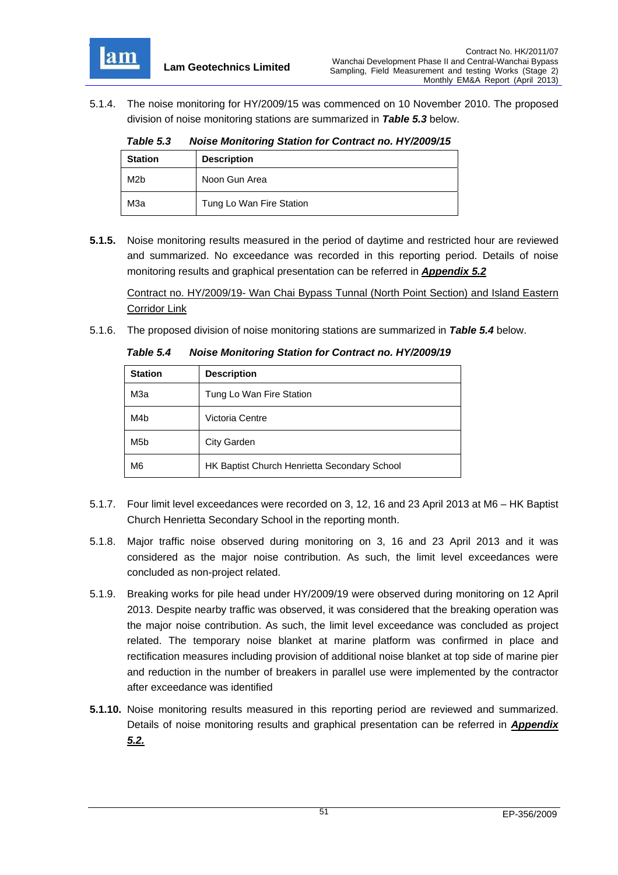

5.1.4. The noise monitoring for HY/2009/15 was commenced on 10 November 2010. The proposed division of noise monitoring stations are summarized in *Table 5.3* below.

*Table 5.3 Noise Monitoring Station for Contract no. HY/2009/15*

| <b>Station</b>   | <b>Description</b>       |  |
|------------------|--------------------------|--|
| M <sub>2</sub> b | Noon Gun Area            |  |
| МЗа              | Tung Lo Wan Fire Station |  |

**5.1.5.** Noise monitoring results measured in the period of daytime and restricted hour are reviewed and summarized. No exceedance was recorded in this reporting period. Details of noise monitoring results and graphical presentation can be referred in *Appendix 5.2*

Contract no. HY/2009/19- Wan Chai Bypass Tunnal (North Point Section) and Island Eastern Corridor Link

5.1.6. The proposed division of noise monitoring stations are summarized in *Table 5.4* below.

| <b>Station</b>   | <b>Description</b>                           |
|------------------|----------------------------------------------|
| МЗа              | Tung Lo Wan Fire Station                     |
| M4b              | Victoria Centre                              |
| M <sub>5</sub> b | <b>City Garden</b>                           |
| M <sub>6</sub>   | HK Baptist Church Henrietta Secondary School |

*Table 5.4 Noise Monitoring Station for Contract no. HY/2009/19*

- 5.1.7. Four limit level exceedances were recorded on 3, 12, 16 and 23 April 2013 at M6 HK Baptist Church Henrietta Secondary School in the reporting month.
- 5.1.8. Major traffic noise observed during monitoring on 3, 16 and 23 April 2013 and it was considered as the major noise contribution. As such, the limit level exceedances were concluded as non-project related.
- 5.1.9. Breaking works for pile head under HY/2009/19 were observed during monitoring on 12 April 2013. Despite nearby traffic was observed, it was considered that the breaking operation was the major noise contribution. As such, the limit level exceedance was concluded as project related. The temporary noise blanket at marine platform was confirmed in place and rectification measures including provision of additional noise blanket at top side of marine pier and reduction in the number of breakers in parallel use were implemented by the contractor after exceedance was identified
- **5.1.10.** Noise monitoring results measured in this reporting period are reviewed and summarized. Details of noise monitoring results and graphical presentation can be referred in *Appendix 5.2.*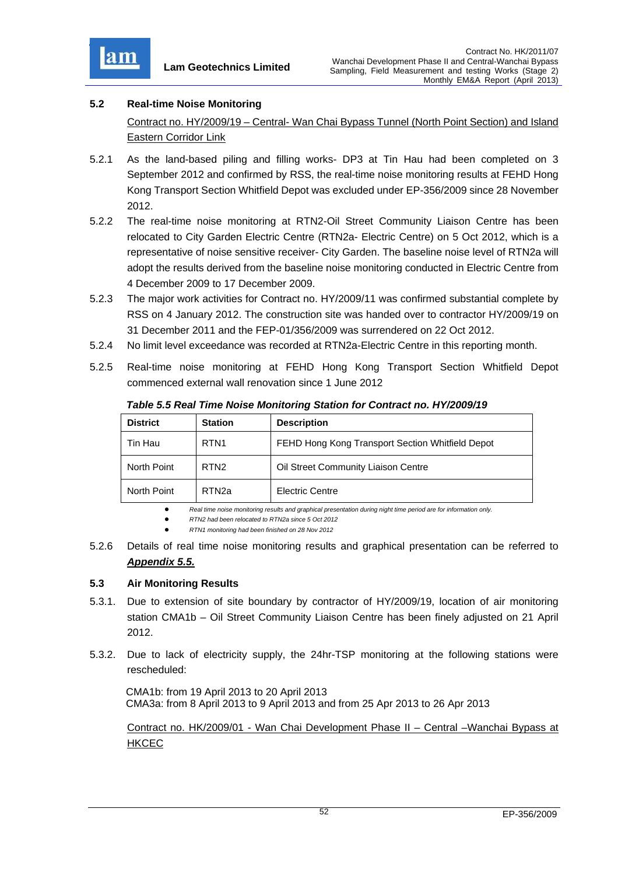

# **5.2 Real-time Noise Monitoring**

Contract no. HY/2009/19 – Central- Wan Chai Bypass Tunnel (North Point Section) and Island Eastern Corridor Link

- 5.2.1 As the land-based piling and filling works- DP3 at Tin Hau had been completed on 3 September 2012 and confirmed by RSS, the real-time noise monitoring results at FEHD Hong Kong Transport Section Whitfield Depot was excluded under EP-356/2009 since 28 November 2012.
- 5.2.2 The real-time noise monitoring at RTN2-Oil Street Community Liaison Centre has been relocated to City Garden Electric Centre (RTN2a- Electric Centre) on 5 Oct 2012, which is a representative of noise sensitive receiver- City Garden. The baseline noise level of RTN2a will adopt the results derived from the baseline noise monitoring conducted in Electric Centre from 4 December 2009 to 17 December 2009.
- 5.2.3 The major work activities for Contract no. HY/2009/11 was confirmed substantial complete by RSS on 4 January 2012. The construction site was handed over to contractor HY/2009/19 on 31 December 2011 and the FEP-01/356/2009 was surrendered on 22 Oct 2012.
- 5.2.4 No limit level exceedance was recorded at RTN2a-Electric Centre in this reporting month.
- 5.2.5 Real-time noise monitoring at FEHD Hong Kong Transport Section Whitfield Depot commenced external wall renovation since 1 June 2012

| <b>District</b> | <b>Station</b>    | <b>Description</b>                               |
|-----------------|-------------------|--------------------------------------------------|
| Tin Hau         | RTN <sub>1</sub>  | FEHD Hong Kong Transport Section Whitfield Depot |
| North Point     | RTN <sub>2</sub>  | Oil Street Community Liaison Centre              |
| North Point     | RTN <sub>2a</sub> | Electric Centre                                  |

*Table 5.5 Real Time Noise Monitoring Station for Contract no. HY/2009/19* 

*Real time noise monitoring results and graphical presentation during night time period are for information only.* 

*RTN2 had been relocated to RTN2a since 5 Oct 2012*

*RTN1 monitoring had been finished on 28 Nov 2012*

5.2.6 Details of real time noise monitoring results and graphical presentation can be referred to *Appendix 5.5.*

# **5.3 Air Monitoring Results**

- 5.3.1. Due to extension of site boundary by contractor of HY/2009/19, location of air monitoring station CMA1b – Oil Street Community Liaison Centre has been finely adjusted on 21 April 2012.
- 5.3.2. Due to lack of electricity supply, the 24hr-TSP monitoring at the following stations were rescheduled:

CMA1b: from 19 April 2013 to 20 April 2013 CMA3a: from 8 April 2013 to 9 April 2013 and from 25 Apr 2013 to 26 Apr 2013

Contract no. HK/2009/01 - Wan Chai Development Phase II – Central –Wanchai Bypass at **HKCEC**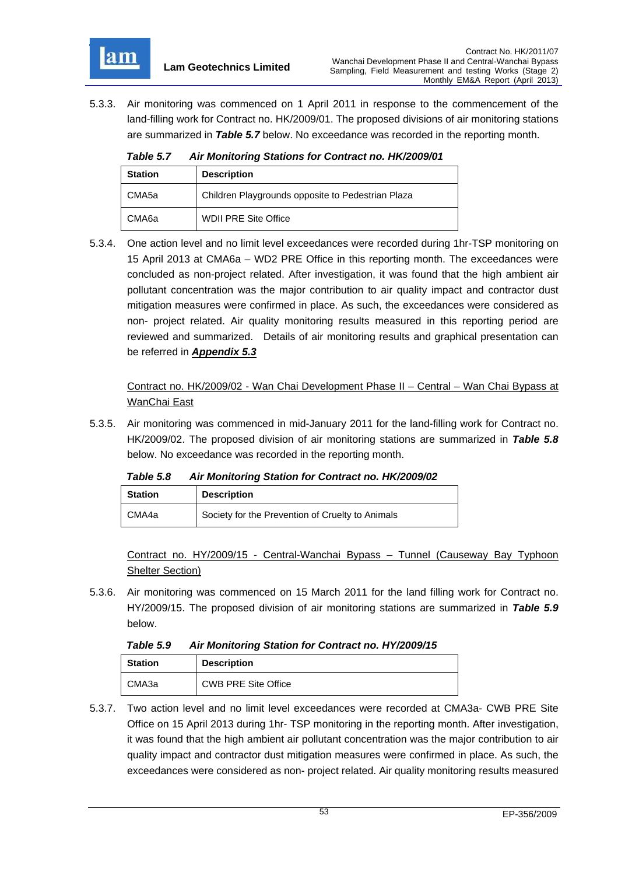

5.3.3. Air monitoring was commenced on 1 April 2011 in response to the commencement of the land-filling work for Contract no. HK/2009/01. The proposed divisions of air monitoring stations are summarized in *Table 5.7* below. No exceedance was recorded in the reporting month.

| An monitoring otations for contract no. my2000/01 |                                                   |  |  |
|---------------------------------------------------|---------------------------------------------------|--|--|
| <b>Station</b>                                    | <b>Description</b>                                |  |  |
| CMA <sub>5a</sub>                                 | Children Playgrounds opposite to Pedestrian Plaza |  |  |
| CMA <sub>6a</sub>                                 | <b>WDII PRE Site Office</b>                       |  |  |

*Table 5.7 Air Monitoring Stations for Contract no. HK/2009/01* 

5.3.4. One action level and no limit level exceedances were recorded during 1hr-TSP monitoring on 15 April 2013 at CMA6a – WD2 PRE Office in this reporting month. The exceedances were concluded as non-project related. After investigation, it was found that the high ambient air pollutant concentration was the major contribution to air quality impact and contractor dust mitigation measures were confirmed in place. As such, the exceedances were considered as non- project related. Air quality monitoring results measured in this reporting period are reviewed and summarized. Details of air monitoring results and graphical presentation can be referred in *Appendix 5.3*

Contract no. HK/2009/02 - Wan Chai Development Phase II – Central – Wan Chai Bypass at WanChai East

5.3.5. Air monitoring was commenced in mid-January 2011 for the land-filling work for Contract no. HK/2009/02. The proposed division of air monitoring stations are summarized in *Table 5.8* below. No exceedance was recorded in the reporting month.

*Table 5.8 Air Monitoring Station for Contract no. HK/2009/02* 

| <b>Station</b> | <b>Description</b>                               |  |
|----------------|--------------------------------------------------|--|
| CMA4a          | Society for the Prevention of Cruelty to Animals |  |

Contract no. HY/2009/15 - Central-Wanchai Bypass – Tunnel (Causeway Bay Typhoon Shelter Section)

5.3.6. Air monitoring was commenced on 15 March 2011 for the land filling work for Contract no. HY/2009/15. The proposed division of air monitoring stations are summarized in *Table 5.9* below.

*Table 5.9 Air Monitoring Station for Contract no. HY/2009/15* 

| <b>Station</b> | <b>Description</b>         |
|----------------|----------------------------|
| CMA3a          | <b>CWB PRE Site Office</b> |

5.3.7. Two action level and no limit level exceedances were recorded at CMA3a- CWB PRE Site Office on 15 April 2013 during 1hr- TSP monitoring in the reporting month. After investigation, it was found that the high ambient air pollutant concentration was the major contribution to air quality impact and contractor dust mitigation measures were confirmed in place. As such, the exceedances were considered as non- project related. Air quality monitoring results measured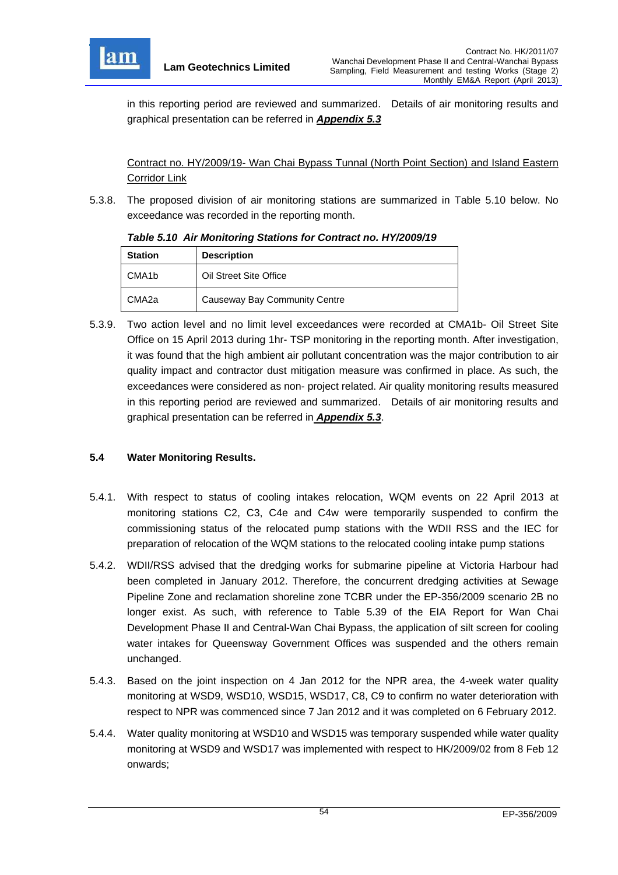

in this reporting period are reviewed and summarized. Details of air monitoring results and graphical presentation can be referred in *Appendix 5.3*

Contract no. HY/2009/19- Wan Chai Bypass Tunnal (North Point Section) and Island Eastern Corridor Link

5.3.8. The proposed division of air monitoring stations are summarized in Table 5.10 below. No exceedance was recorded in the reporting month.

| <b>Station</b>     | <b>Description</b>            |
|--------------------|-------------------------------|
| CMA <sub>1</sub> b | Oil Street Site Office        |
| CMA <sub>2a</sub>  | Causeway Bay Community Centre |

#### *Table 5.10 Air Monitoring Stations for Contract no. HY/2009/19*

5.3.9. Two action level and no limit level exceedances were recorded at CMA1b- Oil Street Site Office on 15 April 2013 during 1hr- TSP monitoring in the reporting month. After investigation, it was found that the high ambient air pollutant concentration was the major contribution to air quality impact and contractor dust mitigation measure was confirmed in place. As such, the exceedances were considered as non- project related. Air quality monitoring results measured in this reporting period are reviewed and summarized. Details of air monitoring results and graphical presentation can be referred in *Appendix 5.3*.

## **5.4 Water Monitoring Results.**

- 5.4.1. With respect to status of cooling intakes relocation, WQM events on 22 April 2013 at monitoring stations C2, C3, C4e and C4w were temporarily suspended to confirm the commissioning status of the relocated pump stations with the WDII RSS and the IEC for preparation of relocation of the WQM stations to the relocated cooling intake pump stations
- 5.4.2. WDII/RSS advised that the dredging works for submarine pipeline at Victoria Harbour had been completed in January 2012. Therefore, the concurrent dredging activities at Sewage Pipeline Zone and reclamation shoreline zone TCBR under the EP-356/2009 scenario 2B no longer exist. As such, with reference to Table 5.39 of the EIA Report for Wan Chai Development Phase II and Central-Wan Chai Bypass, the application of silt screen for cooling water intakes for Queensway Government Offices was suspended and the others remain unchanged.
- 5.4.3. Based on the joint inspection on 4 Jan 2012 for the NPR area, the 4-week water quality monitoring at WSD9, WSD10, WSD15, WSD17, C8, C9 to confirm no water deterioration with respect to NPR was commenced since 7 Jan 2012 and it was completed on 6 February 2012.
- 5.4.4. Water quality monitoring at WSD10 and WSD15 was temporary suspended while water quality monitoring at WSD9 and WSD17 was implemented with respect to HK/2009/02 from 8 Feb 12 onwards;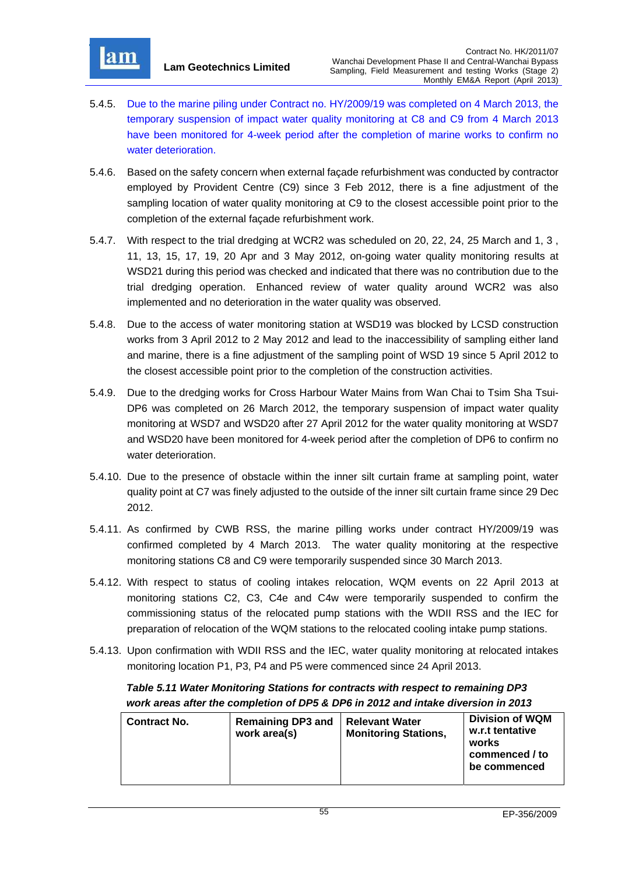

- 5.4.5. Due to the marine piling under Contract no. HY/2009/19 was completed on 4 March 2013, the temporary suspension of impact water quality monitoring at C8 and C9 from 4 March 2013 have been monitored for 4-week period after the completion of marine works to confirm no water deterioration.
- 5.4.6. Based on the safety concern when external façade refurbishment was conducted by contractor employed by Provident Centre (C9) since 3 Feb 2012, there is a fine adjustment of the sampling location of water quality monitoring at C9 to the closest accessible point prior to the completion of the external façade refurbishment work.
- 5.4.7. With respect to the trial dredging at WCR2 was scheduled on 20, 22, 24, 25 March and 1, 3 , 11, 13, 15, 17, 19, 20 Apr and 3 May 2012, on-going water quality monitoring results at WSD21 during this period was checked and indicated that there was no contribution due to the trial dredging operation. Enhanced review of water quality around WCR2 was also implemented and no deterioration in the water quality was observed.
- 5.4.8. Due to the access of water monitoring station at WSD19 was blocked by LCSD construction works from 3 April 2012 to 2 May 2012 and lead to the inaccessibility of sampling either land and marine, there is a fine adjustment of the sampling point of WSD 19 since 5 April 2012 to the closest accessible point prior to the completion of the construction activities.
- 5.4.9. Due to the dredging works for Cross Harbour Water Mains from Wan Chai to Tsim Sha Tsui-DP6 was completed on 26 March 2012, the temporary suspension of impact water quality monitoring at WSD7 and WSD20 after 27 April 2012 for the water quality monitoring at WSD7 and WSD20 have been monitored for 4-week period after the completion of DP6 to confirm no water deterioration.
- 5.4.10. Due to the presence of obstacle within the inner silt curtain frame at sampling point, water quality point at C7 was finely adjusted to the outside of the inner silt curtain frame since 29 Dec 2012.
- 5.4.11. As confirmed by CWB RSS, the marine pilling works under contract HY/2009/19 was confirmed completed by 4 March 2013. The water quality monitoring at the respective monitoring stations C8 and C9 were temporarily suspended since 30 March 2013.
- 5.4.12. With respect to status of cooling intakes relocation, WQM events on 22 April 2013 at monitoring stations C2, C3, C4e and C4w were temporarily suspended to confirm the commissioning status of the relocated pump stations with the WDII RSS and the IEC for preparation of relocation of the WQM stations to the relocated cooling intake pump stations.
- 5.4.13. Upon confirmation with WDII RSS and the IEC, water quality monitoring at relocated intakes monitoring location P1, P3, P4 and P5 were commenced since 24 April 2013.

*Table 5.11 Water Monitoring Stations for contracts with respect to remaining DP3 work areas after the completion of DP5 & DP6 in 2012 and intake diversion in 2013*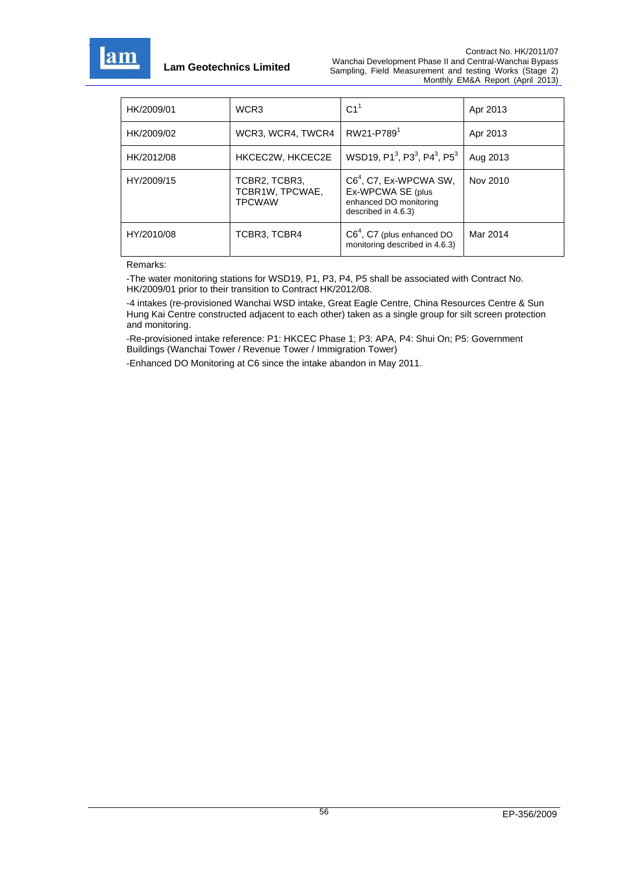

| HK/2009/01 | WCR3                                              | C1 <sup>1</sup>                                                                                | Apr 2013 |
|------------|---------------------------------------------------|------------------------------------------------------------------------------------------------|----------|
| HK/2009/02 | WCR3, WCR4, TWCR4                                 | RW21-P789 <sup>1</sup>                                                                         | Apr 2013 |
| HK/2012/08 | HKCEC2W, HKCEC2E                                  | WSD19, P1 <sup>3</sup> , P3 <sup>3</sup> , P4 <sup>3</sup> , P5 <sup>3</sup>                   | Aug 2013 |
| HY/2009/15 | TCBR2, TCBR3,<br>TCBR1W, TPCWAE,<br><b>TPCWAW</b> | $C64$ , C7, Ex-WPCWA SW,<br>Ex-WPCWA SE (plus<br>enhanced DO monitoring<br>described in 4.6.3) | Nov 2010 |
| HY/2010/08 | TCBR3, TCBR4                                      | $C64$ , C7 (plus enhanced DO<br>monitoring described in 4.6.3)                                 | Mar 2014 |

Remarks:

-The water monitoring stations for WSD19, P1, P3, P4, P5 shall be associated with Contract No. HK/2009/01 prior to their transition to Contract HK/2012/08.

-4 intakes (re-provisioned Wanchai WSD intake, Great Eagle Centre, China Resources Centre & Sun Hung Kai Centre constructed adjacent to each other) taken as a single group for silt screen protection and monitoring.

-Re-provisioned intake reference: P1: HKCEC Phase 1; P3: APA, P4: Shui On; P5: Government Buildings (Wanchai Tower / Revenue Tower / Immigration Tower)

-Enhanced DO Monitoring at C6 since the intake abandon in May 2011.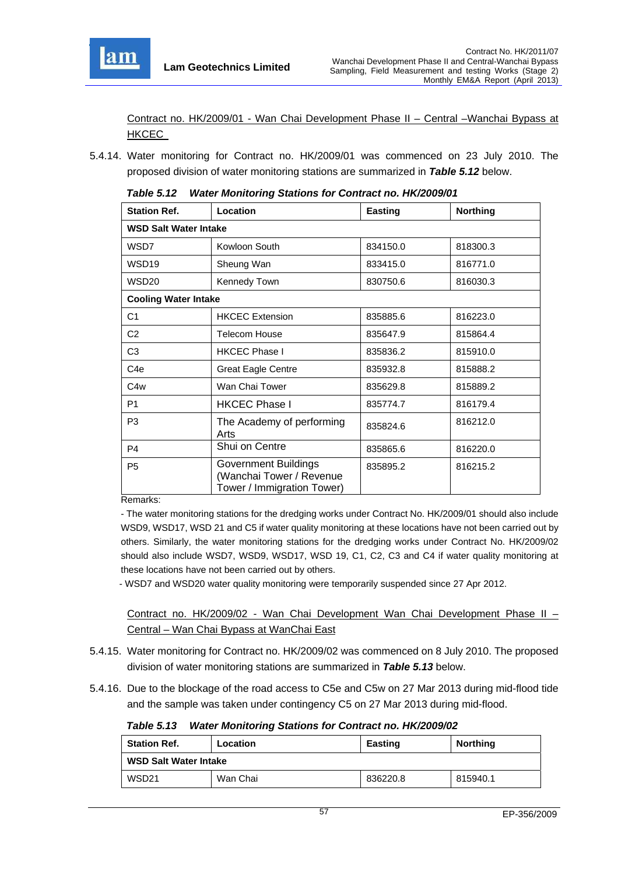

Contract no. HK/2009/01 - Wan Chai Development Phase II – Central –Wanchai Bypass at HKCEC

5.4.14. Water monitoring for Contract no. HK/2009/01 was commenced on 23 July 2010. The proposed division of water monitoring stations are summarized in *Table 5.12* below.

| <b>Station Ref.</b>          | Location                                                                       | <b>Easting</b> | <b>Northing</b> |  |  |
|------------------------------|--------------------------------------------------------------------------------|----------------|-----------------|--|--|
| <b>WSD Salt Water Intake</b> |                                                                                |                |                 |  |  |
| WSD7                         | Kowloon South                                                                  | 834150.0       | 818300.3        |  |  |
| WSD19                        | Sheung Wan                                                                     | 833415.0       | 816771.0        |  |  |
| <b>WSD20</b>                 | Kennedy Town                                                                   | 830750.6       | 816030.3        |  |  |
| <b>Cooling Water Intake</b>  |                                                                                |                |                 |  |  |
| C1                           | <b>HKCEC Extension</b>                                                         | 835885.6       | 816223.0        |  |  |
| C <sub>2</sub>               | <b>Telecom House</b>                                                           | 835647.9       | 815864.4        |  |  |
| C <sub>3</sub>               | <b>HKCEC Phase I</b>                                                           | 835836.2       | 815910.0        |  |  |
| C <sub>4e</sub>              | <b>Great Eagle Centre</b>                                                      | 835932.8       | 815888.2        |  |  |
| C4w                          | Wan Chai Tower                                                                 | 835629.8       | 815889.2        |  |  |
| P <sub>1</sub>               | <b>HKCEC Phase I</b>                                                           | 835774.7       | 816179.4        |  |  |
| P <sub>3</sub>               | The Academy of performing<br>Arts                                              | 835824.6       | 816212.0        |  |  |
| P <sub>4</sub>               | Shui on Centre                                                                 | 835865.6       | 816220.0        |  |  |
| P <sub>5</sub>               | Government Buildings<br>(Wanchai Tower / Revenue<br>Tower / Immigration Tower) | 835895.2       | 816215.2        |  |  |

*Table 5.12 Water Monitoring Stations for Contract no. HK/2009/01* 

Remarks:

- The water monitoring stations for the dredging works under Contract No. HK/2009/01 should also include WSD9, WSD17, WSD 21 and C5 if water quality monitoring at these locations have not been carried out by others. Similarly, the water monitoring stations for the dredging works under Contract No. HK/2009/02 should also include WSD7, WSD9, WSD17, WSD 19, C1, C2, C3 and C4 if water quality monitoring at these locations have not been carried out by others.

- WSD7 and WSD20 water quality monitoring were temporarily suspended since 27 Apr 2012.

Contract no. HK/2009/02 - Wan Chai Development Wan Chai Development Phase II – Central – Wan Chai Bypass at WanChai East

- 5.4.15. Water monitoring for Contract no. HK/2009/02 was commenced on 8 July 2010. The proposed division of water monitoring stations are summarized in *Table 5.13* below.
- 5.4.16. Due to the blockage of the road access to C5e and C5w on 27 Mar 2013 during mid-flood tide and the sample was taken under contingency C5 on 27 Mar 2013 during mid-flood.

*Table 5.13 Water Monitoring Stations for Contract no. HK/2009/02* 

| <b>Station Ref.</b>          | Location | <b>Easting</b> | <b>Northing</b> |  |
|------------------------------|----------|----------------|-----------------|--|
| <b>WSD Salt Water Intake</b> |          |                |                 |  |
| WSD21                        | Wan Chai | 836220.8       | 815940.1        |  |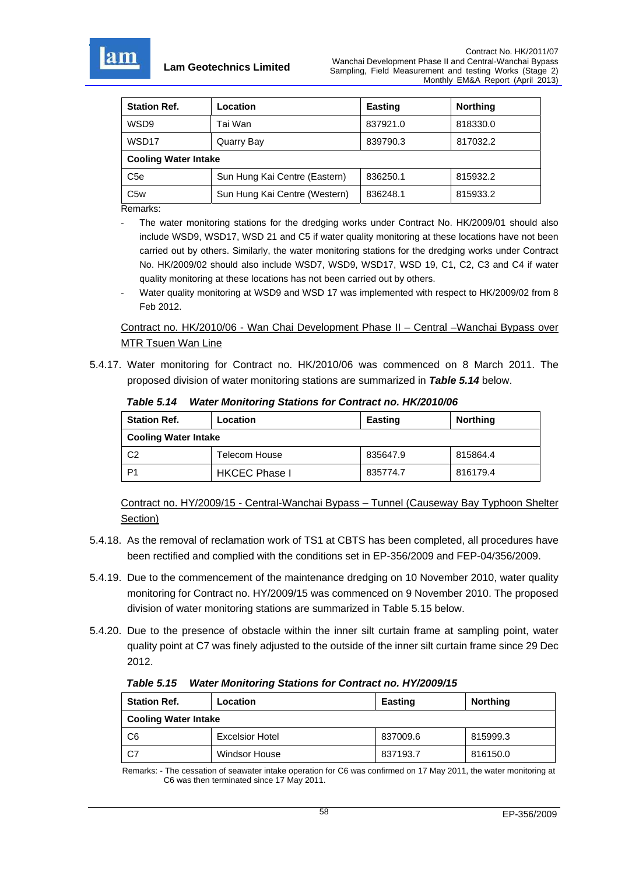

| <b>Station Ref.</b>         | Location                      | <b>Easting</b> | <b>Northing</b> |  |  |
|-----------------------------|-------------------------------|----------------|-----------------|--|--|
| WSD9                        | Tai Wan                       | 837921.0       | 818330.0        |  |  |
| WSD17                       | Quarry Bay                    | 839790.3       | 817032.2        |  |  |
| <b>Cooling Water Intake</b> |                               |                |                 |  |  |
| C <sub>5e</sub>             | Sun Hung Kai Centre (Eastern) | 836250.1       | 815932.2        |  |  |
| C <sub>5w</sub>             | Sun Hung Kai Centre (Western) | 836248.1       | 815933.2        |  |  |

Remarks:

- The water monitoring stations for the dredging works under Contract No. HK/2009/01 should also include WSD9, WSD17, WSD 21 and C5 if water quality monitoring at these locations have not been carried out by others. Similarly, the water monitoring stations for the dredging works under Contract No. HK/2009/02 should also include WSD7, WSD9, WSD17, WSD 19, C1, C2, C3 and C4 if water quality monitoring at these locations has not been carried out by others.
- Water quality monitoring at WSD9 and WSD 17 was implemented with respect to HK/2009/02 from 8 Feb 2012.

Contract no. HK/2010/06 - Wan Chai Development Phase II – Central –Wanchai Bypass over MTR Tsuen Wan Line

5.4.17. Water monitoring for Contract no. HK/2010/06 was commenced on 8 March 2011. The proposed division of water monitoring stations are summarized in *Table 5.14* below.

*Table 5.14 Water Monitoring Stations for Contract no. HK/2010/06* 

| <b>Station Ref.</b>         | Location             | Easting  | <b>Northing</b> |
|-----------------------------|----------------------|----------|-----------------|
| <b>Cooling Water Intake</b> |                      |          |                 |
| C <sub>2</sub>              | Telecom House        | 835647.9 | 815864.4        |
| P1                          | <b>HKCEC Phase I</b> | 835774.7 | 816179.4        |

Contract no. HY/2009/15 - Central-Wanchai Bypass – Tunnel (Causeway Bay Typhoon Shelter Section)

- 5.4.18. As the removal of reclamation work of TS1 at CBTS has been completed, all procedures have been rectified and complied with the conditions set in EP-356/2009 and FEP-04/356/2009.
- 5.4.19. Due to the commencement of the maintenance dredging on 10 November 2010, water quality monitoring for Contract no. HY/2009/15 was commenced on 9 November 2010. The proposed division of water monitoring stations are summarized in Table 5.15 below.
- 5.4.20. Due to the presence of obstacle within the inner silt curtain frame at sampling point, water quality point at C7 was finely adjusted to the outside of the inner silt curtain frame since 29 Dec 2012.

*Table 5.15 Water Monitoring Stations for Contract no. HY/2009/15* 

| <b>Station Ref.</b>         | Location               | <b>Easting</b> | <b>Northing</b> |
|-----------------------------|------------------------|----------------|-----------------|
| <b>Cooling Water Intake</b> |                        |                |                 |
| C6                          | <b>Excelsior Hotel</b> | 837009.6       | 815999.3        |
| C7                          | <b>Windsor House</b>   | 837193.7       | 816150.0        |

Remarks: - The cessation of seawater intake operation for C6 was confirmed on 17 May 2011, the water monitoring at C6 was then terminated since 17 May 2011.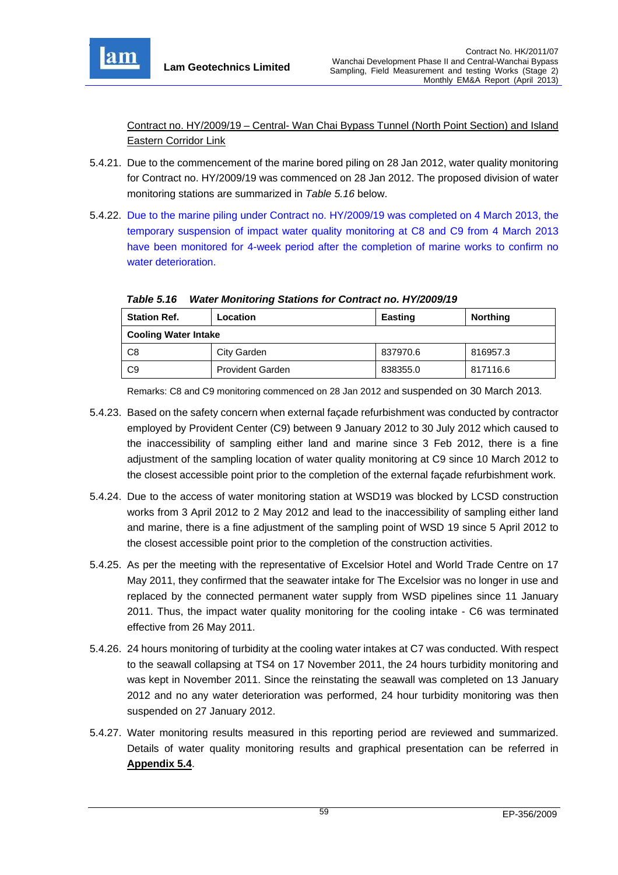

Contract no. HY/2009/19 – Central- Wan Chai Bypass Tunnel (North Point Section) and Island Eastern Corridor Link

- 5.4.21. Due to the commencement of the marine bored piling on 28 Jan 2012, water quality monitoring for Contract no. HY/2009/19 was commenced on 28 Jan 2012. The proposed division of water monitoring stations are summarized in *Table 5.16* below.
- 5.4.22. Due to the marine piling under Contract no. HY/2009/19 was completed on 4 March 2013, the temporary suspension of impact water quality monitoring at C8 and C9 from 4 March 2013 have been monitored for 4-week period after the completion of marine works to confirm no water deterioration.

| <b>Station Ref.</b>         | Location                | <b>Easting</b> | <b>Northing</b> |
|-----------------------------|-------------------------|----------------|-----------------|
| <b>Cooling Water Intake</b> |                         |                |                 |
| C8                          | City Garden             | 837970.6       | 816957.3        |
| C9                          | <b>Provident Garden</b> | 838355.0       | 817116.6        |

*Table 5.16 Water Monitoring Stations for Contract no. HY/2009/19* 

Remarks: C8 and C9 monitoring commenced on 28 Jan 2012 and suspended on 30 March 2013.

- 5.4.23. Based on the safety concern when external façade refurbishment was conducted by contractor employed by Provident Center (C9) between 9 January 2012 to 30 July 2012 which caused to the inaccessibility of sampling either land and marine since 3 Feb 2012, there is a fine adjustment of the sampling location of water quality monitoring at C9 since 10 March 2012 to the closest accessible point prior to the completion of the external façade refurbishment work.
- 5.4.24. Due to the access of water monitoring station at WSD19 was blocked by LCSD construction works from 3 April 2012 to 2 May 2012 and lead to the inaccessibility of sampling either land and marine, there is a fine adjustment of the sampling point of WSD 19 since 5 April 2012 to the closest accessible point prior to the completion of the construction activities.
- 5.4.25. As per the meeting with the representative of Excelsior Hotel and World Trade Centre on 17 May 2011, they confirmed that the seawater intake for The Excelsior was no longer in use and replaced by the connected permanent water supply from WSD pipelines since 11 January 2011. Thus, the impact water quality monitoring for the cooling intake - C6 was terminated effective from 26 May 2011.
- 5.4.26. 24 hours monitoring of turbidity at the cooling water intakes at C7 was conducted. With respect to the seawall collapsing at TS4 on 17 November 2011, the 24 hours turbidity monitoring and was kept in November 2011. Since the reinstating the seawall was completed on 13 January 2012 and no any water deterioration was performed, 24 hour turbidity monitoring was then suspended on 27 January 2012.
- 5.4.27. Water monitoring results measured in this reporting period are reviewed and summarized. Details of water quality monitoring results and graphical presentation can be referred in **Appendix 5.4**.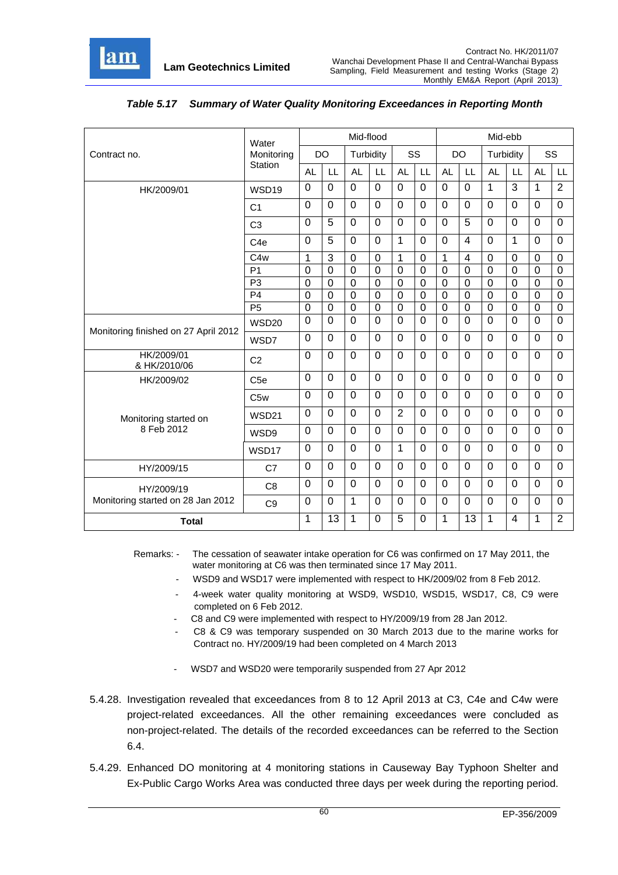

|                                      | Water             |                |                | Mid-flood      |                |                |                |                |                |                | Mid-ebb        |                |                |
|--------------------------------------|-------------------|----------------|----------------|----------------|----------------|----------------|----------------|----------------|----------------|----------------|----------------|----------------|----------------|
| Contract no.                         | Monitoring        |                | <b>DO</b>      | Turbidity      |                | SS             |                | <b>DO</b>      |                |                | Turbidity      | SS             |                |
|                                      | Station           | <b>AL</b>      | LL             | <b>AL</b>      | LL             | <b>AL</b>      | LL             | <b>AL</b>      | LL             | <b>AL</b>      | LL             | <b>AL</b>      | LL             |
| HK/2009/01                           | WSD <sub>19</sub> | 0              | $\overline{0}$ | $\mathbf 0$    | $\Omega$       | $\overline{0}$ | $\mathbf 0$    | 0              | $\overline{0}$ | 1              | $\overline{3}$ | 1              | $\overline{2}$ |
|                                      | C <sub>1</sub>    | $\mathbf 0$    | $\mathbf 0$    | $\overline{0}$ | $\mathbf 0$    | 0              | $\Omega$       | 0              | $\overline{0}$ | $\mathbf 0$    | $\mathbf 0$    | $\mathbf 0$    | $\overline{0}$ |
|                                      | C <sub>3</sub>    | $\overline{0}$ | 5              | $\Omega$       | $\Omega$       | $\overline{0}$ | $\Omega$       | 0              | 5              | $\mathbf 0$    | $\Omega$       | $\mathbf 0$    | $\mathbf 0$    |
|                                      | C <sub>4e</sub>   | $\mathbf 0$    | 5              | $\overline{0}$ | $\mathbf 0$    | $\mathbf{1}$   | $\mathbf 0$    | 0              | $\overline{4}$ | $\overline{0}$ | 1              | $\mathbf 0$    | $\overline{0}$ |
|                                      | C <sub>4w</sub>   | 1              | 3              | $\mathbf 0$    | 0              | 1              | 0              | 1              | 4              | 0              | $\Omega$       | $\Omega$       | $\mathbf 0$    |
|                                      | P <sub>1</sub>    | $\mathbf 0$    | $\mathbf 0$    | $\overline{0}$ | $\mathbf 0$    | $\mathbf 0$    | 0              | $\overline{0}$ | $\mathbf 0$    | $\mathbf 0$    | $\mathbf 0$    | $\mathbf 0$    | $\mathbf 0$    |
|                                      | P <sub>3</sub>    | $\mathbf 0$    | $\mathbf 0$    | $\overline{0}$ | $\overline{0}$ | $\mathbf 0$    | $\mathbf 0$    | $\overline{0}$ | $\mathbf 0$    | $\mathbf 0$    | $\overline{0}$ | $\overline{0}$ | $\mathbf 0$    |
|                                      | P <sub>4</sub>    | $\mathbf 0$    | $\mathbf 0$    | $\mathbf 0$    | $\mathbf 0$    | $\mathbf 0$    | 0              | 0              | $\mathbf 0$    | $\overline{0}$ | $\mathbf 0$    | $\mathbf 0$    | $\mathbf 0$    |
|                                      | P <sub>5</sub>    | $\mathbf 0$    | $\overline{0}$ | $\mathbf 0$    | 0              | $\mathbf 0$    | 0              | $\overline{0}$ | $\overline{0}$ | $\overline{0}$ | $\mathbf 0$    | $\overline{0}$ | $\mathbf 0$    |
| Monitoring finished on 27 April 2012 | <b>WSD20</b>      | $\mathbf 0$    | $\Omega$       | $\Omega$       | $\Omega$       | $\overline{0}$ | $\Omega$       | $\overline{0}$ | $\overline{0}$ | $\Omega$       | $\Omega$       | $\Omega$       | $\Omega$       |
|                                      | WSD7              | $\mathbf 0$    | $\mathbf 0$    | $\mathbf 0$    | $\Omega$       | 0              | $\mathbf 0$    | 0              | $\overline{0}$ | $\overline{0}$ | $\Omega$       | $\mathbf 0$    | $\overline{0}$ |
| HK/2009/01<br>& HK/2010/06           | C <sub>2</sub>    | $\mathbf 0$    | $\overline{0}$ | $\overline{0}$ | 0              | $\mathbf 0$    | $\Omega$       | 0              | $\overline{0}$ | $\mathbf 0$    | $\mathbf 0$    | $\mathbf 0$    | $\mathbf 0$    |
| HK/2009/02                           | C <sub>5e</sub>   | $\mathbf 0$    | $\mathbf 0$    | $\mathbf 0$    | $\mathbf 0$    | 0              | $\mathbf 0$    | 0              | $\mathbf 0$    | 0              | $\mathbf 0$    | $\mathbf 0$    | $\mathbf 0$    |
|                                      | C <sub>5w</sub>   | 0              | $\Omega$       | $\mathbf 0$    | $\Omega$       | $\overline{0}$ | $\Omega$       | 0              | $\overline{0}$ | $\mathbf 0$    | $\Omega$       | $\Omega$       | $\mathbf 0$    |
| Monitoring started on                | <b>WSD21</b>      | 0              | $\mathbf 0$    | $\mathbf 0$    | $\mathbf 0$    | $\overline{2}$ | $\Omega$       | 0              | $\overline{0}$ | $\mathbf 0$    | $\mathbf 0$    | $\mathbf 0$    | $\overline{0}$ |
| 8 Feb 2012                           | WSD9              | $\mathbf 0$    | $\mathbf 0$    | $\overline{0}$ | $\mathbf 0$    | $\mathbf 0$    | $\overline{0}$ | 0              | $\overline{0}$ | $\overline{0}$ | $\mathbf 0$    | $\mathbf 0$    | $\overline{0}$ |
|                                      | WSD17             | 0              | $\Omega$       | $\mathbf 0$    | $\mathbf 0$    | $\mathbf{1}$   | $\Omega$       | 0              | $\overline{0}$ | $\overline{0}$ | $\Omega$       | $\mathbf 0$    | $\overline{0}$ |
| HY/2009/15                           | C7                | 0              | $\Omega$       | $\mathbf 0$    | $\mathbf 0$    | 0              | $\Omega$       | 0              | $\overline{0}$ | 0              | $\Omega$       | $\mathbf 0$    | $\overline{0}$ |
| HY/2009/19                           | C <sub>8</sub>    | 0              | $\Omega$       | $\Omega$       | $\Omega$       | $\Omega$       | $\Omega$       | 0              | $\Omega$       | $\Omega$       | $\Omega$       | $\Omega$       | $\Omega$       |
| Monitoring started on 28 Jan 2012    | C <sub>9</sub>    | $\mathbf 0$    | $\Omega$       | 1              | $\mathbf 0$    | $\mathbf 0$    | $\Omega$       | 0              | 0              | 0              | $\mathbf 0$    | $\mathbf 0$    | $\overline{0}$ |
| <b>Total</b>                         |                   | 1              | 13             | 1              | $\Omega$       | 5              | $\overline{0}$ | $\mathbf{1}$   | 13             | 1              | $\overline{4}$ | 1              | $\overline{2}$ |

# *Table 5.17 Summary of Water Quality Monitoring Exceedances in Reporting Month*

Remarks: - The cessation of seawater intake operation for C6 was confirmed on 17 May 2011, the water monitoring at C6 was then terminated since 17 May 2011.

- WSD9 and WSD17 were implemented with respect to HK/2009/02 from 8 Feb 2012.
- 4-week water quality monitoring at WSD9, WSD10, WSD15, WSD17, C8, C9 were completed on 6 Feb 2012.
- C8 and C9 were implemented with respect to HY/2009/19 from 28 Jan 2012.
- C8 & C9 was temporary suspended on 30 March 2013 due to the marine works for Contract no. HY/2009/19 had been completed on 4 March 2013
- WSD7 and WSD20 were temporarily suspended from 27 Apr 2012
- 5.4.28. Investigation revealed that exceedances from 8 to 12 April 2013 at C3, C4e and C4w were project-related exceedances. All the other remaining exceedances were concluded as non-project-related. The details of the recorded exceedances can be referred to the Section 6.4.
- 5.4.29. Enhanced DO monitoring at 4 monitoring stations in Causeway Bay Typhoon Shelter and Ex-Public Cargo Works Area was conducted three days per week during the reporting period.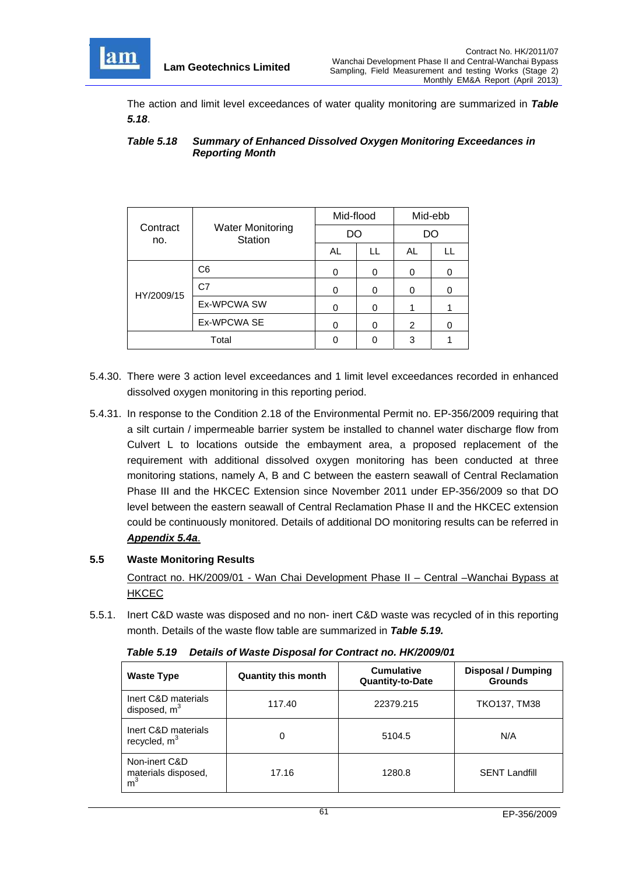

The action and limit level exceedances of water quality monitoring are summarized in *Table 5.18*.

#### *Table 5.18 Summary of Enhanced Dissolved Oxygen Monitoring Exceedances in Reporting Month*

|                 |                                           | Mid-flood |    | Mid-ebb        |   |  |
|-----------------|-------------------------------------------|-----------|----|----------------|---|--|
| Contract<br>no. | <b>Water Monitoring</b><br><b>Station</b> | DO        |    | DO             |   |  |
|                 |                                           | AL        | LL | AL             |   |  |
|                 | C <sub>6</sub>                            |           | 0  | 0              |   |  |
| HY/2009/15      | C <sub>7</sub>                            |           | 0  | 0              | 0 |  |
|                 | Ex-WPCWA SW                               |           | 0  |                |   |  |
|                 | Ex-WPCWA SE                               |           | 0  | $\overline{2}$ |   |  |
| Total           |                                           |           | ი  | 3              |   |  |

- 5.4.30. There were 3 action level exceedances and 1 limit level exceedances recorded in enhanced dissolved oxygen monitoring in this reporting period.
- 5.4.31. In response to the Condition 2.18 of the Environmental Permit no. EP-356/2009 requiring that a silt curtain / impermeable barrier system be installed to channel water discharge flow from Culvert L to locations outside the embayment area, a proposed replacement of the requirement with additional dissolved oxygen monitoring has been conducted at three monitoring stations, namely A, B and C between the eastern seawall of Central Reclamation Phase III and the HKCEC Extension since November 2011 under EP-356/2009 so that DO level between the eastern seawall of Central Reclamation Phase II and the HKCEC extension could be continuously monitored. Details of additional DO monitoring results can be referred in *Appendix 5.4a*.

## **5.5 Waste Monitoring Results**

Contract no. HK/2009/01 - Wan Chai Development Phase II – Central –Wanchai Bypass at **HKCEC** 

5.5.1. Inert C&D waste was disposed and no non- inert C&D waste was recycled of in this reporting month. Details of the waste flow table are summarized in *Table 5.19.*

| <b>Waste Type</b>                                      | <b>Quantity this month</b> | <b>Cumulative</b><br><b>Quantity-to-Date</b> | <b>Disposal / Dumping</b><br><b>Grounds</b> |
|--------------------------------------------------------|----------------------------|----------------------------------------------|---------------------------------------------|
| Inert C&D materials<br>disposed, $m3$                  | 117.40                     | 22379.215                                    | <b>TKO137, TM38</b>                         |
| Inert C&D materials<br>recycled, $m3$                  | 0                          | 5104.5                                       | N/A                                         |
| Non-inert C&D<br>materials disposed.<br>m <sup>3</sup> | 17.16                      | 1280.8                                       | <b>SENT Landfill</b>                        |

*Table 5.19 Details of Waste Disposal for Contract no. HK/2009/01*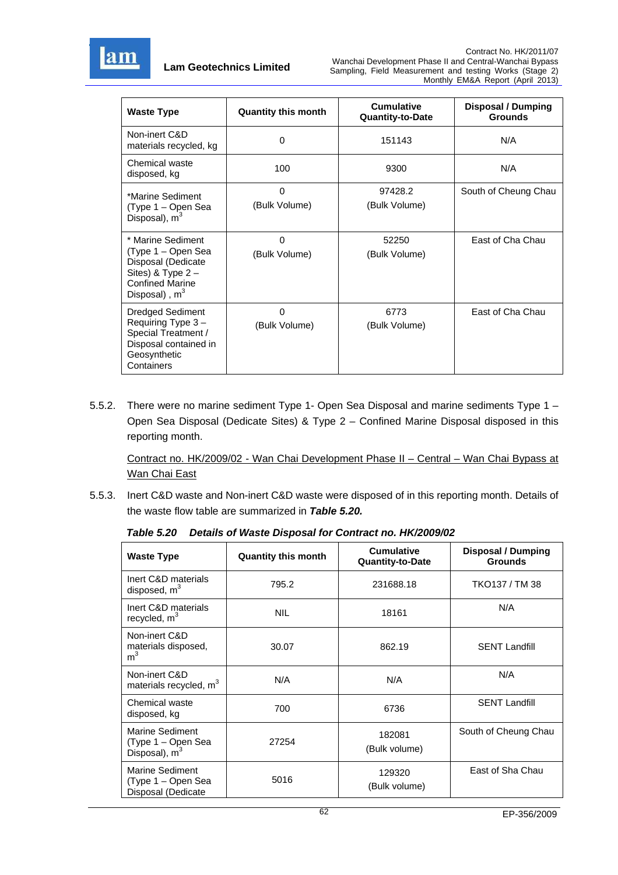

| <b>Waste Type</b>                                                                                                                 | <b>Quantity this month</b> | <b>Cumulative</b><br><b>Quantity-to-Date</b> | <b>Disposal / Dumping</b><br><b>Grounds</b> |
|-----------------------------------------------------------------------------------------------------------------------------------|----------------------------|----------------------------------------------|---------------------------------------------|
| Non-inert C&D<br>materials recycled, kg                                                                                           | 0                          | 151143                                       | N/A                                         |
| Chemical waste<br>disposed, kg                                                                                                    | 100                        | 9300                                         | N/A                                         |
| *Marine Sediment<br>(Type 1 – Open Sea<br>Disposal), m <sup>3</sup>                                                               | 0<br>(Bulk Volume)         | 97428.2<br>(Bulk Volume)                     | South of Cheung Chau                        |
| * Marine Sediment<br>(Type 1 – Open Sea<br>Disposal (Dedicate<br>Sites) & Type $2 -$<br><b>Confined Marine</b><br>Disposal), $m3$ | $\Omega$<br>(Bulk Volume)  | 52250<br>(Bulk Volume)                       | East of Cha Chau                            |
| <b>Dredged Sediment</b><br>Requiring Type 3-<br>Special Treatment /<br>Disposal contained in<br>Geosynthetic<br>Containers        | 0<br>(Bulk Volume)         | 6773<br>(Bulk Volume)                        | East of Cha Chau                            |

5.5.2. There were no marine sediment Type 1- Open Sea Disposal and marine sediments Type 1 – Open Sea Disposal (Dedicate Sites) & Type 2 – Confined Marine Disposal disposed in this reporting month.

Contract no. HK/2009/02 - Wan Chai Development Phase II – Central – Wan Chai Bypass at Wan Chai East

5.5.3. Inert C&D waste and Non-inert C&D waste were disposed of in this reporting month. Details of the waste flow table are summarized in *Table 5.20.*

| <b>Waste Type</b>                                           | <b>Quantity this month</b> | <b>Cumulative</b><br><b>Quantity-to-Date</b> | <b>Disposal / Dumping</b><br><b>Grounds</b> |
|-------------------------------------------------------------|----------------------------|----------------------------------------------|---------------------------------------------|
| Inert C&D materials<br>disposed, $m3$                       | 795.2                      | 231688.18                                    | TKO137 / TM 38                              |
| Inert C&D materials<br>recycled, m <sup>3</sup>             | <b>NIL</b>                 | 18161                                        | N/A                                         |
| Non-inert C&D<br>materials disposed,<br>m <sup>3</sup>      | 30.07                      | 862.19                                       | <b>SENT Landfill</b>                        |
| Non-inert C&D<br>materials recycled, m <sup>3</sup>         | N/A                        | N/A                                          | N/A                                         |
| Chemical waste<br>disposed, kg                              | 700                        | 6736                                         | <b>SENT Landfill</b>                        |
| Marine Sediment<br>(Type 1 – Open Sea<br>Disposal), $m3$    | 27254                      | 182081<br>(Bulk volume)                      | South of Cheung Chau                        |
| Marine Sediment<br>(Type 1 – Open Sea<br>Disposal (Dedicate | 5016                       | 129320<br>(Bulk volume)                      | East of Sha Chau                            |

*Table 5.20 Details of Waste Disposal for Contract no. HK/2009/02*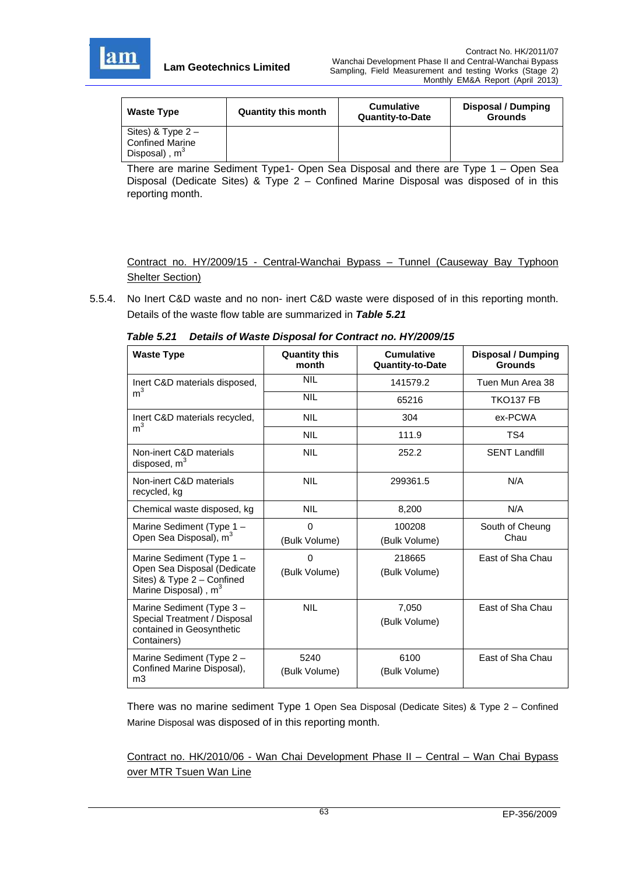

| <b>Waste Type</b>                                                | <b>Quantity this month</b> | <b>Cumulative</b><br><b>Quantity-to-Date</b> | Disposal / Dumping<br><b>Grounds</b> |
|------------------------------------------------------------------|----------------------------|----------------------------------------------|--------------------------------------|
| Sites) & $Type 2 -$<br><b>Confined Marine</b><br>Disposal), $m3$ |                            |                                              |                                      |

There are marine Sediment Type1- Open Sea Disposal and there are Type 1 – Open Sea Disposal (Dedicate Sites) & Type 2 – Confined Marine Disposal was disposed of in this reporting month.

Contract no. HY/2009/15 - Central-Wanchai Bypass – Tunnel (Causeway Bay Typhoon **Shelter Section)** 

5.5.4. No Inert C&D waste and no non- inert C&D waste were disposed of in this reporting month. Details of the waste flow table are summarized in *Table 5.21*

| Details of Waste Disposal for Contract no. HY/2009/15<br>Table 5.21 |  |  |
|---------------------------------------------------------------------|--|--|
|---------------------------------------------------------------------|--|--|

| <b>Waste Type</b>                                                                                                          | <b>Quantity this</b><br>month | <b>Cumulative</b><br><b>Quantity-to-Date</b> | Disposal / Dumping<br><b>Grounds</b> |  |  |
|----------------------------------------------------------------------------------------------------------------------------|-------------------------------|----------------------------------------------|--------------------------------------|--|--|
| Inert C&D materials disposed,                                                                                              | <b>NIL</b>                    | 141579.2                                     | Tuen Mun Area 38                     |  |  |
| m <sup>3</sup>                                                                                                             | <b>NIL</b>                    | 65216                                        | <b>TKO137 FB</b>                     |  |  |
| Inert C&D materials recycled,                                                                                              | <b>NIL</b>                    | 304                                          | ex-PCWA                              |  |  |
| m <sup>3</sup>                                                                                                             | <b>NIL</b>                    | 111.9                                        | TS4                                  |  |  |
| Non-inert C&D materials<br>disposed, m <sup>3</sup>                                                                        | <b>NIL</b>                    | 252.2                                        | <b>SENT Landfill</b>                 |  |  |
| Non-inert C&D materials<br>recycled, kg                                                                                    | <b>NIL</b>                    | 299361.5                                     | N/A                                  |  |  |
| Chemical waste disposed, kg                                                                                                | <b>NIL</b>                    | 8,200                                        | N/A                                  |  |  |
| Marine Sediment (Type <sub>1</sub> -<br>Open Sea Disposal), m <sup>3</sup>                                                 | $\Omega$<br>(Bulk Volume)     | 100208<br>(Bulk Volume)                      | South of Cheung<br>Chau              |  |  |
| Marine Sediment (Type 1 -<br>Open Sea Disposal (Dedicate<br>Sites) & Type 2 - Confined<br>Marine Disposal), m <sup>3</sup> | $\Omega$<br>(Bulk Volume)     | 218665<br>(Bulk Volume)                      | East of Sha Chau                     |  |  |
| Marine Sediment (Type 3 -<br>Special Treatment / Disposal<br>contained in Geosynthetic<br>Containers)                      | <b>NIL</b>                    | 7,050<br>(Bulk Volume)                       | East of Sha Chau                     |  |  |
| Marine Sediment (Type 2 -<br>Confined Marine Disposal),<br>m <sub>3</sub>                                                  | 5240<br>(Bulk Volume)         | 6100<br>(Bulk Volume)                        | East of Sha Chau                     |  |  |

There was no marine sediment Type 1 Open Sea Disposal (Dedicate Sites) & Type 2 – Confined Marine Disposal was disposed of in this reporting month.

Contract no. HK/2010/06 - Wan Chai Development Phase II – Central – Wan Chai Bypass over MTR Tsuen Wan Line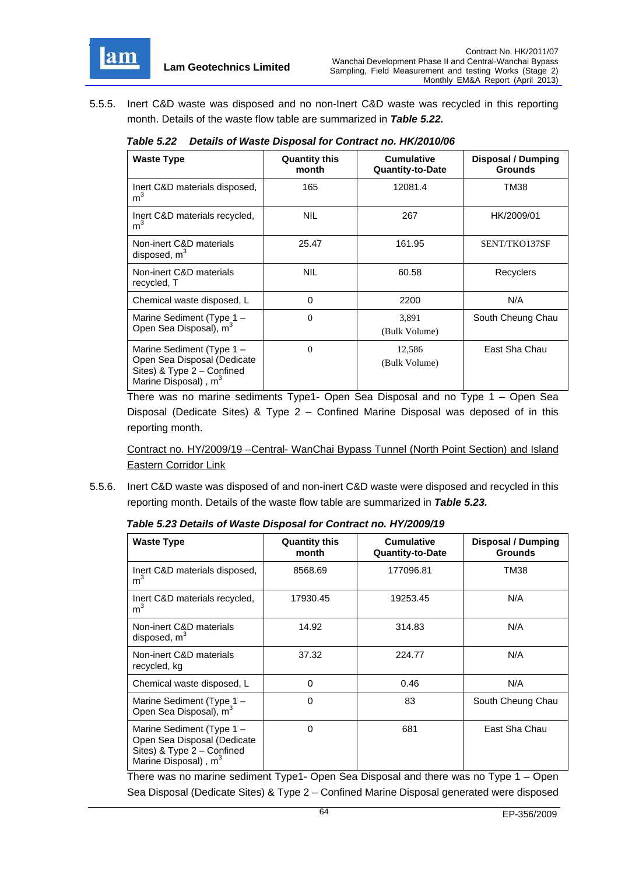

5.5.5. Inert C&D waste was disposed and no non-Inert C&D waste was recycled in this reporting month. Details of the waste flow table are summarized in *Table 5.22.*

| <b>Waste Type</b>                                                                                                          | <b>Quantity this</b><br>month | <b>Cumulative</b><br><b>Quantity-to-Date</b> | <b>Disposal / Dumping</b><br><b>Grounds</b> |
|----------------------------------------------------------------------------------------------------------------------------|-------------------------------|----------------------------------------------|---------------------------------------------|
| Inert C&D materials disposed,<br>m <sup>3</sup>                                                                            | 165                           | 12081.4                                      | TM38                                        |
| Inert C&D materials recycled,<br>m <sup>3</sup>                                                                            | <b>NIL</b>                    | 267                                          | HK/2009/01                                  |
| Non-inert C&D materials<br>disposed, $m3$                                                                                  | 25.47                         | 161.95                                       | SENT/TKO137SF                               |
| Non-inert C&D materials<br>recycled, T                                                                                     | <b>NIL</b>                    | 60.58                                        | Recyclers                                   |
| Chemical waste disposed, L                                                                                                 | 0                             | 2200                                         | N/A                                         |
| Marine Sediment (Type 1 -<br>Open Sea Disposal), m <sup>3</sup>                                                            | $\theta$                      | 3,891<br>(Bulk Volume)                       | South Cheung Chau                           |
| Marine Sediment (Type 1 -<br>Open Sea Disposal (Dedicate<br>Sites) & Type 2 - Confined<br>Marine Disposal), m <sup>3</sup> | $\Omega$                      | 12,586<br>(Bulk Volume)                      | East Sha Chau                               |

*Table 5.22 Details of Waste Disposal for Contract no. HK/2010/06*

There was no marine sediments Type1- Open Sea Disposal and no Type 1 – Open Sea Disposal (Dedicate Sites) & Type 2 – Confined Marine Disposal was deposed of in this reporting month.

Contract no. HY/2009/19 –Central- WanChai Bypass Tunnel (North Point Section) and Island Eastern Corridor Link

5.5.6. Inert C&D waste was disposed of and non-inert C&D waste were disposed and recycled in this reporting month. Details of the waste flow table are summarized in *Table 5.23.*

| <b>Waste Type</b>                                                                                                          | <b>Quantity this</b><br>month | <b>Cumulative</b><br><b>Quantity-to-Date</b> | <b>Disposal / Dumping</b><br><b>Grounds</b> |
|----------------------------------------------------------------------------------------------------------------------------|-------------------------------|----------------------------------------------|---------------------------------------------|
| Inert C&D materials disposed,<br>m <sup>3</sup>                                                                            | 8568.69                       | 177096.81                                    | TM38                                        |
| Inert C&D materials recycled,<br>m <sup>3</sup>                                                                            | 17930.45                      | 19253.45                                     | N/A                                         |
| Non-inert C&D materials<br>disposed, $m3$                                                                                  | 14.92                         | 314.83                                       | N/A                                         |
| Non-inert C&D materials<br>recycled, kg                                                                                    | 37.32                         | 224.77                                       | N/A                                         |
| Chemical waste disposed, L                                                                                                 | $\Omega$                      | 0.46                                         | N/A                                         |
| Marine Sediment (Type 1 -<br>Open Sea Disposal), m <sup>3</sup>                                                            | 0                             | 83                                           | South Cheung Chau                           |
| Marine Sediment (Type 1 -<br>Open Sea Disposal (Dedicate<br>Sites) & Type 2 - Confined<br>Marine Disposal), m <sup>3</sup> | $\Omega$                      | 681                                          | East Sha Chau                               |

*Table 5.23 Details of Waste Disposal for Contract no. HY/2009/19*

There was no marine sediment Type1- Open Sea Disposal and there was no Type 1 – Open Sea Disposal (Dedicate Sites) & Type 2 – Confined Marine Disposal generated were disposed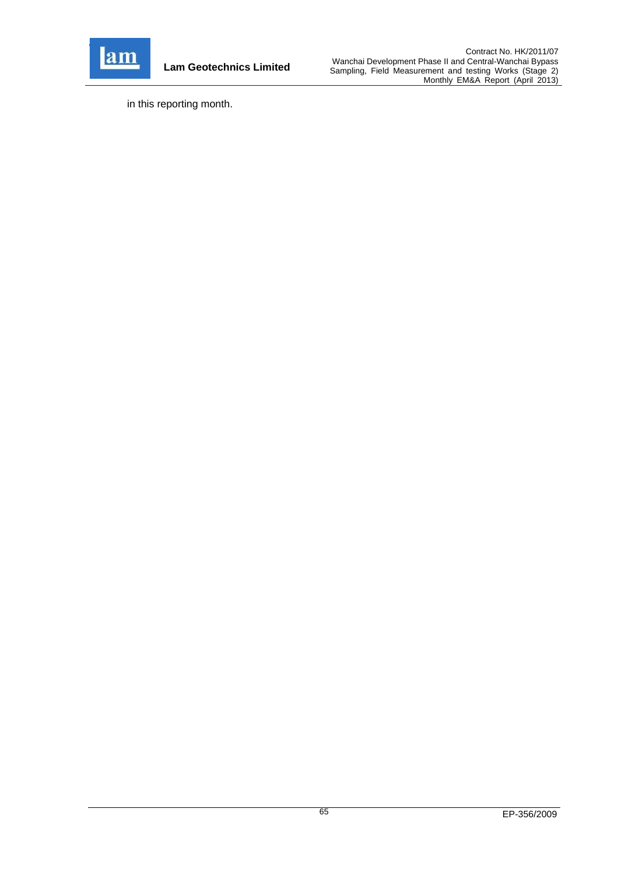

**Lam Geotechnics Limited**

in this reporting month.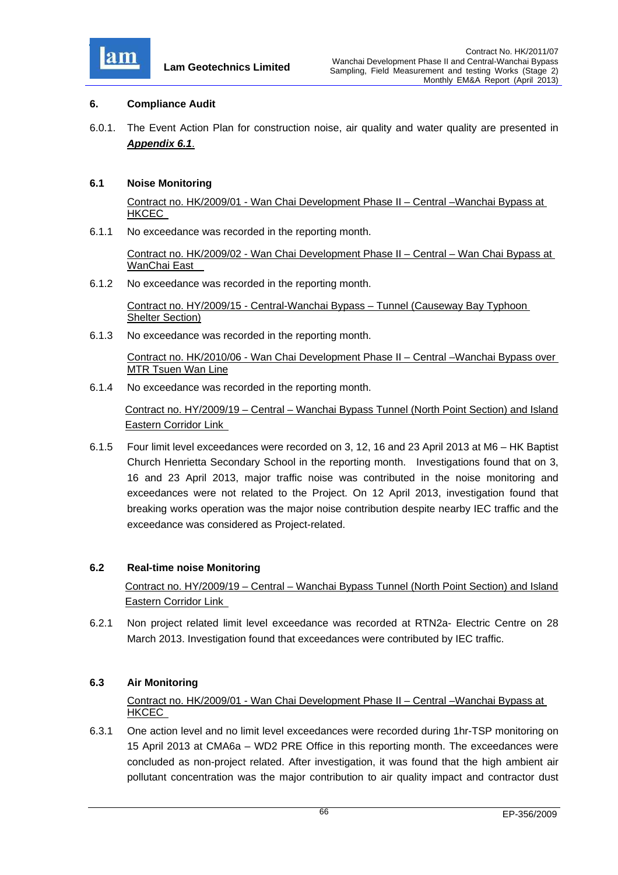

#### **6. Compliance Audit**

6.0.1. The Event Action Plan for construction noise, air quality and water quality are presented in *Appendix 6.1*.

#### **6.1 Noise Monitoring**

Contract no. HK/2009/01 - Wan Chai Development Phase II – Central –Wanchai Bypass at HKCEC

6.1.1 No exceedance was recorded in the reporting month.

Contract no. HK/2009/02 - Wan Chai Development Phase II – Central – Wan Chai Bypass at WanChai East

6.1.2 No exceedance was recorded in the reporting month.

Contract no. HY/2009/15 - Central-Wanchai Bypass – Tunnel (Causeway Bay Typhoon Shelter Section)

6.1.3 No exceedance was recorded in the reporting month.

Contract no. HK/2010/06 - Wan Chai Development Phase II – Central –Wanchai Bypass over MTR Tsuen Wan Line

6.1.4 No exceedance was recorded in the reporting month.

Contract no. HY/2009/19 – Central – Wanchai Bypass Tunnel (North Point Section) and Island Eastern Corridor Link

6.1.5 Four limit level exceedances were recorded on 3, 12, 16 and 23 April 2013 at M6 – HK Baptist Church Henrietta Secondary School in the reporting month. Investigations found that on 3, 16 and 23 April 2013, major traffic noise was contributed in the noise monitoring and exceedances were not related to the Project. On 12 April 2013, investigation found that breaking works operation was the major noise contribution despite nearby IEC traffic and the exceedance was considered as Project-related.

#### **6.2 Real-time noise Monitoring**

Contract no. HY/2009/19 – Central – Wanchai Bypass Tunnel (North Point Section) and Island Eastern Corridor Link

6.2.1 Non project related limit level exceedance was recorded at RTN2a- Electric Centre on 28 March 2013. Investigation found that exceedances were contributed by IEC traffic.

## **6.3 Air Monitoring**

## Contract no. HK/2009/01 - Wan Chai Development Phase II – Central –Wanchai Bypass at HKCEC

6.3.1 One action level and no limit level exceedances were recorded during 1hr-TSP monitoring on 15 April 2013 at CMA6a – WD2 PRE Office in this reporting month. The exceedances were concluded as non-project related. After investigation, it was found that the high ambient air pollutant concentration was the major contribution to air quality impact and contractor dust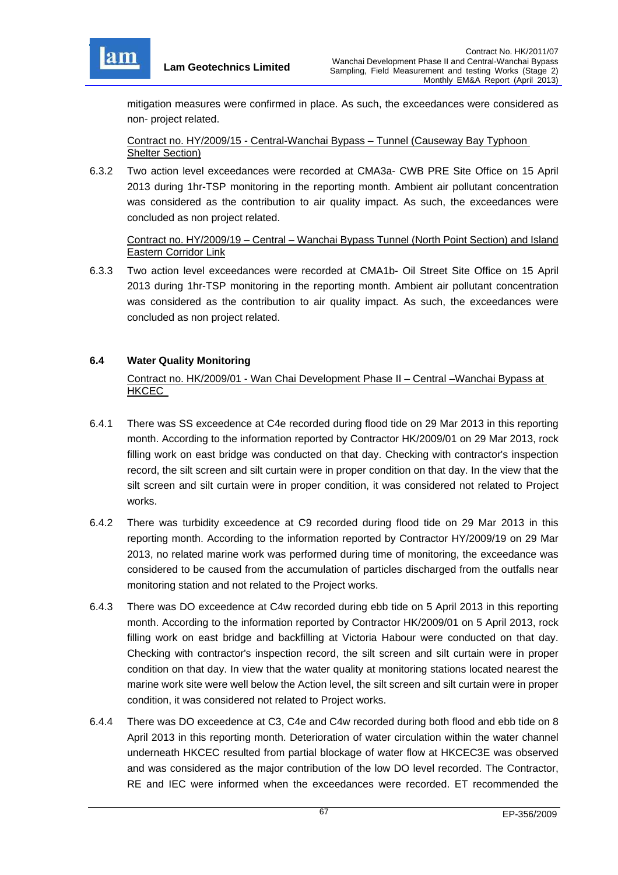

mitigation measures were confirmed in place. As such, the exceedances were considered as non- project related.

Contract no. HY/2009/15 - Central-Wanchai Bypass – Tunnel (Causeway Bay Typhoon Shelter Section)

6.3.2 Two action level exceedances were recorded at CMA3a- CWB PRE Site Office on 15 April 2013 during 1hr-TSP monitoring in the reporting month. Ambient air pollutant concentration was considered as the contribution to air quality impact. As such, the exceedances were concluded as non project related.

Contract no. HY/2009/19 – Central – Wanchai Bypass Tunnel (North Point Section) and Island Eastern Corridor Link

6.3.3 Two action level exceedances were recorded at CMA1b- Oil Street Site Office on 15 April 2013 during 1hr-TSP monitoring in the reporting month. Ambient air pollutant concentration was considered as the contribution to air quality impact. As such, the exceedances were concluded as non project related.

## **6.4 Water Quality Monitoring**

Contract no. HK/2009/01 - Wan Chai Development Phase II – Central –Wanchai Bypass at HKCEC

- 6.4.1 There was SS exceedence at C4e recorded during flood tide on 29 Mar 2013 in this reporting month. According to the information reported by Contractor HK/2009/01 on 29 Mar 2013, rock filling work on east bridge was conducted on that day. Checking with contractor's inspection record, the silt screen and silt curtain were in proper condition on that day. In the view that the silt screen and silt curtain were in proper condition, it was considered not related to Project works.
- 6.4.2 There was turbidity exceedence at C9 recorded during flood tide on 29 Mar 2013 in this reporting month. According to the information reported by Contractor HY/2009/19 on 29 Mar 2013, no related marine work was performed during time of monitoring, the exceedance was considered to be caused from the accumulation of particles discharged from the outfalls near monitoring station and not related to the Project works.
- 6.4.3 There was DO exceedence at C4w recorded during ebb tide on 5 April 2013 in this reporting month. According to the information reported by Contractor HK/2009/01 on 5 April 2013, rock filling work on east bridge and backfilling at Victoria Habour were conducted on that day. Checking with contractor's inspection record, the silt screen and silt curtain were in proper condition on that day. In view that the water quality at monitoring stations located nearest the marine work site were well below the Action level, the silt screen and silt curtain were in proper condition, it was considered not related to Project works.
- 6.4.4 There was DO exceedence at C3, C4e and C4w recorded during both flood and ebb tide on 8 April 2013 in this reporting month. Deterioration of water circulation within the water channel underneath HKCEC resulted from partial blockage of water flow at HKCEC3E was observed and was considered as the major contribution of the low DO level recorded. The Contractor, RE and IEC were informed when the exceedances were recorded. ET recommended the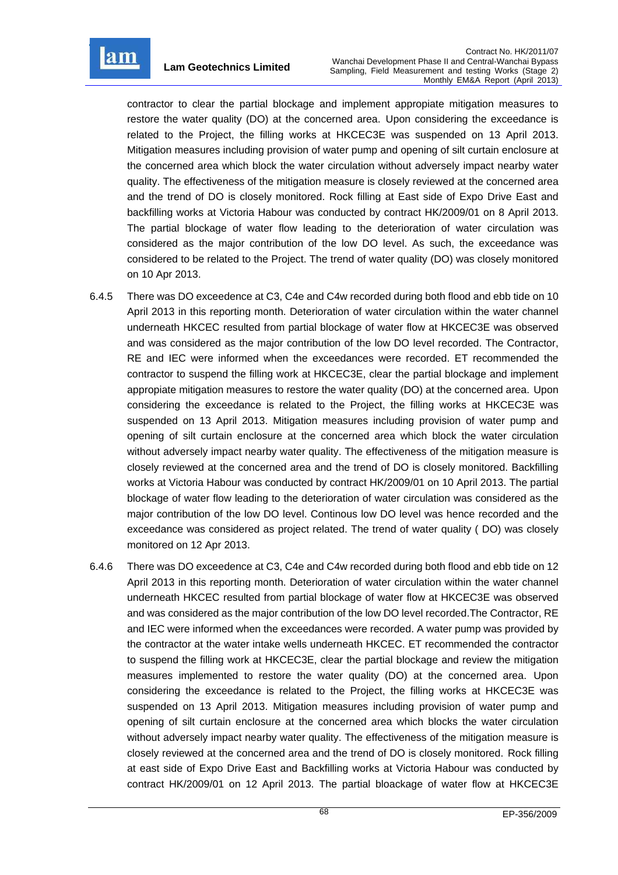

contractor to clear the partial blockage and implement appropiate mitigation measures to restore the water quality (DO) at the concerned area. Upon considering the exceedance is related to the Project, the filling works at HKCEC3E was suspended on 13 April 2013. Mitigation measures including provision of water pump and opening of silt curtain enclosure at the concerned area which block the water circulation without adversely impact nearby water quality. The effectiveness of the mitigation measure is closely reviewed at the concerned area and the trend of DO is closely monitored. Rock filling at East side of Expo Drive East and backfilling works at Victoria Habour was conducted by contract HK/2009/01 on 8 April 2013. The partial blockage of water flow leading to the deterioration of water circulation was considered as the major contribution of the low DO level. As such, the exceedance was considered to be related to the Project. The trend of water quality (DO) was closely monitored on 10 Apr 2013.

- 6.4.5 There was DO exceedence at C3, C4e and C4w recorded during both flood and ebb tide on 10 April 2013 in this reporting month. Deterioration of water circulation within the water channel underneath HKCEC resulted from partial blockage of water flow at HKCEC3E was observed and was considered as the major contribution of the low DO level recorded. The Contractor, RE and IEC were informed when the exceedances were recorded. ET recommended the contractor to suspend the filling work at HKCEC3E, clear the partial blockage and implement appropiate mitigation measures to restore the water quality (DO) at the concerned area. Upon considering the exceedance is related to the Project, the filling works at HKCEC3E was suspended on 13 April 2013. Mitigation measures including provision of water pump and opening of silt curtain enclosure at the concerned area which block the water circulation without adversely impact nearby water quality. The effectiveness of the mitigation measure is closely reviewed at the concerned area and the trend of DO is closely monitored. Backfilling works at Victoria Habour was conducted by contract HK/2009/01 on 10 April 2013. The partial blockage of water flow leading to the deterioration of water circulation was considered as the major contribution of the low DO level. Continous low DO level was hence recorded and the exceedance was considered as project related. The trend of water quality ( DO) was closely monitored on 12 Apr 2013.
- 6.4.6 There was DO exceedence at C3, C4e and C4w recorded during both flood and ebb tide on 12 April 2013 in this reporting month. Deterioration of water circulation within the water channel underneath HKCEC resulted from partial blockage of water flow at HKCEC3E was observed and was considered as the major contribution of the low DO level recorded.The Contractor, RE and IEC were informed when the exceedances were recorded. A water pump was provided by the contractor at the water intake wells underneath HKCEC. ET recommended the contractor to suspend the filling work at HKCEC3E, clear the partial blockage and review the mitigation measures implemented to restore the water quality (DO) at the concerned area. Upon considering the exceedance is related to the Project, the filling works at HKCEC3E was suspended on 13 April 2013. Mitigation measures including provision of water pump and opening of silt curtain enclosure at the concerned area which blocks the water circulation without adversely impact nearby water quality. The effectiveness of the mitigation measure is closely reviewed at the concerned area and the trend of DO is closely monitored. Rock filling at east side of Expo Drive East and Backfilling works at Victoria Habour was conducted by contract HK/2009/01 on 12 April 2013. The partial bloackage of water flow at HKCEC3E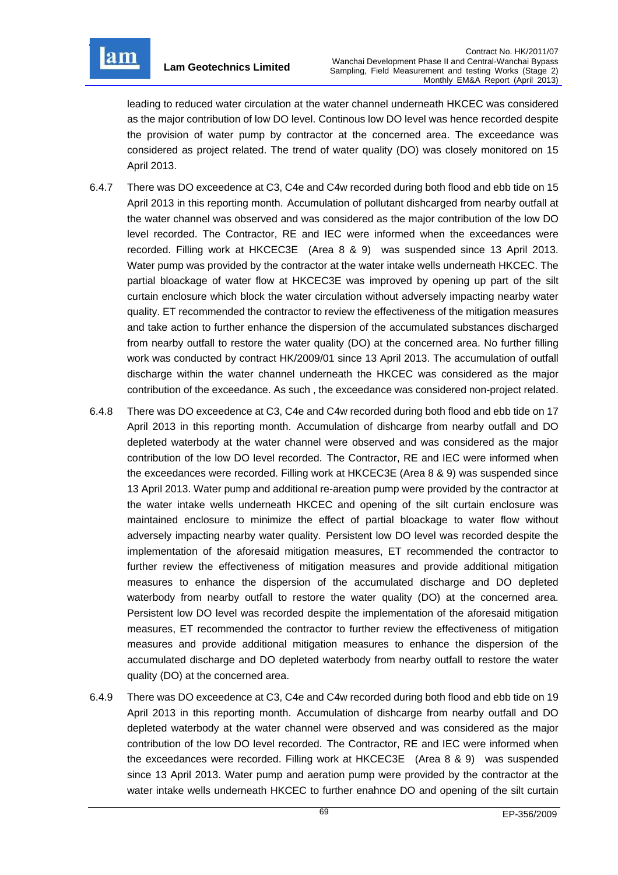

leading to reduced water circulation at the water channel underneath HKCEC was considered as the major contribution of low DO level. Continous low DO level was hence recorded despite the provision of water pump by contractor at the concerned area. The exceedance was considered as project related. The trend of water quality (DO) was closely monitored on 15 April 2013.

- 6.4.7 There was DO exceedence at C3, C4e and C4w recorded during both flood and ebb tide on 15 April 2013 in this reporting month. Accumulation of pollutant dishcarged from nearby outfall at the water channel was observed and was considered as the major contribution of the low DO level recorded. The Contractor, RE and IEC were informed when the exceedances were recorded. Filling work at HKCEC3E (Area 8 & 9) was suspended since 13 April 2013. Water pump was provided by the contractor at the water intake wells underneath HKCEC. The partial bloackage of water flow at HKCEC3E was improved by opening up part of the silt curtain enclosure which block the water circulation without adversely impacting nearby water quality. ET recommended the contractor to review the effectiveness of the mitigation measures and take action to further enhance the dispersion of the accumulated substances discharged from nearby outfall to restore the water quality (DO) at the concerned area. No further filling work was conducted by contract HK/2009/01 since 13 April 2013. The accumulation of outfall discharge within the water channel underneath the HKCEC was considered as the major contribution of the exceedance. As such , the exceedance was considered non-project related.
- 6.4.8 There was DO exceedence at C3, C4e and C4w recorded during both flood and ebb tide on 17 April 2013 in this reporting month. Accumulation of dishcarge from nearby outfall and DO depleted waterbody at the water channel were observed and was considered as the major contribution of the low DO level recorded. The Contractor, RE and IEC were informed when the exceedances were recorded. Filling work at HKCEC3E (Area 8 & 9) was suspended since 13 April 2013. Water pump and additional re-areation pump were provided by the contractor at the water intake wells underneath HKCEC and opening of the silt curtain enclosure was maintained enclosure to minimize the effect of partial bloackage to water flow without adversely impacting nearby water quality. Persistent low DO level was recorded despite the implementation of the aforesaid mitigation measures, ET recommended the contractor to further review the effectiveness of mitigation measures and provide additional mitigation measures to enhance the dispersion of the accumulated discharge and DO depleted waterbody from nearby outfall to restore the water quality (DO) at the concerned area. Persistent low DO level was recorded despite the implementation of the aforesaid mitigation measures, ET recommended the contractor to further review the effectiveness of mitigation measures and provide additional mitigation measures to enhance the dispersion of the accumulated discharge and DO depleted waterbody from nearby outfall to restore the water quality (DO) at the concerned area.
- 6.4.9 There was DO exceedence at C3, C4e and C4w recorded during both flood and ebb tide on 19 April 2013 in this reporting month. Accumulation of dishcarge from nearby outfall and DO depleted waterbody at the water channel were observed and was considered as the major contribution of the low DO level recorded. The Contractor, RE and IEC were informed when the exceedances were recorded. Filling work at HKCEC3E (Area 8 & 9) was suspended since 13 April 2013. Water pump and aeration pump were provided by the contractor at the water intake wells underneath HKCEC to further enahnce DO and opening of the silt curtain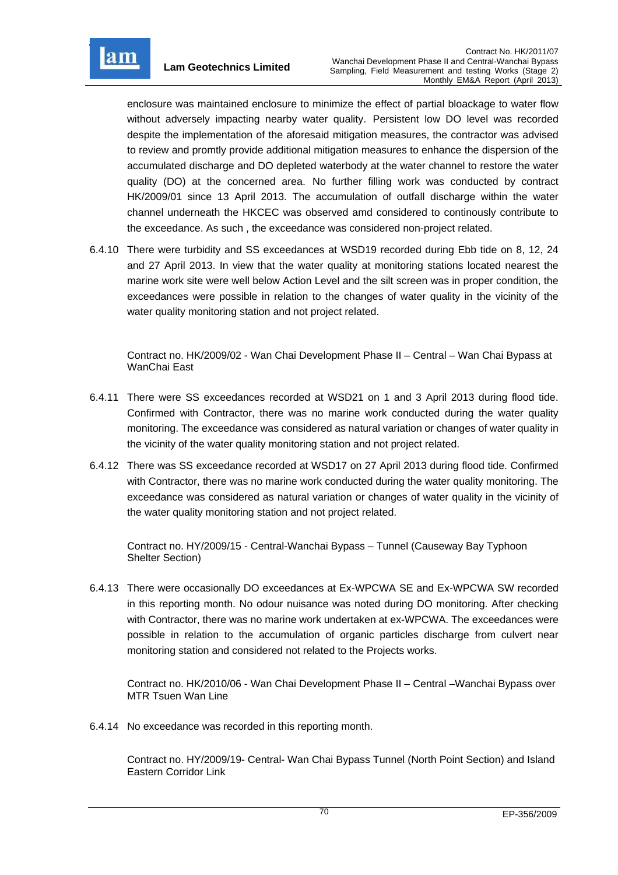

enclosure was maintained enclosure to minimize the effect of partial bloackage to water flow without adversely impacting nearby water quality. Persistent low DO level was recorded despite the implementation of the aforesaid mitigation measures, the contractor was advised to review and promtly provide additional mitigation measures to enhance the dispersion of the accumulated discharge and DO depleted waterbody at the water channel to restore the water quality (DO) at the concerned area. No further filling work was conducted by contract HK/2009/01 since 13 April 2013. The accumulation of outfall discharge within the water channel underneath the HKCEC was observed amd considered to continously contribute to the exceedance. As such , the exceedance was considered non-project related.

6.4.10 There were turbidity and SS exceedances at WSD19 recorded during Ebb tide on 8, 12, 24 and 27 April 2013. In view that the water quality at monitoring stations located nearest the marine work site were well below Action Level and the silt screen was in proper condition, the exceedances were possible in relation to the changes of water quality in the vicinity of the water quality monitoring station and not project related.

Contract no. HK/2009/02 - Wan Chai Development Phase II – Central – Wan Chai Bypass at WanChai East

- 6.4.11 There were SS exceedances recorded at WSD21 on 1 and 3 April 2013 during flood tide. Confirmed with Contractor, there was no marine work conducted during the water quality monitoring. The exceedance was considered as natural variation or changes of water quality in the vicinity of the water quality monitoring station and not project related.
- 6.4.12 There was SS exceedance recorded at WSD17 on 27 April 2013 during flood tide. Confirmed with Contractor, there was no marine work conducted during the water quality monitoring. The exceedance was considered as natural variation or changes of water quality in the vicinity of the water quality monitoring station and not project related.

Contract no. HY/2009/15 - Central-Wanchai Bypass – Tunnel (Causeway Bay Typhoon Shelter Section)

6.4.13 There were occasionally DO exceedances at Ex-WPCWA SE and Ex-WPCWA SW recorded in this reporting month. No odour nuisance was noted during DO monitoring. After checking with Contractor, there was no marine work undertaken at ex-WPCWA. The exceedances were possible in relation to the accumulation of organic particles discharge from culvert near monitoring station and considered not related to the Projects works.

Contract no. HK/2010/06 - Wan Chai Development Phase II – Central –Wanchai Bypass over MTR Tsuen Wan Line

6.4.14 No exceedance was recorded in this reporting month.

Contract no. HY/2009/19- Central- Wan Chai Bypass Tunnel (North Point Section) and Island Eastern Corridor Link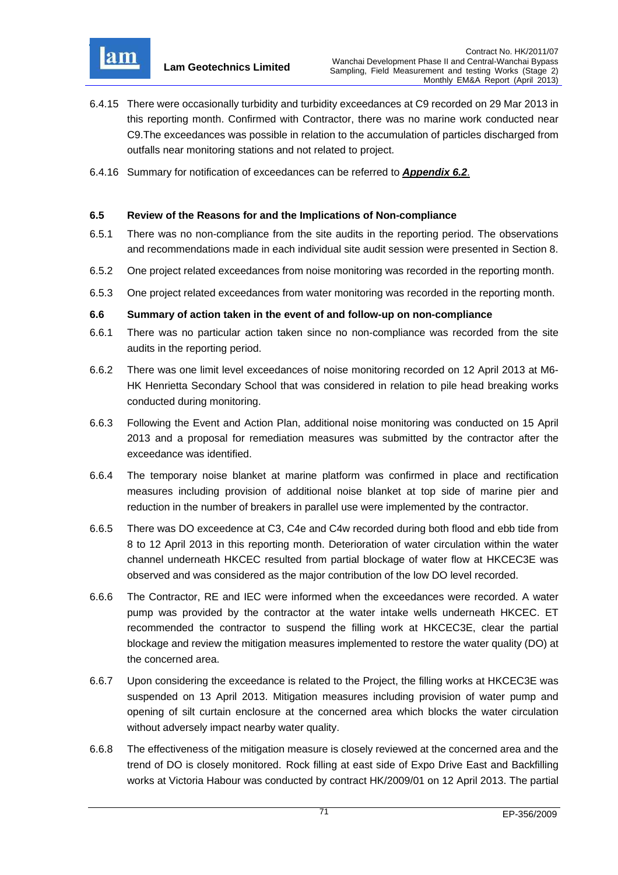

- 6.4.15 There were occasionally turbidity and turbidity exceedances at C9 recorded on 29 Mar 2013 in this reporting month. Confirmed with Contractor, there was no marine work conducted near C9.The exceedances was possible in relation to the accumulation of particles discharged from outfalls near monitoring stations and not related to project.
- 6.4.16 Summary for notification of exceedances can be referred to *Appendix 6.2*.

## **6.5 Review of the Reasons for and the Implications of Non-compliance**

- 6.5.1 There was no non-compliance from the site audits in the reporting period. The observations and recommendations made in each individual site audit session were presented in Section 8.
- 6.5.2 One project related exceedances from noise monitoring was recorded in the reporting month.
- 6.5.3 One project related exceedances from water monitoring was recorded in the reporting month.

### **6.6 Summary of action taken in the event of and follow-up on non-compliance**

- 6.6.1 There was no particular action taken since no non-compliance was recorded from the site audits in the reporting period.
- 6.6.2 There was one limit level exceedances of noise monitoring recorded on 12 April 2013 at M6- HK Henrietta Secondary School that was considered in relation to pile head breaking works conducted during monitoring.
- 6.6.3 Following the Event and Action Plan, additional noise monitoring was conducted on 15 April 2013 and a proposal for remediation measures was submitted by the contractor after the exceedance was identified.
- 6.6.4 The temporary noise blanket at marine platform was confirmed in place and rectification measures including provision of additional noise blanket at top side of marine pier and reduction in the number of breakers in parallel use were implemented by the contractor.
- 6.6.5 There was DO exceedence at C3, C4e and C4w recorded during both flood and ebb tide from 8 to 12 April 2013 in this reporting month. Deterioration of water circulation within the water channel underneath HKCEC resulted from partial blockage of water flow at HKCEC3E was observed and was considered as the major contribution of the low DO level recorded.
- 6.6.6 The Contractor, RE and IEC were informed when the exceedances were recorded. A water pump was provided by the contractor at the water intake wells underneath HKCEC. ET recommended the contractor to suspend the filling work at HKCEC3E, clear the partial blockage and review the mitigation measures implemented to restore the water quality (DO) at the concerned area.
- 6.6.7 Upon considering the exceedance is related to the Project, the filling works at HKCEC3E was suspended on 13 April 2013. Mitigation measures including provision of water pump and opening of silt curtain enclosure at the concerned area which blocks the water circulation without adversely impact nearby water quality.
- 6.6.8 The effectiveness of the mitigation measure is closely reviewed at the concerned area and the trend of DO is closely monitored. Rock filling at east side of Expo Drive East and Backfilling works at Victoria Habour was conducted by contract HK/2009/01 on 12 April 2013. The partial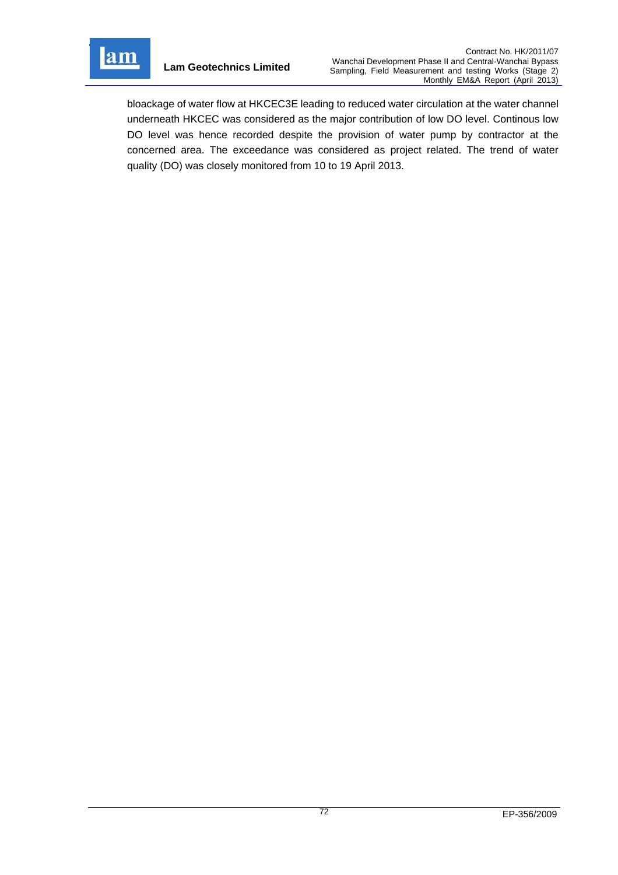

bloackage of water flow at HKCEC3E leading to reduced water circulation at the water channel underneath HKCEC was considered as the major contribution of low DO level. Continous low DO level was hence recorded despite the provision of water pump by contractor at the concerned area. The exceedance was considered as project related. The trend of water quality (DO) was closely monitored from 10 to 19 April 2013.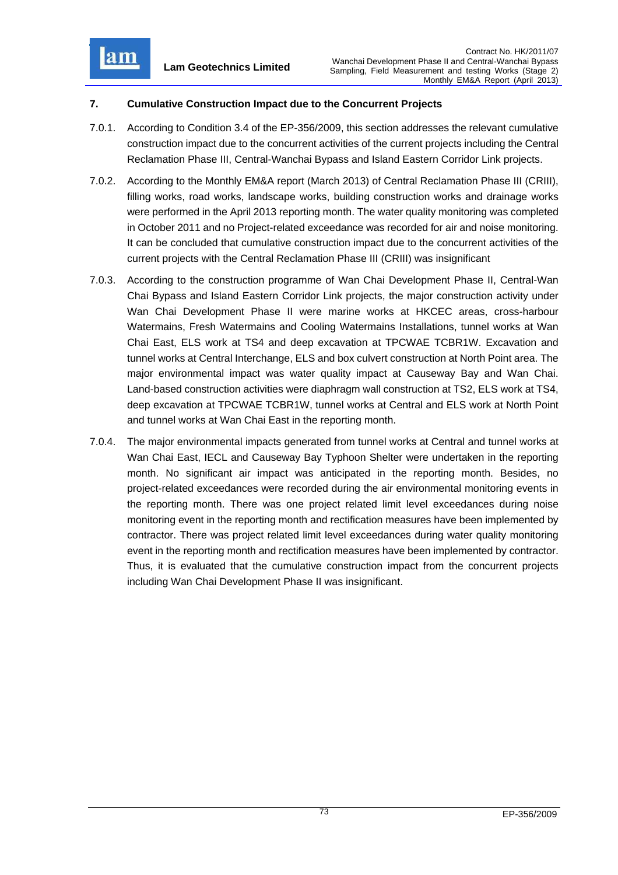lam

# **7. Cumulative Construction Impact due to the Concurrent Projects**

- 7.0.1. According to Condition 3.4 of the EP-356/2009, this section addresses the relevant cumulative construction impact due to the concurrent activities of the current projects including the Central Reclamation Phase III, Central-Wanchai Bypass and Island Eastern Corridor Link projects.
- 7.0.2. According to the Monthly EM&A report (March 2013) of Central Reclamation Phase III (CRIII), filling works, road works, landscape works, building construction works and drainage works were performed in the April 2013 reporting month. The water quality monitoring was completed in October 2011 and no Project-related exceedance was recorded for air and noise monitoring. It can be concluded that cumulative construction impact due to the concurrent activities of the current projects with the Central Reclamation Phase III (CRIII) was insignificant
- 7.0.3. According to the construction programme of Wan Chai Development Phase II, Central-Wan Chai Bypass and Island Eastern Corridor Link projects, the major construction activity under Wan Chai Development Phase II were marine works at HKCEC areas, cross-harbour Watermains, Fresh Watermains and Cooling Watermains Installations, tunnel works at Wan Chai East, ELS work at TS4 and deep excavation at TPCWAE TCBR1W. Excavation and tunnel works at Central Interchange, ELS and box culvert construction at North Point area. The major environmental impact was water quality impact at Causeway Bay and Wan Chai. Land-based construction activities were diaphragm wall construction at TS2, ELS work at TS4, deep excavation at TPCWAE TCBR1W, tunnel works at Central and ELS work at North Point and tunnel works at Wan Chai East in the reporting month.
- 7.0.4. The major environmental impacts generated from tunnel works at Central and tunnel works at Wan Chai East, IECL and Causeway Bay Typhoon Shelter were undertaken in the reporting month. No significant air impact was anticipated in the reporting month. Besides, no project-related exceedances were recorded during the air environmental monitoring events in the reporting month. There was one project related limit level exceedances during noise monitoring event in the reporting month and rectification measures have been implemented by contractor. There was project related limit level exceedances during water quality monitoring event in the reporting month and rectification measures have been implemented by contractor. Thus, it is evaluated that the cumulative construction impact from the concurrent projects including Wan Chai Development Phase II was insignificant.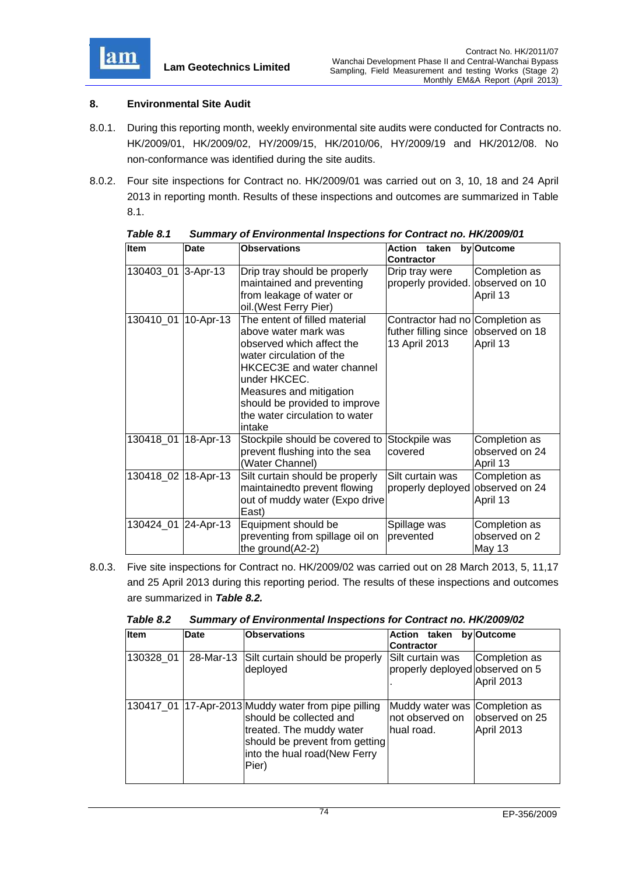

# **8. Environmental Site Audit**

- 8.0.1. During this reporting month, weekly environmental site audits were conducted for Contracts no. HK/2009/01, HK/2009/02, HY/2009/15, HK/2010/06, HY/2009/19 and HK/2012/08. No non-conformance was identified during the site audits.
- 8.0.2. Four site inspections for Contract no. HK/2009/01 was carried out on 3, 10, 18 and 24 April 2013 in reporting month. Results of these inspections and outcomes are summarized in Table 8.1.

| <b>Item</b>         | <b>Date</b> | <b>Observations</b>                                                                                                                                                                                                                                                        | Action taken<br><b>Contractor</b>                                                       | by Outcome                                  |
|---------------------|-------------|----------------------------------------------------------------------------------------------------------------------------------------------------------------------------------------------------------------------------------------------------------------------------|-----------------------------------------------------------------------------------------|---------------------------------------------|
| 130403_01 3-Apr-13  |             | Drip tray should be properly<br>maintained and preventing<br>from leakage of water or<br>oil. (West Ferry Pier)                                                                                                                                                            | Drip tray were<br>properly provided. observed on 10                                     | Completion as<br>April 13                   |
| 130410_01           | 10-Apr-13   | The entent of filled material<br>above water mark was<br>observed which affect the<br>water circulation of the<br><b>HKCEC3E</b> and water channel<br>under HKCEC.<br>Measures and mitigation<br>should be provided to improve<br>the water circulation to water<br>intake | Contractor had no Completion as<br>futher filling since observed on 18<br>13 April 2013 | April 13                                    |
| 130418_01 18-Apr-13 |             | Stockpile should be covered to<br>prevent flushing into the sea<br>(Water Channel)                                                                                                                                                                                         | Stockpile was<br>covered                                                                | Completion as<br>observed on 24<br>April 13 |
| 130418_02 18-Apr-13 |             | Silt curtain should be properly<br>maintainedto prevent flowing<br>out of muddy water (Expo drive<br>East)                                                                                                                                                                 | Silt curtain was<br>properly deployed observed on 24                                    | Completion as<br>April 13                   |
| 130424_01 24-Apr-13 |             | Equipment should be<br>preventing from spillage oil on<br>the ground(A2-2)                                                                                                                                                                                                 | Spillage was<br>prevented                                                               | Completion as<br>observed on 2<br>May 13    |

*Table 8.1 Summary of Environmental Inspections for Contract no. HK/2009/01* 

8.0.3. Five site inspections for Contract no. HK/2009/02 was carried out on 28 March 2013, 5, 11,17 and 25 April 2013 during this reporting period. The results of these inspections and outcomes are summarized in *Table 8.2.*

| Table 8.2 | Summary of Environmental Inspections for Contract no. HK/2009/02 |  |  |
|-----------|------------------------------------------------------------------|--|--|
|           |                                                                  |  |  |

| Item      | <b>Date</b> | <b>Observations</b>                                                                                                                                                                   | taken<br><b>Action</b><br>Contractor                            | by Outcome                   |
|-----------|-------------|---------------------------------------------------------------------------------------------------------------------------------------------------------------------------------------|-----------------------------------------------------------------|------------------------------|
| 130328 01 | 28-Mar-13   | Silt curtain should be properly<br>deployed                                                                                                                                           | Silt curtain was<br>properly deployed observed on 5             | Completion as<br>April 2013  |
|           |             | 130417_01 17-Apr-2013 Muddy water from pipe pilling<br>should be collected and<br>treated. The muddy water<br>should be prevent from getting<br>into the hual road(New Ferry<br>Pier) | Muddy water was Completion as<br>not observed on<br>lhual road. | observed on 25<br>April 2013 |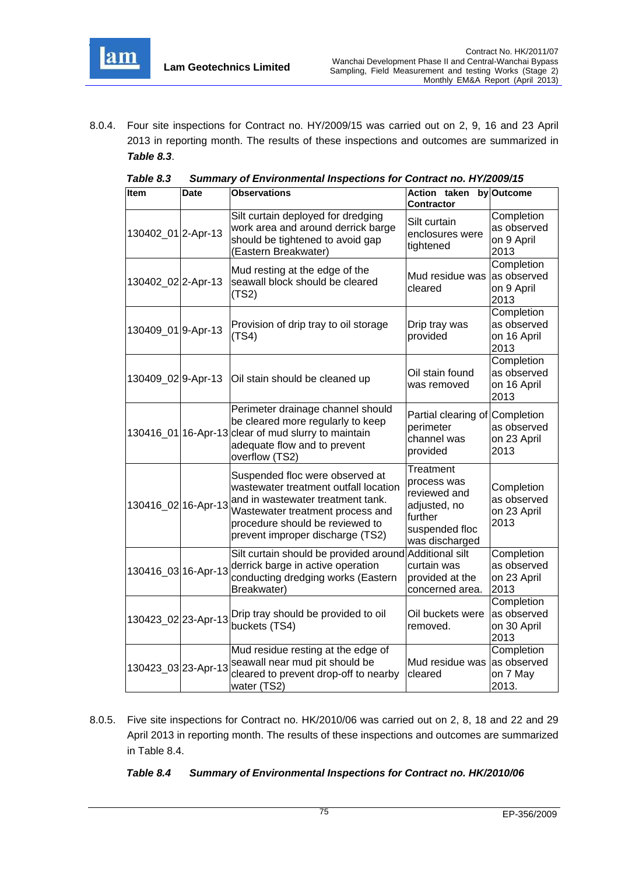

8.0.4. Four site inspections for Contract no. HY/2009/15 was carried out on 2, 9, 16 and 23 April 2013 in reporting month. The results of these inspections and outcomes are summarized in *Table 8.3*.

| Item                | Date | Observations                                                                                                                                                                                                             | <b>Action taken</b><br>Contractor                                                                       | by Outcome                                       |
|---------------------|------|--------------------------------------------------------------------------------------------------------------------------------------------------------------------------------------------------------------------------|---------------------------------------------------------------------------------------------------------|--------------------------------------------------|
| 130402_01 2-Apr-13  |      | Silt curtain deployed for dredging<br>work area and around derrick barge<br>should be tightened to avoid gap<br>(Eastern Breakwater)                                                                                     | Silt curtain<br>enclosures were<br>tightened                                                            | Completion<br>as observed<br>on 9 April<br>2013  |
| 130402_022-Apr-13   |      | Mud resting at the edge of the<br>seawall block should be cleared<br>(TS2)                                                                                                                                               | Mud residue was<br>cleared                                                                              | Completion<br>as observed<br>on 9 April<br>2013  |
| 130409_01 9-Apr-13  |      | Provision of drip tray to oil storage<br>(TS4)                                                                                                                                                                           | Drip tray was<br>provided                                                                               | Completion<br>as observed<br>on 16 April<br>2013 |
| 130409_029-Apr-13   |      | Oil stain should be cleaned up                                                                                                                                                                                           | Oil stain found<br>was removed                                                                          | Completion<br>as observed<br>on 16 April<br>2013 |
|                     |      | Perimeter drainage channel should<br>be cleared more regularly to keep<br>130416_01 16-Apr-13 clear of mud slurry to maintain<br>adequate flow and to prevent<br>overflow (TS2)                                          | Partial clearing of Completion<br>perimeter<br>channel was<br>provided                                  | as observed<br>on 23 April<br>2013               |
| 130416_02 16-Apr-13 |      | Suspended floc were observed at<br>wastewater treatment outfall location<br>and in wastewater treatment tank.<br>Wastewater treatment process and<br>procedure should be reviewed to<br>prevent improper discharge (TS2) | Treatment<br>process was<br>reviewed and<br>adjusted, no<br>further<br>suspended floc<br>was discharged | Completion<br>as observed<br>on 23 April<br>2013 |
| 130416_03 16-Apr-13 |      | Silt curtain should be provided around<br>derrick barge in active operation<br>conducting dredging works (Eastern<br>Breakwater)                                                                                         | <b>Additional silt</b><br>curtain was<br>provided at the<br>concerned area.                             | Completion<br>as observed<br>on 23 April<br>2013 |
| 130423_02 23-Apr-13 |      | Drip tray should be provided to oil<br>buckets (TS4)                                                                                                                                                                     | Oil buckets were<br>removed.                                                                            | Completion<br>as observed<br>on 30 April<br>2013 |
| 130423_03 23-Apr-13 |      | Mud residue resting at the edge of<br>seawall near mud pit should be<br>cleared to prevent drop-off to nearby<br>water (TS2)                                                                                             | Mud residue was<br>cleared                                                                              | Completion<br>as observed<br>on 7 May<br>2013.   |

*Table 8.3 Summary of Environmental Inspections for Contract no. HY/2009/15* 

8.0.5. Five site inspections for Contract no. HK/2010/06 was carried out on 2, 8, 18 and 22 and 29 April 2013 in reporting month. The results of these inspections and outcomes are summarized in Table 8.4.

## *Table 8.4 Summary of Environmental Inspections for Contract no. HK/2010/06*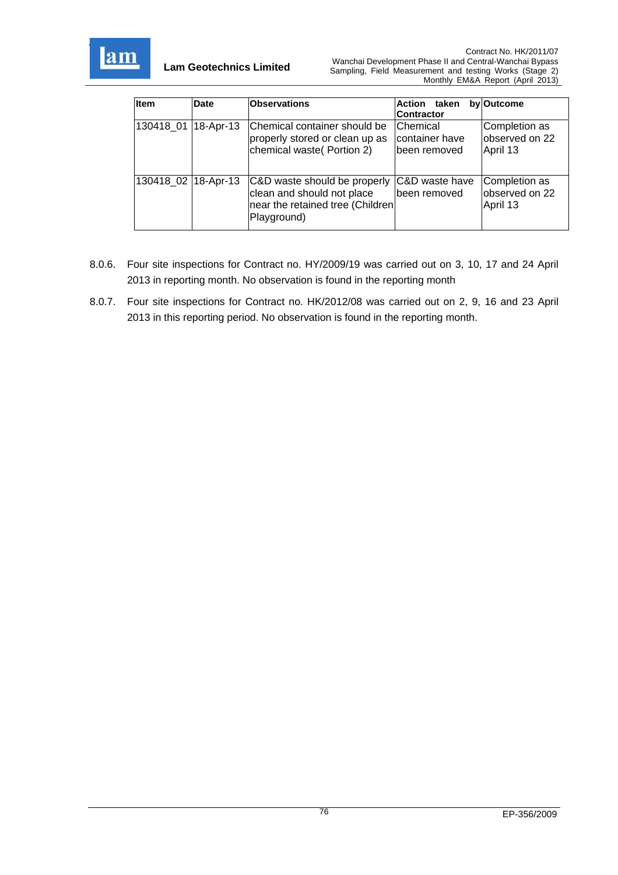

| <b>Item</b>         | <b>Date</b>       | <b>Observations</b>                                                                                           | Action taken<br><b>Contractor</b>          | by Outcome                                  |
|---------------------|-------------------|---------------------------------------------------------------------------------------------------------------|--------------------------------------------|---------------------------------------------|
| 130418 01           | $ 18 - Apr - 13 $ | Chemical container should be<br>properly stored or clean up as<br>chemical waste (Portion 2)                  | Chemical<br>container have<br>been removed | Completion as<br>observed on 22<br>April 13 |
| 130418 02 18-Apr-13 |                   | C&D waste should be properly<br>clean and should not place<br>near the retained tree (Children<br>Playground) | C&D waste have<br>Ibeen removed            | Completion as<br>observed on 22<br>April 13 |

- 8.0.6. Four site inspections for Contract no. HY/2009/19 was carried out on 3, 10, 17 and 24 April 2013 in reporting month. No observation is found in the reporting month
- 8.0.7. Four site inspections for Contract no. HK/2012/08 was carried out on 2, 9, 16 and 23 April 2013 in this reporting period. No observation is found in the reporting month.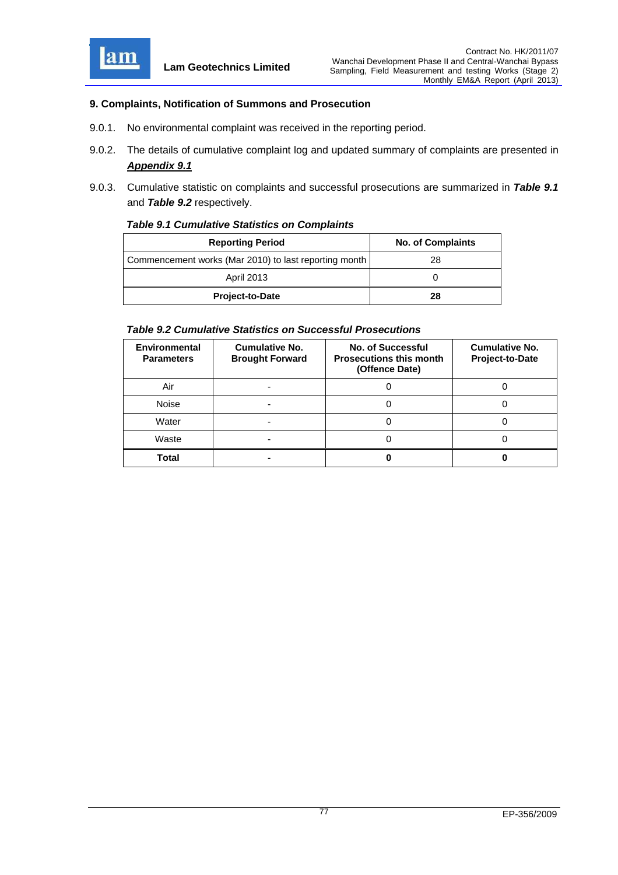

## **9. Complaints, Notification of Summons and Prosecution**

- 9.0.1. No environmental complaint was received in the reporting period.
- 9.0.2. The details of cumulative complaint log and updated summary of complaints are presented in *Appendix 9.1*
- 9.0.3. Cumulative statistic on complaints and successful prosecutions are summarized in *Table 9.1* and *Table 9.2* respectively.

#### *Table 9.1 Cumulative Statistics on Complaints*

| <b>Reporting Period</b>                               | <b>No. of Complaints</b> |
|-------------------------------------------------------|--------------------------|
| Commencement works (Mar 2010) to last reporting month | 28                       |
| <b>April 2013</b>                                     |                          |
| <b>Project-to-Date</b>                                | 28                       |

#### *Table 9.2 Cumulative Statistics on Successful Prosecutions*

| <b>Environmental</b><br><b>Parameters</b> | <b>Cumulative No.</b><br><b>Brought Forward</b> | No. of Successful<br><b>Prosecutions this month</b><br>(Offence Date) | <b>Cumulative No.</b><br>Project-to-Date |
|-------------------------------------------|-------------------------------------------------|-----------------------------------------------------------------------|------------------------------------------|
| Air                                       |                                                 |                                                                       |                                          |
| Noise                                     |                                                 |                                                                       |                                          |
| Water                                     |                                                 |                                                                       |                                          |
| Waste                                     |                                                 |                                                                       |                                          |
| Total                                     |                                                 |                                                                       |                                          |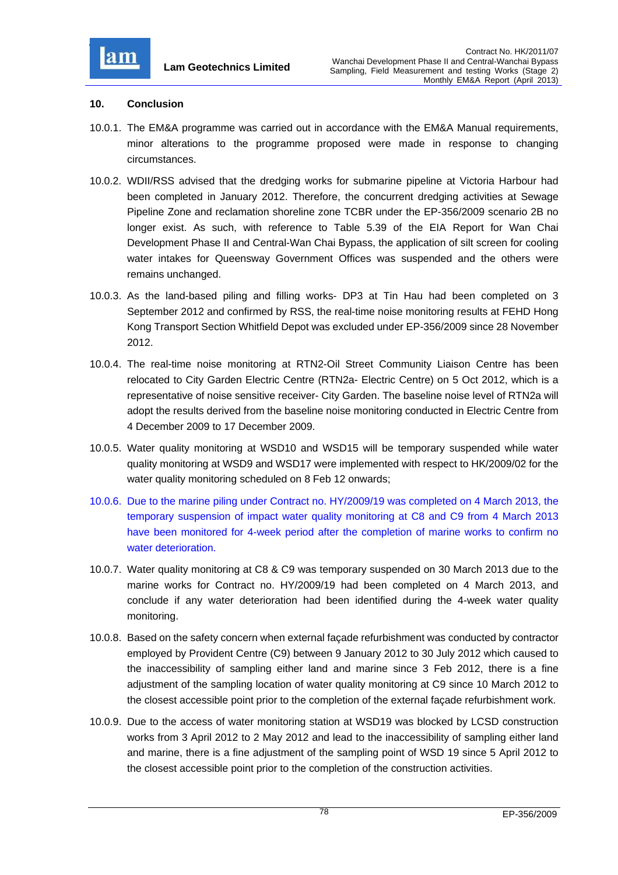

## **10. Conclusion**

- 10.0.1. The EM&A programme was carried out in accordance with the EM&A Manual requirements, minor alterations to the programme proposed were made in response to changing circumstances.
- 10.0.2. WDII/RSS advised that the dredging works for submarine pipeline at Victoria Harbour had been completed in January 2012. Therefore, the concurrent dredging activities at Sewage Pipeline Zone and reclamation shoreline zone TCBR under the EP-356/2009 scenario 2B no longer exist. As such, with reference to Table 5.39 of the EIA Report for Wan Chai Development Phase II and Central-Wan Chai Bypass, the application of silt screen for cooling water intakes for Queensway Government Offices was suspended and the others were remains unchanged.
- 10.0.3. As the land-based piling and filling works- DP3 at Tin Hau had been completed on 3 September 2012 and confirmed by RSS, the real-time noise monitoring results at FEHD Hong Kong Transport Section Whitfield Depot was excluded under EP-356/2009 since 28 November 2012.
- 10.0.4. The real-time noise monitoring at RTN2-Oil Street Community Liaison Centre has been relocated to City Garden Electric Centre (RTN2a- Electric Centre) on 5 Oct 2012, which is a representative of noise sensitive receiver- City Garden. The baseline noise level of RTN2a will adopt the results derived from the baseline noise monitoring conducted in Electric Centre from 4 December 2009 to 17 December 2009.
- 10.0.5. Water quality monitoring at WSD10 and WSD15 will be temporary suspended while water quality monitoring at WSD9 and WSD17 were implemented with respect to HK/2009/02 for the water quality monitoring scheduled on 8 Feb 12 onwards;
- 10.0.6. Due to the marine piling under Contract no. HY/2009/19 was completed on 4 March 2013, the temporary suspension of impact water quality monitoring at C8 and C9 from 4 March 2013 have been monitored for 4-week period after the completion of marine works to confirm no water deterioration.
- 10.0.7. Water quality monitoring at C8 & C9 was temporary suspended on 30 March 2013 due to the marine works for Contract no. HY/2009/19 had been completed on 4 March 2013, and conclude if any water deterioration had been identified during the 4-week water quality monitoring.
- 10.0.8. Based on the safety concern when external façade refurbishment was conducted by contractor employed by Provident Centre (C9) between 9 January 2012 to 30 July 2012 which caused to the inaccessibility of sampling either land and marine since 3 Feb 2012, there is a fine adjustment of the sampling location of water quality monitoring at C9 since 10 March 2012 to the closest accessible point prior to the completion of the external façade refurbishment work.
- 10.0.9. Due to the access of water monitoring station at WSD19 was blocked by LCSD construction works from 3 April 2012 to 2 May 2012 and lead to the inaccessibility of sampling either land and marine, there is a fine adjustment of the sampling point of WSD 19 since 5 April 2012 to the closest accessible point prior to the completion of the construction activities.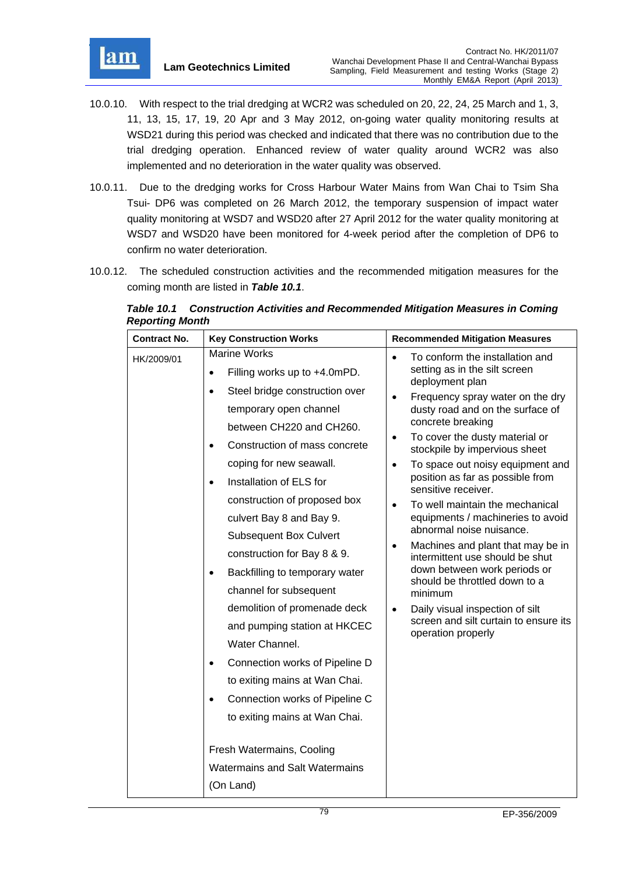

- 10.0.10. With respect to the trial dredging at WCR2 was scheduled on 20, 22, 24, 25 March and 1, 3, 11, 13, 15, 17, 19, 20 Apr and 3 May 2012, on-going water quality monitoring results at WSD21 during this period was checked and indicated that there was no contribution due to the trial dredging operation. Enhanced review of water quality around WCR2 was also implemented and no deterioration in the water quality was observed.
- 10.0.11. Due to the dredging works for Cross Harbour Water Mains from Wan Chai to Tsim Sha Tsui- DP6 was completed on 26 March 2012, the temporary suspension of impact water quality monitoring at WSD7 and WSD20 after 27 April 2012 for the water quality monitoring at WSD7 and WSD20 have been monitored for 4-week period after the completion of DP6 to confirm no water deterioration.
- 10.0.12. The scheduled construction activities and the recommended mitigation measures for the coming month are listed in *Table 10.1*.

| <b>Contract No.</b> | <b>Key Construction Works</b>                                                                                                                                                                                                                                                                                                                                                                                                                                                               | <b>Recommended Mitigation Measures</b>                                                                                                                                                                                                                                                                                                                                                                                                                                                                                                                                                                                                                                      |
|---------------------|---------------------------------------------------------------------------------------------------------------------------------------------------------------------------------------------------------------------------------------------------------------------------------------------------------------------------------------------------------------------------------------------------------------------------------------------------------------------------------------------|-----------------------------------------------------------------------------------------------------------------------------------------------------------------------------------------------------------------------------------------------------------------------------------------------------------------------------------------------------------------------------------------------------------------------------------------------------------------------------------------------------------------------------------------------------------------------------------------------------------------------------------------------------------------------------|
| HK/2009/01          | <b>Marine Works</b><br>Filling works up to +4.0mPD.<br>$\bullet$<br>Steel bridge construction over<br>$\bullet$<br>temporary open channel<br>between CH220 and CH260.<br>Construction of mass concrete<br>$\bullet$<br>coping for new seawall.<br>Installation of ELS for<br>$\bullet$<br>construction of proposed box<br>culvert Bay 8 and Bay 9.<br><b>Subsequent Box Culvert</b><br>construction for Bay 8 & 9.<br>Backfilling to temporary water<br>$\bullet$<br>channel for subsequent | To conform the installation and<br>$\bullet$<br>setting as in the silt screen<br>deployment plan<br>Frequency spray water on the dry<br>$\bullet$<br>dusty road and on the surface of<br>concrete breaking<br>To cover the dusty material or<br>$\bullet$<br>stockpile by impervious sheet<br>To space out noisy equipment and<br>$\bullet$<br>position as far as possible from<br>sensitive receiver.<br>To well maintain the mechanical<br>equipments / machineries to avoid<br>abnormal noise nuisance.<br>Machines and plant that may be in<br>$\bullet$<br>intermittent use should be shut<br>down between work periods or<br>should be throttled down to a<br>minimum |
|                     | demolition of promenade deck<br>and pumping station at HKCEC<br>Water Channel.<br>Connection works of Pipeline D<br>$\bullet$<br>to exiting mains at Wan Chai.<br>Connection works of Pipeline C<br>to exiting mains at Wan Chai.<br>Fresh Watermains, Cooling<br><b>Watermains and Salt Watermains</b><br>(On Land)                                                                                                                                                                        | Daily visual inspection of silt<br>$\bullet$<br>screen and silt curtain to ensure its<br>operation properly                                                                                                                                                                                                                                                                                                                                                                                                                                                                                                                                                                 |

*Table 10.1 Construction Activities and Recommended Mitigation Measures in Coming Reporting Month*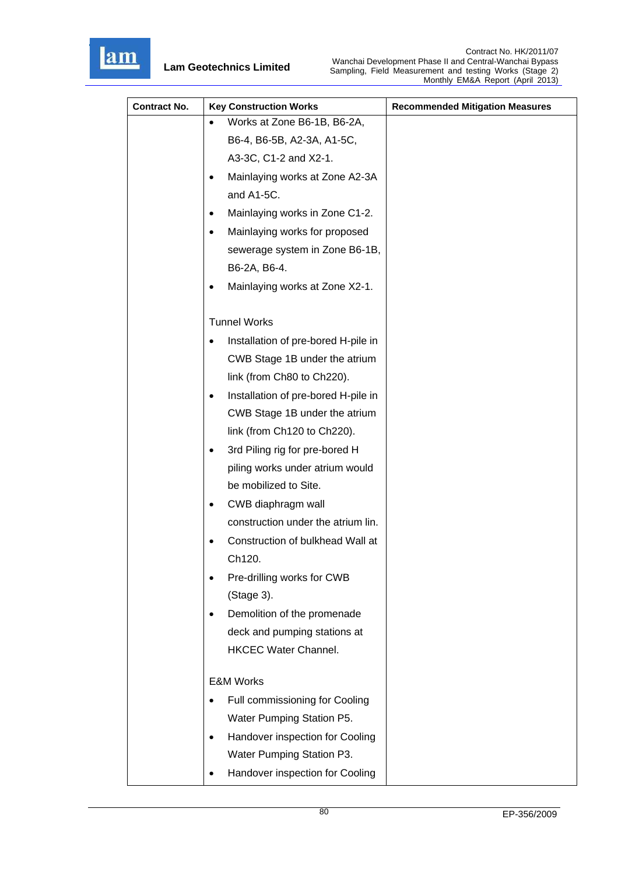

| <b>Contract No.</b> | <b>Key Construction Works</b>                    | <b>Recommended Mitigation Measures</b> |
|---------------------|--------------------------------------------------|----------------------------------------|
|                     | Works at Zone B6-1B, B6-2A,<br>$\bullet$         |                                        |
|                     | B6-4, B6-5B, A2-3A, A1-5C,                       |                                        |
|                     | A3-3C, C1-2 and X2-1.                            |                                        |
|                     | Mainlaying works at Zone A2-3A<br>٠              |                                        |
|                     | and A1-5C.                                       |                                        |
|                     | Mainlaying works in Zone C1-2.<br>٠              |                                        |
|                     | Mainlaying works for proposed<br>$\bullet$       |                                        |
|                     | sewerage system in Zone B6-1B,                   |                                        |
|                     | B6-2A, B6-4.                                     |                                        |
|                     | Mainlaying works at Zone X2-1.                   |                                        |
|                     | <b>Tunnel Works</b>                              |                                        |
|                     | Installation of pre-bored H-pile in<br>$\bullet$ |                                        |
|                     | CWB Stage 1B under the atrium                    |                                        |
|                     | link (from Ch80 to Ch220).                       |                                        |
|                     | Installation of pre-bored H-pile in<br>٠         |                                        |
|                     | CWB Stage 1B under the atrium                    |                                        |
|                     | link (from Ch120 to Ch220).                      |                                        |
|                     | 3rd Piling rig for pre-bored H<br>٠              |                                        |
|                     | piling works under atrium would                  |                                        |
|                     | be mobilized to Site.                            |                                        |
|                     | CWB diaphragm wall<br>٠                          |                                        |
|                     | construction under the atrium lin.               |                                        |
|                     | Construction of bulkhead Wall at                 |                                        |
|                     | Ch120.                                           |                                        |
|                     | Pre-drilling works for CWB                       |                                        |
|                     | (Stage 3).                                       |                                        |
|                     | Demolition of the promenade                      |                                        |
|                     | deck and pumping stations at                     |                                        |
|                     | <b>HKCEC Water Channel.</b>                      |                                        |
|                     | <b>E&amp;M Works</b>                             |                                        |
|                     | Full commissioning for Cooling                   |                                        |
|                     | Water Pumping Station P5.                        |                                        |
|                     | Handover inspection for Cooling<br>٠             |                                        |
|                     | Water Pumping Station P3.                        |                                        |
|                     | Handover inspection for Cooling<br>$\bullet$     |                                        |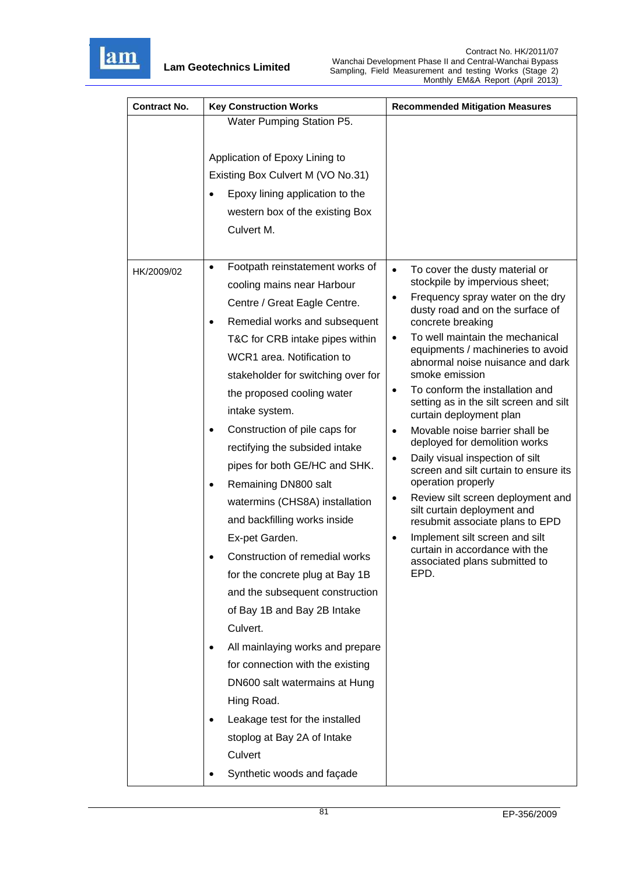

| <b>Contract No.</b> | <b>Key Construction Works</b>                | <b>Recommended Mitigation Measures</b>                                                |
|---------------------|----------------------------------------------|---------------------------------------------------------------------------------------|
|                     | Water Pumping Station P5.                    |                                                                                       |
|                     |                                              |                                                                                       |
|                     | Application of Epoxy Lining to               |                                                                                       |
|                     | Existing Box Culvert M (VO No.31)            |                                                                                       |
|                     | Epoxy lining application to the              |                                                                                       |
|                     | western box of the existing Box              |                                                                                       |
|                     | Culvert M.                                   |                                                                                       |
|                     |                                              |                                                                                       |
| HK/2009/02          | Footpath reinstatement works of<br>$\bullet$ | $\bullet$<br>To cover the dusty material or                                           |
|                     | cooling mains near Harbour                   | stockpile by impervious sheet;                                                        |
|                     | Centre / Great Eagle Centre.                 | Frequency spray water on the dry<br>$\bullet$<br>dusty road and on the surface of     |
|                     | Remedial works and subsequent<br>٠           | concrete breaking                                                                     |
|                     | T&C for CRB intake pipes within              | To well maintain the mechanical<br>٠                                                  |
|                     | WCR1 area. Notification to                   | equipments / machineries to avoid<br>abnormal noise nuisance and dark                 |
|                     | stakeholder for switching over for           | smoke emission                                                                        |
|                     | the proposed cooling water                   | To conform the installation and<br>$\bullet$                                          |
|                     | intake system.                               | setting as in the silt screen and silt<br>curtain deployment plan                     |
|                     | Construction of pile caps for                | Movable noise barrier shall be<br>$\bullet$                                           |
|                     | rectifying the subsided intake               | deployed for demolition works                                                         |
|                     | pipes for both GE/HC and SHK.                | Daily visual inspection of silt<br>$\bullet$<br>screen and silt curtain to ensure its |
|                     | Remaining DN800 salt<br>٠                    | operation properly                                                                    |
|                     | watermins (CHS8A) installation               | Review silt screen deployment and<br>$\bullet$<br>silt curtain deployment and         |
|                     | and backfilling works inside                 | resubmit associate plans to EPD                                                       |
|                     | Ex-pet Garden.                               | Implement silt screen and silt<br>$\bullet$                                           |
|                     | Construction of remedial works               | curtain in accordance with the<br>associated plans submitted to                       |
|                     | for the concrete plug at Bay 1B              | EPD.                                                                                  |
|                     | and the subsequent construction              |                                                                                       |
|                     | of Bay 1B and Bay 2B Intake                  |                                                                                       |
|                     | Culvert.                                     |                                                                                       |
|                     | All mainlaying works and prepare<br>٠        |                                                                                       |
|                     | for connection with the existing             |                                                                                       |
|                     | DN600 salt watermains at Hung                |                                                                                       |
|                     | Hing Road.                                   |                                                                                       |
|                     | Leakage test for the installed               |                                                                                       |
|                     | stoplog at Bay 2A of Intake                  |                                                                                       |
|                     | Culvert                                      |                                                                                       |
|                     | Synthetic woods and façade                   |                                                                                       |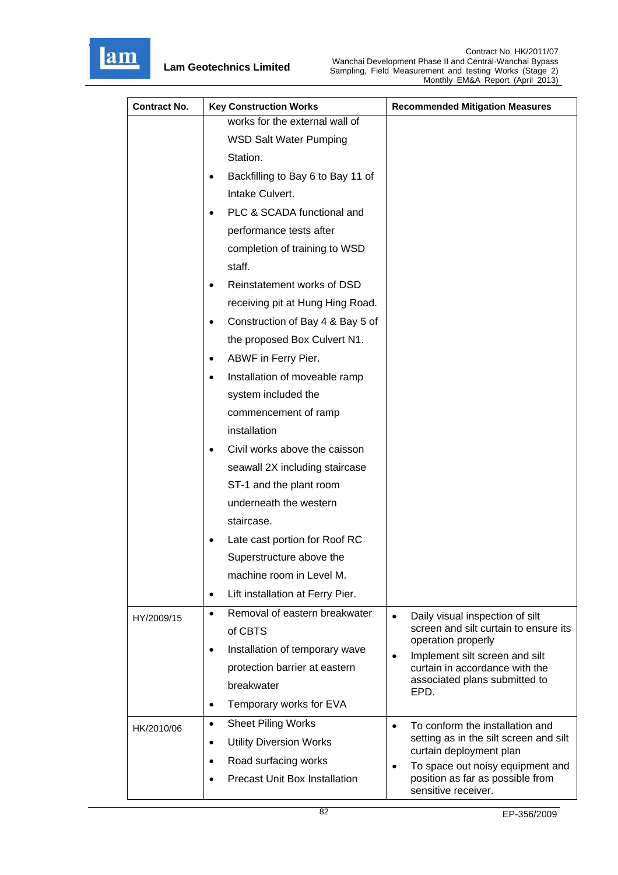

| <b>Contract No.</b> | <b>Key Construction Works</b>                     | <b>Recommended Mitigation Measures</b>                            |
|---------------------|---------------------------------------------------|-------------------------------------------------------------------|
|                     | works for the external wall of                    |                                                                   |
|                     | <b>WSD Salt Water Pumping</b>                     |                                                                   |
|                     | Station.                                          |                                                                   |
|                     | Backfilling to Bay 6 to Bay 11 of                 |                                                                   |
|                     | Intake Culvert.                                   |                                                                   |
|                     | PLC & SCADA functional and                        |                                                                   |
|                     | performance tests after                           |                                                                   |
|                     | completion of training to WSD                     |                                                                   |
|                     | staff.                                            |                                                                   |
|                     | Reinstatement works of DSD                        |                                                                   |
|                     | receiving pit at Hung Hing Road.                  |                                                                   |
|                     | Construction of Bay 4 & Bay 5 of<br>٠             |                                                                   |
|                     | the proposed Box Culvert N1.                      |                                                                   |
|                     | ABWF in Ferry Pier.<br>٠                          |                                                                   |
|                     | Installation of moveable ramp<br>$\bullet$        |                                                                   |
|                     | system included the                               |                                                                   |
|                     | commencement of ramp                              |                                                                   |
|                     | installation                                      |                                                                   |
|                     | Civil works above the caisson<br>$\bullet$        |                                                                   |
|                     | seawall 2X including staircase                    |                                                                   |
|                     | ST-1 and the plant room                           |                                                                   |
|                     | underneath the western                            |                                                                   |
|                     | staircase.                                        |                                                                   |
|                     | Late cast portion for Roof RC                     |                                                                   |
|                     | Superstructure above the                          |                                                                   |
|                     | machine room in Level M.                          |                                                                   |
|                     | Lift installation at Ferry Pier.<br>$\bullet$     |                                                                   |
| HY/2009/15          | Removal of eastern breakwater<br>$\bullet$        | Daily visual inspection of silt<br>$\bullet$                      |
|                     | of CBTS                                           | screen and silt curtain to ensure its<br>operation properly       |
|                     | Installation of temporary wave                    | Implement silt screen and silt<br>$\bullet$                       |
|                     | protection barrier at eastern                     | curtain in accordance with the                                    |
|                     | breakwater                                        | associated plans submitted to<br>EPD.                             |
|                     | Temporary works for EVA<br>$\bullet$              |                                                                   |
| HK/2010/06          | <b>Sheet Piling Works</b><br>$\bullet$            | To conform the installation and<br>$\bullet$                      |
|                     | <b>Utility Diversion Works</b><br>$\bullet$       | setting as in the silt screen and silt<br>curtain deployment plan |
|                     | Road surfacing works<br>$\bullet$                 | To space out noisy equipment and<br>$\bullet$                     |
|                     | <b>Precast Unit Box Installation</b><br>$\bullet$ | position as far as possible from<br>sensitive receiver.           |